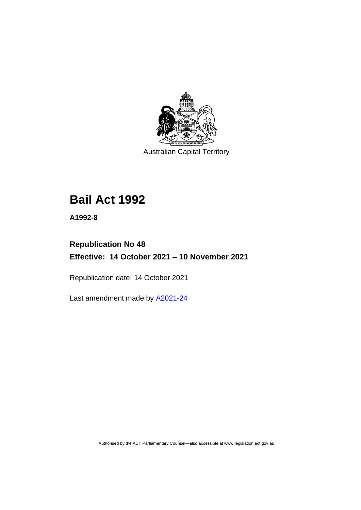

Australian Capital Territory

# **Bail Act 1992**

**A1992-8**

# **Republication No 48 Effective: 14 October 2021 – 10 November 2021**

Republication date: 14 October 2021

Last amendment made by [A2021-24](http://www.legislation.act.gov.au/a/2021-24/)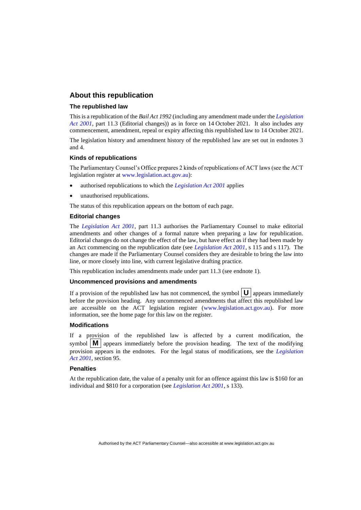#### **About this republication**

#### **The republished law**

This is a republication of the *Bail Act 1992* (including any amendment made under the *[Legislation](http://www.legislation.act.gov.au/a/2001-14)  [Act 2001](http://www.legislation.act.gov.au/a/2001-14)*, part 11.3 (Editorial changes)) as in force on 14 October 2021*.* It also includes any commencement, amendment, repeal or expiry affecting this republished law to 14 October 2021.

The legislation history and amendment history of the republished law are set out in endnotes 3 and 4.

#### **Kinds of republications**

The Parliamentary Counsel's Office prepares 2 kinds of republications of ACT laws (see the ACT legislation register at [www.legislation.act.gov.au\)](http://www.legislation.act.gov.au/):

- authorised republications to which the *[Legislation Act 2001](http://www.legislation.act.gov.au/a/2001-14)* applies
- unauthorised republications.

The status of this republication appears on the bottom of each page.

#### **Editorial changes**

The *[Legislation Act 2001](http://www.legislation.act.gov.au/a/2001-14)*, part 11.3 authorises the Parliamentary Counsel to make editorial amendments and other changes of a formal nature when preparing a law for republication. Editorial changes do not change the effect of the law, but have effect as if they had been made by an Act commencing on the republication date (see *[Legislation Act 2001](http://www.legislation.act.gov.au/a/2001-14)*, s 115 and s 117). The changes are made if the Parliamentary Counsel considers they are desirable to bring the law into line, or more closely into line, with current legislative drafting practice.

This republication includes amendments made under part 11.3 (see endnote 1).

#### **Uncommenced provisions and amendments**

If a provision of the republished law has not commenced, the symbol  $\mathbf{U}$  appears immediately before the provision heading. Any uncommenced amendments that affect this republished law are accessible on the ACT legislation register [\(www.legislation.act.gov.au\)](http://www.legislation.act.gov.au/). For more information, see the home page for this law on the register.

#### **Modifications**

If a provision of the republished law is affected by a current modification, the symbol  $\|\mathbf{M}\|$  appears immediately before the provision heading. The text of the modifying provision appears in the endnotes. For the legal status of modifications, see the *[Legislation](http://www.legislation.act.gov.au/a/2001-14)  Act [2001](http://www.legislation.act.gov.au/a/2001-14)*, section 95.

#### **Penalties**

At the republication date, the value of a penalty unit for an offence against this law is \$160 for an individual and \$810 for a corporation (see *[Legislation Act 2001](http://www.legislation.act.gov.au/a/2001-14)*, s 133).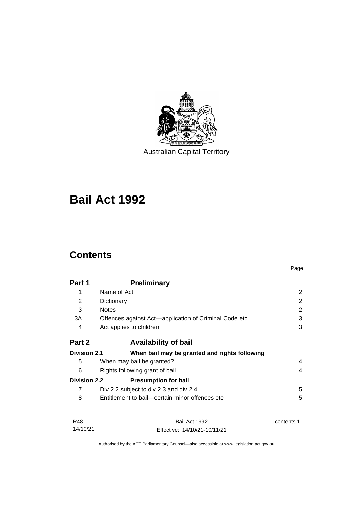

Australian Capital Territory

# **Bail Act 1992**

# **Contents**

|                     |                                                       | Page       |
|---------------------|-------------------------------------------------------|------------|
| Part 1              | <b>Preliminary</b>                                    |            |
| 1                   | Name of Act                                           | 2          |
| 2                   | Dictionary                                            | 2          |
| 3                   | <b>Notes</b>                                          | 2          |
| 3A                  | Offences against Act—application of Criminal Code etc | 3          |
| 4                   | Act applies to children                               | 3          |
| Part 2              | <b>Availability of bail</b>                           |            |
| <b>Division 2.1</b> | When bail may be granted and rights following         |            |
| 5                   | When may bail be granted?                             | 4          |
| 6                   | Rights following grant of bail<br>4                   |            |
| <b>Division 2.2</b> | <b>Presumption for bail</b>                           |            |
| 7                   | Div 2.2 subject to div 2.3 and div 2.4                | 5          |
| 8                   | Entitlement to bail—certain minor offences etc        | 5          |
| <b>R48</b>          | Bail Act 1992                                         | contents 1 |
| 14/10/21            | Effective: 14/10/21-10/11/21                          |            |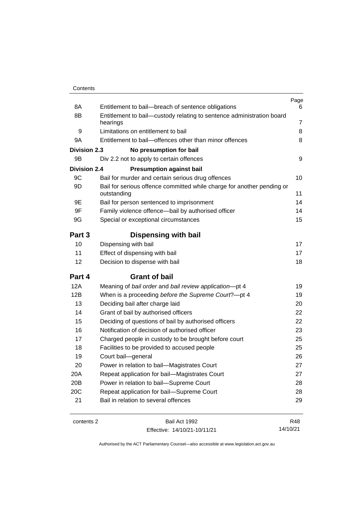| Contents |
|----------|
|----------|

| 8A                  | Entitlement to bail-breach of sentence obligations                                    | Page<br>6      |
|---------------------|---------------------------------------------------------------------------------------|----------------|
| 8B                  | Entitlement to bail-custody relating to sentence administration board                 |                |
|                     | hearings                                                                              | $\overline{7}$ |
| 9                   | Limitations on entitlement to bail                                                    | 8              |
| 9A                  | Entitlement to bail-offences other than minor offences                                | 8              |
| <b>Division 2.3</b> | No presumption for bail                                                               |                |
| 9B                  | Div 2.2 not to apply to certain offences                                              | 9              |
| <b>Division 2.4</b> | <b>Presumption against bail</b>                                                       |                |
| 9C                  | Bail for murder and certain serious drug offences                                     | 10             |
| 9D                  | Bail for serious offence committed while charge for another pending or<br>outstanding | 11             |
| 9E                  | Bail for person sentenced to imprisonment                                             | 14             |
| 9F                  | Family violence offence-bail by authorised officer                                    | 14             |
| 9G                  | Special or exceptional circumstances                                                  | 15             |
| Part 3              | <b>Dispensing with bail</b>                                                           |                |
| 10                  | Dispensing with bail                                                                  | 17             |
| 11                  | Effect of dispensing with bail                                                        | 17             |
| 12                  | Decision to dispense with bail                                                        | 18             |
| Part 4              | <b>Grant of bail</b>                                                                  |                |
| 12A                 | Meaning of bail order and bail review application-pt 4                                | 19             |
| 12B                 | When is a proceeding before the Supreme Court?-pt 4                                   | 19             |
| 13                  | Deciding bail after charge laid                                                       | 20             |
| 14                  | Grant of bail by authorised officers                                                  | 22             |
| 15                  | Deciding of questions of bail by authorised officers                                  | 22             |
| 16                  | Notification of decision of authorised officer                                        | 23             |
| 17                  | Charged people in custody to be brought before court                                  | 25             |
| 18                  | Facilities to be provided to accused people                                           | 25             |
| 19                  | Court bail-general                                                                    | 26             |
| 20                  | Power in relation to bail-Magistrates Court                                           | 27             |
| 20A                 | Repeat application for bail-Magistrates Court                                         | 27             |
| 20B                 | Power in relation to bail-Supreme Court                                               | 28             |
| 20C                 | Repeat application for bail-Supreme Court                                             | 28             |
| 21                  | Bail in relation to several offences                                                  | 29             |
|                     |                                                                                       |                |

contents 2 Bail Act 1992 Effective: 14/10/21-10/11/21

R48 14/10/21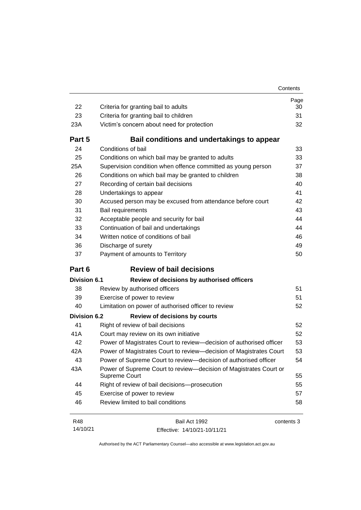| 22                  | Criteria for granting bail to adults                                               | Page<br>30 |
|---------------------|------------------------------------------------------------------------------------|------------|
| 23                  | Criteria for granting bail to children                                             | 31         |
| 23A                 | Victim's concern about need for protection                                         | 32         |
| Part 5              | Bail conditions and undertakings to appear                                         |            |
| 24                  | Conditions of bail                                                                 | 33         |
| 25                  | Conditions on which bail may be granted to adults                                  | 33         |
| 25A                 | Supervision condition when offence committed as young person                       | 37         |
| 26                  | Conditions on which bail may be granted to children                                | 38         |
| 27                  | Recording of certain bail decisions                                                | 40         |
| 28                  | Undertakings to appear                                                             | 41         |
| 30                  | Accused person may be excused from attendance before court                         | 42         |
| 31                  | Bail requirements                                                                  | 43         |
| 32                  | Acceptable people and security for bail                                            | 44         |
| 33                  | Continuation of bail and undertakings                                              | 44         |
| 34                  | Written notice of conditions of bail                                               | 46         |
| 36                  | Discharge of surety                                                                | 49         |
| 37                  | Payment of amounts to Territory                                                    | 50         |
| Part 6              | <b>Review of bail decisions</b>                                                    |            |
|                     |                                                                                    |            |
| <b>Division 6.1</b> | Review of decisions by authorised officers                                         |            |
| 38                  | Review by authorised officers                                                      | 51         |
| 39                  | Exercise of power to review                                                        | 51         |
| 40                  | Limitation on power of authorised officer to review                                | 52         |
| <b>Division 6.2</b> | <b>Review of decisions by courts</b>                                               |            |
| 41                  | Right of review of bail decisions                                                  | 52         |
| 41A                 | Court may review on its own initiative                                             | 52         |
| 42                  | Power of Magistrates Court to review-decision of authorised officer                | 53         |
| 42A                 | Power of Magistrates Court to review-decision of Magistrates Court                 | 53         |
| 43                  | Power of Supreme Court to review-decision of authorised officer                    | 54         |
| 43A                 | Power of Supreme Court to review—decision of Magistrates Court or<br>Supreme Court | 55         |
| 44                  | Right of review of bail decisions-prosecution                                      | 55         |
| 45                  | Exercise of power to review                                                        | 57         |
| 46                  | Review limited to bail conditions                                                  | 58         |

R48 14/10/21 Bail Act 1992 Effective: 14/10/21-10/11/21 contents 3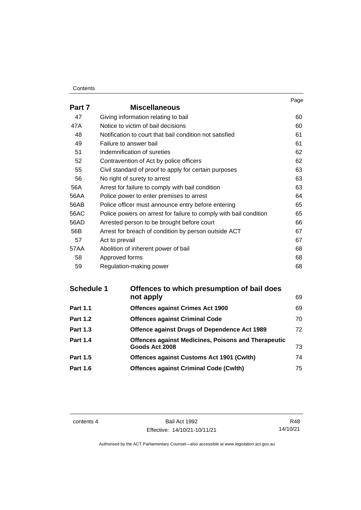#### **Contents**

|        |                                                                   | Page |
|--------|-------------------------------------------------------------------|------|
| Part 7 | <b>Miscellaneous</b>                                              |      |
| 47     | Giving information relating to bail                               | 60   |
| 47A    | Notice to victim of bail decisions                                | 60   |
| 48     | Notification to court that bail condition not satisfied           | 61   |
| 49     | Failure to answer bail                                            | 61   |
| 51     | Indemnification of sureties                                       | 62   |
| 52     | Contravention of Act by police officers                           | 62   |
| 55     | Civil standard of proof to apply for certain purposes             | 63   |
| 56     | No right of surety to arrest                                      | 63   |
| 56A    | Arrest for failure to comply with bail condition                  | 63   |
| 56AA   | Police power to enter premises to arrest                          | 64   |
| 56AB   | Police officer must announce entry before entering                | 65   |
| 56AC   | Police powers on arrest for failure to comply with bail condition | 65   |
| 56AD   | Arrested person to be brought before court                        | 66   |
| 56B    | Arrest for breach of condition by person outside ACT              | 67   |
| 57     | Act to prevail                                                    | 67   |
| 57AA   | Abolition of inherent power of bail                               | 68   |
| 58     | Approved forms                                                    | 68   |
| 59     | Regulation-making power                                           | 68   |

| Offences to which presumption of bail does                 |    |
|------------------------------------------------------------|----|
| not apply                                                  | 69 |
| <b>Offences against Crimes Act 1900</b>                    | 69 |
| <b>Offences against Criminal Code</b>                      | 70 |
| Offence against Drugs of Dependence Act 1989               | 72 |
| <b>Offences against Medicines, Poisons and Therapeutic</b> |    |
| Goods Act 2008                                             | 73 |
| <b>Offences against Customs Act 1901 (Cwith)</b>           | 74 |
| <b>Offences against Criminal Code (Cwlth)</b>              | 75 |
|                                                            |    |

contents 4 Bail Act 1992 Effective: 14/10/21-10/11/21

R48 14/10/21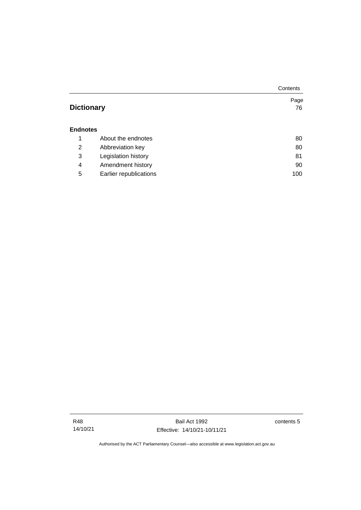|                   |                        | Contents |
|-------------------|------------------------|----------|
|                   |                        | Page     |
| <b>Dictionary</b> |                        | 76       |
|                   |                        |          |
| <b>Endnotes</b>   |                        |          |
| 1                 | About the endnotes     | 80       |
| 2                 | Abbreviation key       | 80       |
| 3                 | Legislation history    | 81       |
| 4                 | Amendment history      | 90       |
| 5                 | Earlier republications | 100      |

Bail Act 1992 Effective: 14/10/21-10/11/21 contents 5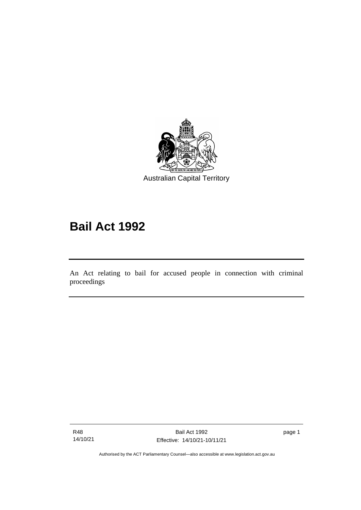

# **Bail Act 1992**

An Act relating to bail for accused people in connection with criminal proceedings

R48 14/10/21

ׅ֖֖֚֚֡֡֬֝֬

page 1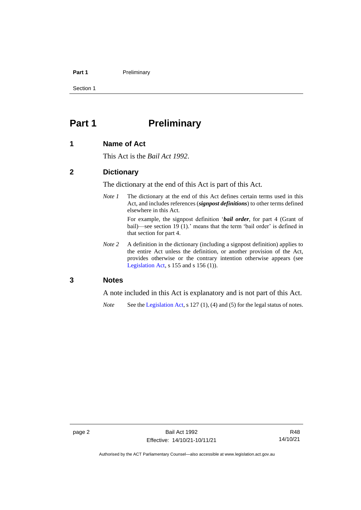#### **Part 1** Preliminary

Section 1

# <span id="page-9-0"></span>**Part 1 Preliminary**

### <span id="page-9-1"></span>**1 Name of Act**

This Act is the *Bail Act 1992*.

#### <span id="page-9-2"></span>**2 Dictionary**

The dictionary at the end of this Act is part of this Act.

*Note 1* The dictionary at the end of this Act defines certain terms used in this Act, and includes references (*signpost definitions*) to other terms defined elsewhere in this Act.

> For example, the signpost definition '*bail order*, for part 4 (Grant of bail)—see section 19 (1).' means that the term 'bail order' is defined in that section for part 4.

*Note 2* A definition in the dictionary (including a signpost definition) applies to the entire Act unless the definition, or another provision of the Act, provides otherwise or the contrary intention otherwise appears (see [Legislation Act,](http://www.legislation.act.gov.au/a/2001-14) s  $155$  and s  $156$  (1)).

#### <span id="page-9-3"></span>**3 Notes**

A note included in this Act is explanatory and is not part of this Act.

*Note* See the [Legislation Act,](http://www.legislation.act.gov.au/a/2001-14) s 127 (1), (4) and (5) for the legal status of notes.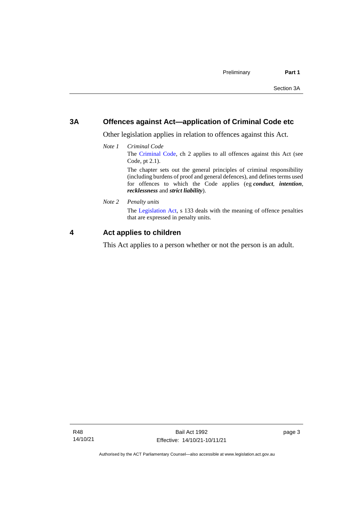## <span id="page-10-0"></span>**3A Offences against Act—application of Criminal Code etc**

Other legislation applies in relation to offences against this Act.

*Note 1 Criminal Code* The [Criminal Code,](http://www.legislation.act.gov.au/a/2002-51) ch 2 applies to all offences against this Act (see Code, pt 2.1). The chapter sets out the general principles of criminal responsibility

(including burdens of proof and general defences), and defines terms used for offences to which the Code applies (eg *conduct*, *intention*, *recklessness* and *strict liability*).

*Note 2 Penalty units*

The [Legislation Act,](http://www.legislation.act.gov.au/a/2001-14) s 133 deals with the meaning of offence penalties that are expressed in penalty units.

### <span id="page-10-1"></span>**4 Act applies to children**

This Act applies to a person whether or not the person is an adult.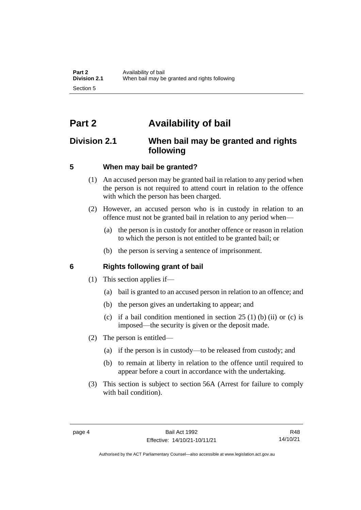# <span id="page-11-0"></span>**Part 2 Availability of bail**

# <span id="page-11-1"></span>**Division 2.1 When bail may be granted and rights following**

# <span id="page-11-2"></span>**5 When may bail be granted?**

- (1) An accused person may be granted bail in relation to any period when the person is not required to attend court in relation to the offence with which the person has been charged.
- (2) However, an accused person who is in custody in relation to an offence must not be granted bail in relation to any period when—
	- (a) the person is in custody for another offence or reason in relation to which the person is not entitled to be granted bail; or
	- (b) the person is serving a sentence of imprisonment.

# <span id="page-11-3"></span>**6 Rights following grant of bail**

- (1) This section applies if—
	- (a) bail is granted to an accused person in relation to an offence; and
	- (b) the person gives an undertaking to appear; and
	- (c) if a bail condition mentioned in section  $25(1)$  (b) (ii) or (c) is imposed—the security is given or the deposit made.
- (2) The person is entitled—
	- (a) if the person is in custody—to be released from custody; and
	- (b) to remain at liberty in relation to the offence until required to appear before a court in accordance with the undertaking.
- (3) This section is subject to section 56A (Arrest for failure to comply with bail condition).

Authorised by the ACT Parliamentary Counsel—also accessible at www.legislation.act.gov.au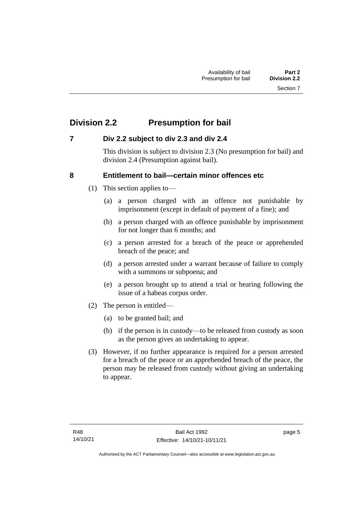# <span id="page-12-0"></span>**Division 2.2 Presumption for bail**

## <span id="page-12-1"></span>**7 Div 2.2 subject to div 2.3 and div 2.4**

This division is subject to division 2.3 (No presumption for bail) and division 2.4 (Presumption against bail).

## <span id="page-12-2"></span>**8 Entitlement to bail—certain minor offences etc**

- (1) This section applies to—
	- (a) a person charged with an offence not punishable by imprisonment (except in default of payment of a fine); and
	- (b) a person charged with an offence punishable by imprisonment for not longer than 6 months; and
	- (c) a person arrested for a breach of the peace or apprehended breach of the peace; and
	- (d) a person arrested under a warrant because of failure to comply with a summons or subpoena; and
	- (e) a person brought up to attend a trial or hearing following the issue of a habeas corpus order.
- (2) The person is entitled—
	- (a) to be granted bail; and
	- (b) if the person is in custody—to be released from custody as soon as the person gives an undertaking to appear.
- (3) However, if no further appearance is required for a person arrested for a breach of the peace or an apprehended breach of the peace, the person may be released from custody without giving an undertaking to appear.

page 5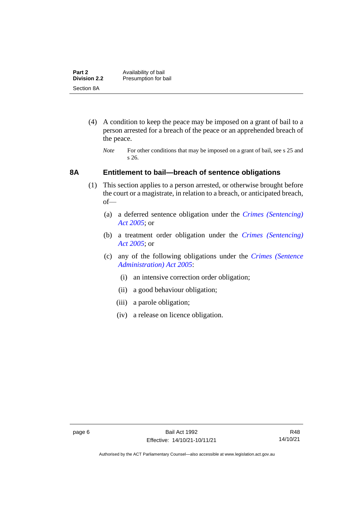| Part 2              | Availability of bail |
|---------------------|----------------------|
| <b>Division 2.2</b> | Presumption for bail |
| Section 8A          |                      |

- (4) A condition to keep the peace may be imposed on a grant of bail to a person arrested for a breach of the peace or an apprehended breach of the peace.
	- *Note* For other conditions that may be imposed on a grant of bail, see s 25 and s 26.

#### <span id="page-13-0"></span>**8A Entitlement to bail—breach of sentence obligations**

- (1) This section applies to a person arrested, or otherwise brought before the court or a magistrate, in relation to a breach, or anticipated breach, of—
	- (a) a deferred sentence obligation under the *[Crimes \(Sentencing\)](http://www.legislation.act.gov.au/a/2005-58)  [Act 2005](http://www.legislation.act.gov.au/a/2005-58)*; or
	- (b) a treatment order obligation under the *[Crimes \(Sentencing\)](http://www.legislation.act.gov.au/a/2005-58)  Act [2005](http://www.legislation.act.gov.au/a/2005-58)*; or
	- (c) any of the following obligations under the *[Crimes \(Sentence](http://www.legislation.act.gov.au/a/2005-59)  [Administration\) Act 2005](http://www.legislation.act.gov.au/a/2005-59)*:
		- (i) an intensive correction order obligation;
		- (ii) a good behaviour obligation;
		- (iii) a parole obligation;
		- (iv) a release on licence obligation.

Authorised by the ACT Parliamentary Counsel—also accessible at www.legislation.act.gov.au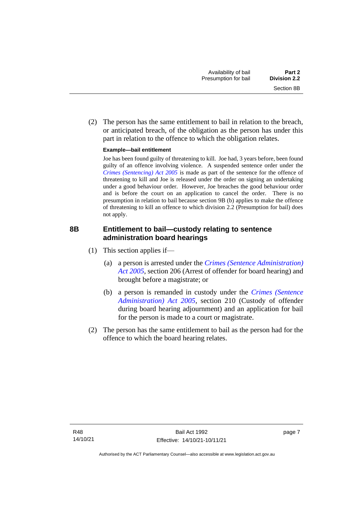(2) The person has the same entitlement to bail in relation to the breach, or anticipated breach, of the obligation as the person has under this part in relation to the offence to which the obligation relates.

#### **Example—bail entitlement**

Joe has been found guilty of threatening to kill. Joe had, 3 years before, been found guilty of an offence involving violence. A suspended sentence order under the *[Crimes \(Sentencing\) Act 2005](http://www.legislation.act.gov.au/a/2005-58)* is made as part of the sentence for the offence of threatening to kill and Joe is released under the order on signing an undertaking under a good behaviour order. However, Joe breaches the good behaviour order and is before the court on an application to cancel the order. There is no presumption in relation to bail because section 9B (b) applies to make the offence of threatening to kill an offence to which division 2.2 (Presumption for bail) does not apply.

## <span id="page-14-0"></span>**8B Entitlement to bail—custody relating to sentence administration board hearings**

- (1) This section applies if—
	- (a) a person is arrested under the *[Crimes \(Sentence Administration\)](http://www.legislation.act.gov.au/a/2005-59)  [Act 2005](http://www.legislation.act.gov.au/a/2005-59)*, section 206 (Arrest of offender for board hearing) and brought before a magistrate; or
	- (b) a person is remanded in custody under the *[Crimes \(Sentence](http://www.legislation.act.gov.au/a/2005-59)  [Administration\) Act 2005](http://www.legislation.act.gov.au/a/2005-59)*, section 210 (Custody of offender during board hearing adjournment) and an application for bail for the person is made to a court or magistrate.
- (2) The person has the same entitlement to bail as the person had for the offence to which the board hearing relates.

page 7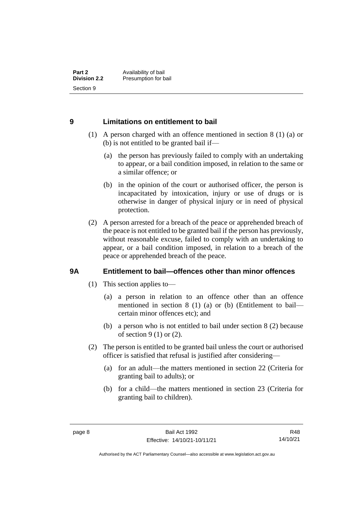## <span id="page-15-0"></span>**9 Limitations on entitlement to bail**

- (1) A person charged with an offence mentioned in section 8 (1) (a) or (b) is not entitled to be granted bail if—
	- (a) the person has previously failed to comply with an undertaking to appear, or a bail condition imposed, in relation to the same or a similar offence; or
	- (b) in the opinion of the court or authorised officer, the person is incapacitated by intoxication, injury or use of drugs or is otherwise in danger of physical injury or in need of physical protection.
- (2) A person arrested for a breach of the peace or apprehended breach of the peace is not entitled to be granted bail if the person has previously, without reasonable excuse, failed to comply with an undertaking to appear, or a bail condition imposed, in relation to a breach of the peace or apprehended breach of the peace.

## <span id="page-15-1"></span>**9A Entitlement to bail—offences other than minor offences**

- (1) This section applies to—
	- (a) a person in relation to an offence other than an offence mentioned in section 8 (1) (a) or (b) (Entitlement to bail certain minor offences etc); and
	- (b) a person who is not entitled to bail under section 8 (2) because of section 9 (1) or (2).
- (2) The person is entitled to be granted bail unless the court or authorised officer is satisfied that refusal is justified after considering—
	- (a) for an adult—the matters mentioned in section 22 (Criteria for granting bail to adults); or
	- (b) for a child—the matters mentioned in section 23 (Criteria for granting bail to children).

R48 14/10/21

Authorised by the ACT Parliamentary Counsel—also accessible at www.legislation.act.gov.au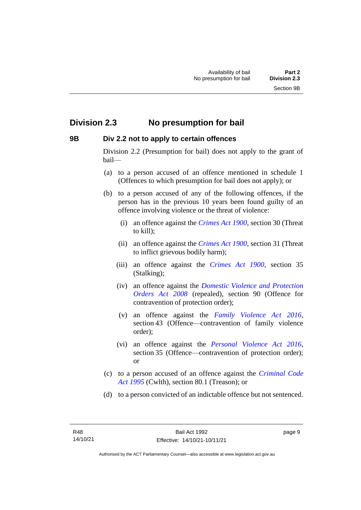# <span id="page-16-0"></span>**Division 2.3 No presumption for bail**

#### <span id="page-16-1"></span>**9B Div 2.2 not to apply to certain offences**

Division 2.2 (Presumption for bail) does not apply to the grant of bail—

- (a) to a person accused of an offence mentioned in schedule 1 (Offences to which presumption for bail does not apply); or
- (b) to a person accused of any of the following offences, if the person has in the previous 10 years been found guilty of an offence involving violence or the threat of violence:
	- (i) an offence against the *[Crimes Act 1900](http://www.legislation.act.gov.au/a/1900-40)*, section 30 (Threat to kill);
	- (ii) an offence against the *[Crimes Act 1900](http://www.legislation.act.gov.au/a/1900-40)*, section 31 (Threat to inflict grievous bodily harm);
	- (iii) an offence against the *[Crimes Act 1900](http://www.legislation.act.gov.au/a/1900-40)*, section 35 (Stalking);
	- (iv) an offence against the *[Domestic Violence and Protection](http://www.legislation.act.gov.au/a/2008-46)  [Orders Act 2008](http://www.legislation.act.gov.au/a/2008-46)* (repealed), section 90 (Offence for contravention of protection order);
	- (v) an offence against the *[Family Violence Act 2016](http://www.legislation.act.gov.au/a/2016-42)*, section 43 (Offence—contravention of family violence order);
	- (vi) an offence against the *[Personal Violence Act 2016](http://www.legislation.act.gov.au/a/2016-43)*, section 35 (Offence—contravention of protection order); or
- (c) to a person accused of an offence against the *[Criminal Code](http://www.comlaw.gov.au/Details/C2013C00138)  Act [1995](http://www.comlaw.gov.au/Details/C2013C00138)* (Cwlth), section 80.1 (Treason); or
- (d) to a person convicted of an indictable offence but not sentenced.

page 9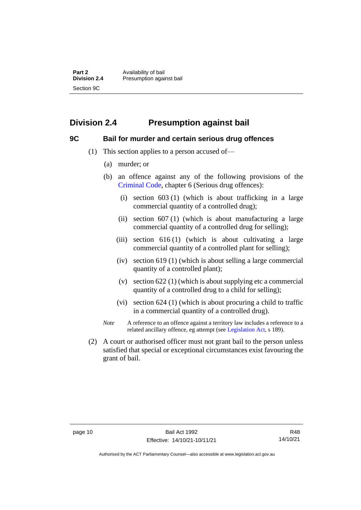**Part 2** Availability of bail<br> **Division 2.4** Presumption again **Division 2.4** Presumption against bail Section 9C

# <span id="page-17-0"></span>**Division 2.4 Presumption against bail**

#### <span id="page-17-1"></span>**9C Bail for murder and certain serious drug offences**

- (1) This section applies to a person accused of—
	- (a) murder; or
	- (b) an offence against any of the following provisions of the [Criminal Code,](http://www.legislation.act.gov.au/a/2002-51) chapter 6 (Serious drug offences):
		- (i) section 603 (1) (which is about trafficking in a large commercial quantity of a controlled drug);
		- (ii) section 607 (1) (which is about manufacturing a large commercial quantity of a controlled drug for selling);
		- (iii) section 616 (1) (which is about cultivating a large commercial quantity of a controlled plant for selling);
		- (iv) section 619 (1) (which is about selling a large commercial quantity of a controlled plant);
		- (v) section 622 (1) (which is about supplying etc a commercial quantity of a controlled drug to a child for selling);
		- (vi) section 624 (1) (which is about procuring a child to traffic in a commercial quantity of a controlled drug).
	- *Note* A reference to an offence against a territory law includes a reference to a related ancillary offence, eg attempt (see [Legislation Act,](http://www.legislation.act.gov.au/a/2001-14) s 189).
- (2) A court or authorised officer must not grant bail to the person unless satisfied that special or exceptional circumstances exist favouring the grant of bail.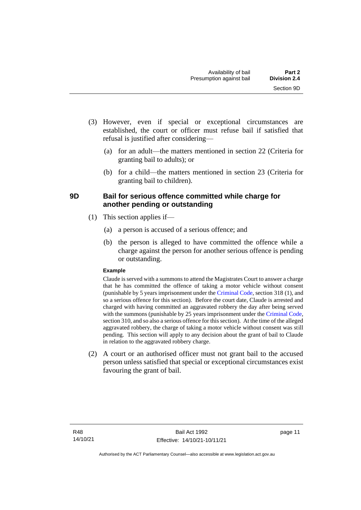- (3) However, even if special or exceptional circumstances are established, the court or officer must refuse bail if satisfied that refusal is justified after considering—
	- (a) for an adult—the matters mentioned in section 22 (Criteria for granting bail to adults); or
	- (b) for a child—the matters mentioned in section 23 (Criteria for granting bail to children).

## <span id="page-18-0"></span>**9D Bail for serious offence committed while charge for another pending or outstanding**

- (1) This section applies if—
	- (a) a person is accused of a serious offence; and
	- (b) the person is alleged to have committed the offence while a charge against the person for another serious offence is pending or outstanding.

#### **Example**

Claude is served with a summons to attend the Magistrates Court to answer a charge that he has committed the offence of taking a motor vehicle without consent (punishable by 5 years imprisonment under the [Criminal Code,](http://www.legislation.act.gov.au/a/2002-51) section 318 (1), and so a serious offence for this section). Before the court date, Claude is arrested and charged with having committed an aggravated robbery the day after being served with the summons (punishable by 25 years imprisonment under the [Criminal Code,](http://www.legislation.act.gov.au/a/2002-51) section 310, and so also a serious offence for this section). At the time of the alleged aggravated robbery, the charge of taking a motor vehicle without consent was still pending. This section will apply to any decision about the grant of bail to Claude in relation to the aggravated robbery charge.

(2) A court or an authorised officer must not grant bail to the accused person unless satisfied that special or exceptional circumstances exist favouring the grant of bail.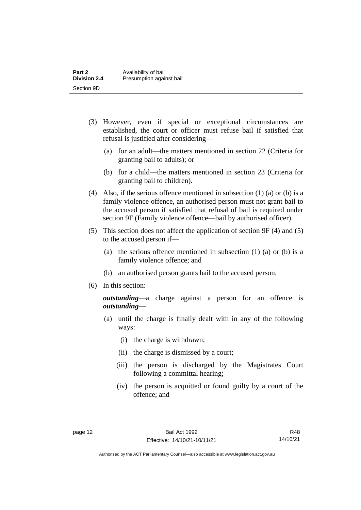| Part 2              | Availability of bail     |
|---------------------|--------------------------|
| <b>Division 2.4</b> | Presumption against bail |
| Section 9D          |                          |

- (3) However, even if special or exceptional circumstances are established, the court or officer must refuse bail if satisfied that refusal is justified after considering—
	- (a) for an adult—the matters mentioned in section 22 (Criteria for granting bail to adults); or
	- (b) for a child—the matters mentioned in section 23 (Criteria for granting bail to children).
- (4) Also, if the serious offence mentioned in subsection (1) (a) or (b) is a family violence offence, an authorised person must not grant bail to the accused person if satisfied that refusal of bail is required under section 9F (Family violence offence—bail by authorised officer).
- (5) This section does not affect the application of section 9F (4) and (5) to the accused person if—
	- (a) the serious offence mentioned in subsection (1) (a) or (b) is a family violence offence; and
	- (b) an authorised person grants bail to the accused person.
- (6) In this section:

*outstanding*—a charge against a person for an offence is *outstanding*—

- (a) until the charge is finally dealt with in any of the following ways:
	- (i) the charge is withdrawn;
	- (ii) the charge is dismissed by a court;
	- (iii) the person is discharged by the Magistrates Court following a committal hearing;
	- (iv) the person is acquitted or found guilty by a court of the offence; and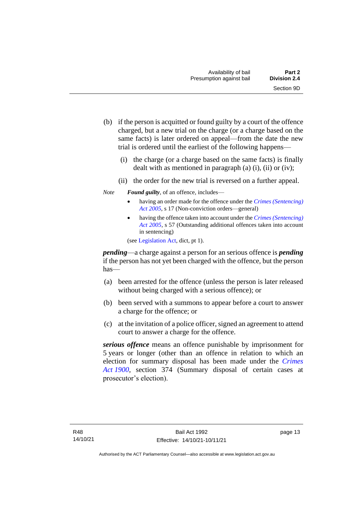- (b) if the person is acquitted or found guilty by a court of the offence charged, but a new trial on the charge (or a charge based on the same facts) is later ordered on appeal—from the date the new trial is ordered until the earliest of the following happens—
	- (i) the charge (or a charge based on the same facts) is finally dealt with as mentioned in paragraph  $(a)$   $(i)$ ,  $(ii)$  or  $(iv)$ ;
	- (ii) the order for the new trial is reversed on a further appeal.
- *Note Found guilty*, of an offence, includes—
	- having an order made for the offence under the *[Crimes \(Sentencing\)](http://www.legislation.act.gov.au/a/2005-58)  [Act 2005](http://www.legislation.act.gov.au/a/2005-58)*, s 17 (Non-conviction orders—general)
	- having the offence taken into account under the *[Crimes \(Sentencing\)](http://www.legislation.act.gov.au/a/2005-58)  [Act 2005](http://www.legislation.act.gov.au/a/2005-58)*, s 57 (Outstanding additional offences taken into account in sentencing)

(se[e Legislation Act,](http://www.legislation.act.gov.au/a/2001-14) dict, pt 1).

*pending*—a charge against a person for an serious offence is *pending*  if the person has not yet been charged with the offence, but the person has—

- (a) been arrested for the offence (unless the person is later released without being charged with a serious offence); or
- (b) been served with a summons to appear before a court to answer a charge for the offence; or
- (c) at the invitation of a police officer, signed an agreement to attend court to answer a charge for the offence.

*serious offence* means an offence punishable by imprisonment for 5 years or longer (other than an offence in relation to which an election for summary disposal has been made under the *[Crimes](http://www.legislation.act.gov.au/a/1900-40)  Act [1900](http://www.legislation.act.gov.au/a/1900-40)*, section 374 (Summary disposal of certain cases at prosecutor's election).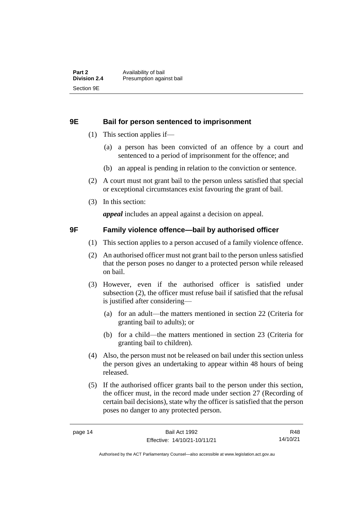#### <span id="page-21-0"></span>**9E Bail for person sentenced to imprisonment**

- (1) This section applies if—
	- (a) a person has been convicted of an offence by a court and sentenced to a period of imprisonment for the offence; and
	- (b) an appeal is pending in relation to the conviction or sentence.
- (2) A court must not grant bail to the person unless satisfied that special or exceptional circumstances exist favouring the grant of bail.
- (3) In this section:

*appeal* includes an appeal against a decision on appeal.

#### <span id="page-21-1"></span>**9F Family violence offence—bail by authorised officer**

- (1) This section applies to a person accused of a family violence offence.
- (2) An authorised officer must not grant bail to the person unless satisfied that the person poses no danger to a protected person while released on bail.
- (3) However, even if the authorised officer is satisfied under subsection (2), the officer must refuse bail if satisfied that the refusal is justified after considering—
	- (a) for an adult—the matters mentioned in section 22 (Criteria for granting bail to adults); or
	- (b) for a child—the matters mentioned in section 23 (Criteria for granting bail to children).
- (4) Also, the person must not be released on bail under this section unless the person gives an undertaking to appear within 48 hours of being released.
- (5) If the authorised officer grants bail to the person under this section, the officer must, in the record made under section 27 (Recording of certain bail decisions), state why the officer is satisfied that the person poses no danger to any protected person.

R48 14/10/21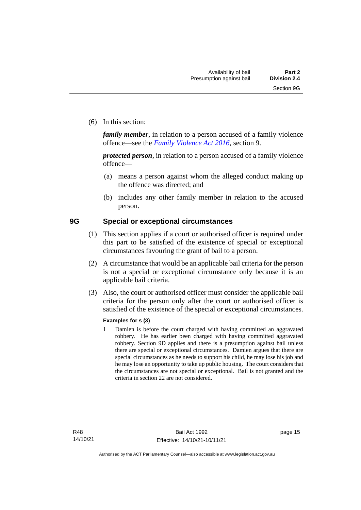(6) In this section:

*family member*, in relation to a person accused of a family violence offence—see the *[Family Violence Act 2016](http://www.legislation.act.gov.au/a/2016-42)*, section 9.

*protected person*, in relation to a person accused of a family violence offence—

- (a) means a person against whom the alleged conduct making up the offence was directed; and
- (b) includes any other family member in relation to the accused person.

#### <span id="page-22-0"></span>**9G Special or exceptional circumstances**

- (1) This section applies if a court or authorised officer is required under this part to be satisfied of the existence of special or exceptional circumstances favouring the grant of bail to a person.
- (2) A circumstance that would be an applicable bail criteria for the person is not a special or exceptional circumstance only because it is an applicable bail criteria.
- (3) Also, the court or authorised officer must consider the applicable bail criteria for the person only after the court or authorised officer is satisfied of the existence of the special or exceptional circumstances.

#### **Examples for s (3)**

1 Damien is before the court charged with having committed an aggravated robbery. He has earlier been charged with having committed aggravated robbery. Section 9D applies and there is a presumption against bail unless there are special or exceptional circumstances. Damien argues that there are special circumstances as he needs to support his child, he may lose his job and he may lose an opportunity to take up public housing. The court considers that the circumstances are not special or exceptional. Bail is not granted and the criteria in section 22 are not considered.

page 15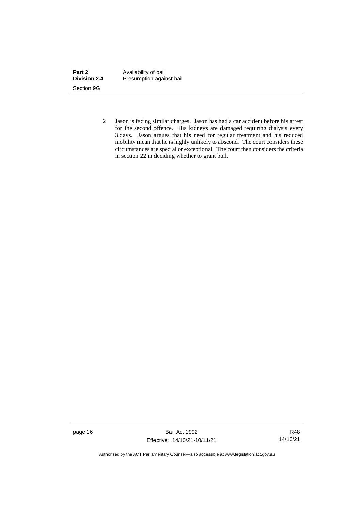| Part 2              | Availability of bail     |
|---------------------|--------------------------|
| <b>Division 2.4</b> | Presumption against bail |
| Section 9G          |                          |

2 Jason is facing similar charges. Jason has had a car accident before his arrest for the second offence. His kidneys are damaged requiring dialysis every 3 days. Jason argues that his need for regular treatment and his reduced mobility mean that he is highly unlikely to abscond. The court considers these circumstances are special or exceptional. The court then considers the criteria in section 22 in deciding whether to grant bail.

page 16 Bail Act 1992 Effective: 14/10/21-10/11/21

R48 14/10/21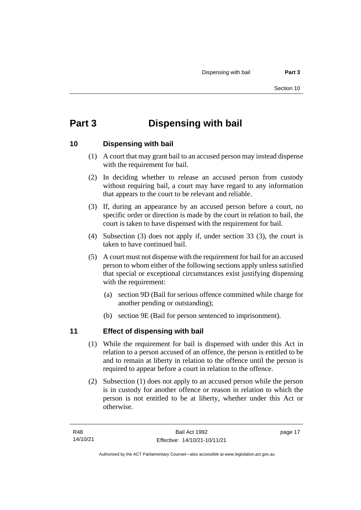# <span id="page-24-0"></span>**Part 3 Dispensing with bail**

## <span id="page-24-1"></span>**10 Dispensing with bail**

- (1) A court that may grant bail to an accused person may instead dispense with the requirement for bail.
- (2) In deciding whether to release an accused person from custody without requiring bail, a court may have regard to any information that appears to the court to be relevant and reliable.
- (3) If, during an appearance by an accused person before a court, no specific order or direction is made by the court in relation to bail, the court is taken to have dispensed with the requirement for bail.
- (4) Subsection (3) does not apply if, under section 33 (3), the court is taken to have continued bail.
- (5) A court must not dispense with the requirement for bail for an accused person to whom either of the following sections apply unless satisfied that special or exceptional circumstances exist justifying dispensing with the requirement:
	- (a) section 9D (Bail for serious offence committed while charge for another pending or outstanding);
	- (b) section 9E (Bail for person sentenced to imprisonment).

# <span id="page-24-2"></span>**11 Effect of dispensing with bail**

- (1) While the requirement for bail is dispensed with under this Act in relation to a person accused of an offence, the person is entitled to be and to remain at liberty in relation to the offence until the person is required to appear before a court in relation to the offence.
- (2) Subsection (1) does not apply to an accused person while the person is in custody for another offence or reason in relation to which the person is not entitled to be at liberty, whether under this Act or otherwise.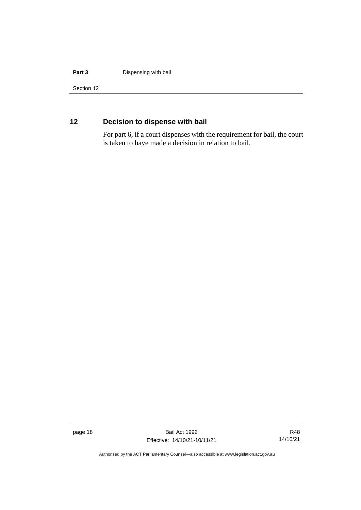#### **Part 3 Dispensing with bail**

Section 12

# <span id="page-25-0"></span>**12 Decision to dispense with bail**

For part 6, if a court dispenses with the requirement for bail, the court is taken to have made a decision in relation to bail.

page 18 Bail Act 1992 Effective: 14/10/21-10/11/21

R48 14/10/21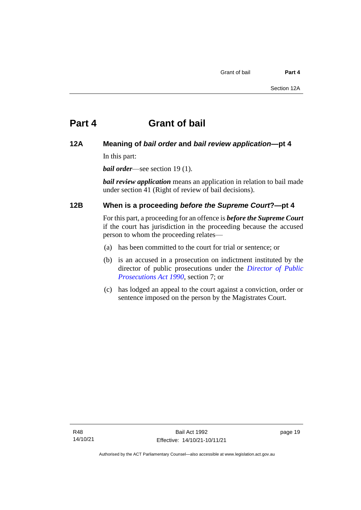# <span id="page-26-0"></span>**Part 4 Grant of bail**

## <span id="page-26-1"></span>**12A Meaning of** *bail order* **and** *bail review application***—pt 4**

In this part:

*bail order*—see section 19 (1).

*bail review application* means an application in relation to bail made under section 41 (Right of review of bail decisions).

## <span id="page-26-2"></span>**12B When is a proceeding** *before the Supreme Court***?—pt 4**

For this part, a proceeding for an offence is *before the Supreme Court* if the court has jurisdiction in the proceeding because the accused person to whom the proceeding relates—

- (a) has been committed to the court for trial or sentence; or
- (b) is an accused in a prosecution on indictment instituted by the director of public prosecutions under the *[Director of Public](http://www.legislation.act.gov.au/a/1990-22)  [Prosecutions Act 1990](http://www.legislation.act.gov.au/a/1990-22)*, section 7; or
- (c) has lodged an appeal to the court against a conviction, order or sentence imposed on the person by the Magistrates Court.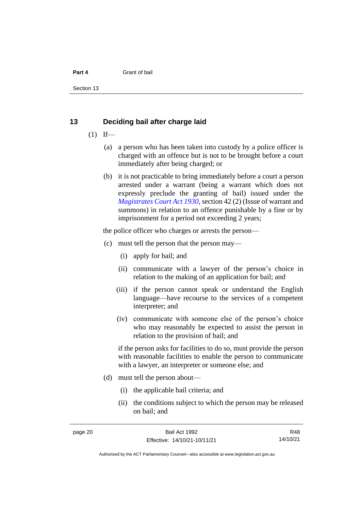#### **Part 4** Grant of bail

Section 13

#### <span id="page-27-0"></span>**13 Deciding bail after charge laid**

- $(1)$  If—
	- (a) a person who has been taken into custody by a police officer is charged with an offence but is not to be brought before a court immediately after being charged; or
	- (b) it is not practicable to bring immediately before a court a person arrested under a warrant (being a warrant which does not expressly preclude the granting of bail) issued under the *[Magistrates Court Act 1930](http://www.legislation.act.gov.au/a/1930-21)*, section 42 (2) (Issue of warrant and summons) in relation to an offence punishable by a fine or by imprisonment for a period not exceeding 2 years;

the police officer who charges or arrests the person—

- (c) must tell the person that the person may—
	- (i) apply for bail; and
	- (ii) communicate with a lawyer of the person's choice in relation to the making of an application for bail; and
	- (iii) if the person cannot speak or understand the English language—have recourse to the services of a competent interpreter; and
	- (iv) communicate with someone else of the person's choice who may reasonably be expected to assist the person in relation to the provision of bail; and

if the person asks for facilities to do so, must provide the person with reasonable facilities to enable the person to communicate with a lawyer, an interpreter or someone else; and

- (d) must tell the person about—
	- (i) the applicable bail criteria; and
	- (ii) the conditions subject to which the person may be released on bail; and

R48 14/10/21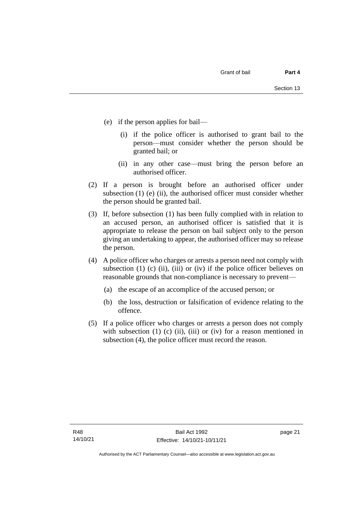- (e) if the person applies for bail—
	- (i) if the police officer is authorised to grant bail to the person—must consider whether the person should be granted bail; or
	- (ii) in any other case—must bring the person before an authorised officer.
- (2) If a person is brought before an authorised officer under subsection  $(1)$  (e)  $(ii)$ , the authorised officer must consider whether the person should be granted bail.
- (3) If, before subsection (1) has been fully complied with in relation to an accused person, an authorised officer is satisfied that it is appropriate to release the person on bail subject only to the person giving an undertaking to appear, the authorised officer may so release the person.
- (4) A police officer who charges or arrests a person need not comply with subsection (1) (c) (ii), (iii) or (iv) if the police officer believes on reasonable grounds that non-compliance is necessary to prevent—
	- (a) the escape of an accomplice of the accused person; or
	- (b) the loss, destruction or falsification of evidence relating to the offence.
- (5) If a police officer who charges or arrests a person does not comply with subsection  $(1)$   $(c)$   $(ii)$ ,  $(iii)$  or  $(iv)$  for a reason mentioned in subsection (4), the police officer must record the reason.

page 21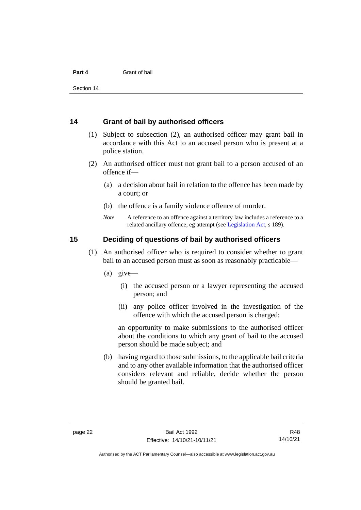#### **Part 4** Grant of bail

Section 14

#### <span id="page-29-0"></span>**14 Grant of bail by authorised officers**

- (1) Subject to subsection (2), an authorised officer may grant bail in accordance with this Act to an accused person who is present at a police station.
- (2) An authorised officer must not grant bail to a person accused of an offence if—
	- (a) a decision about bail in relation to the offence has been made by a court; or
	- (b) the offence is a family violence offence of murder.
	- *Note* A reference to an offence against a territory law includes a reference to a related ancillary offence, eg attempt (see [Legislation Act,](http://www.legislation.act.gov.au/a/2001-14) s 189).

#### <span id="page-29-1"></span>**15 Deciding of questions of bail by authorised officers**

- (1) An authorised officer who is required to consider whether to grant bail to an accused person must as soon as reasonably practicable—
	- (a) give—
		- (i) the accused person or a lawyer representing the accused person; and
		- (ii) any police officer involved in the investigation of the offence with which the accused person is charged;

an opportunity to make submissions to the authorised officer about the conditions to which any grant of bail to the accused person should be made subject; and

(b) having regard to those submissions, to the applicable bail criteria and to any other available information that the authorised officer considers relevant and reliable, decide whether the person should be granted bail.

Authorised by the ACT Parliamentary Counsel—also accessible at www.legislation.act.gov.au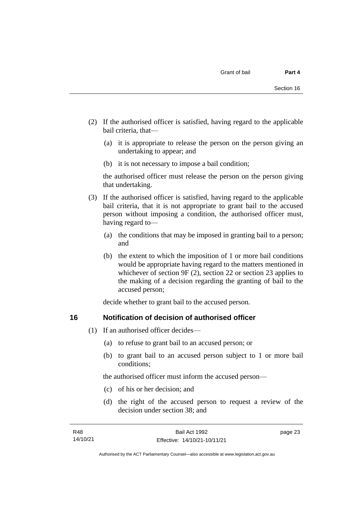- (2) If the authorised officer is satisfied, having regard to the applicable bail criteria, that—
	- (a) it is appropriate to release the person on the person giving an undertaking to appear; and
	- (b) it is not necessary to impose a bail condition;

the authorised officer must release the person on the person giving that undertaking.

- (3) If the authorised officer is satisfied, having regard to the applicable bail criteria, that it is not appropriate to grant bail to the accused person without imposing a condition, the authorised officer must, having regard to—
	- (a) the conditions that may be imposed in granting bail to a person; and
	- (b) the extent to which the imposition of 1 or more bail conditions would be appropriate having regard to the matters mentioned in whichever of section 9F (2), section 22 or section 23 applies to the making of a decision regarding the granting of bail to the accused person;

decide whether to grant bail to the accused person.

### <span id="page-30-0"></span>**16 Notification of decision of authorised officer**

- (1) If an authorised officer decides—
	- (a) to refuse to grant bail to an accused person; or
	- (b) to grant bail to an accused person subject to 1 or more bail conditions;

the authorised officer must inform the accused person—

- (c) of his or her decision; and
- (d) the right of the accused person to request a review of the decision under section 38; and

page 23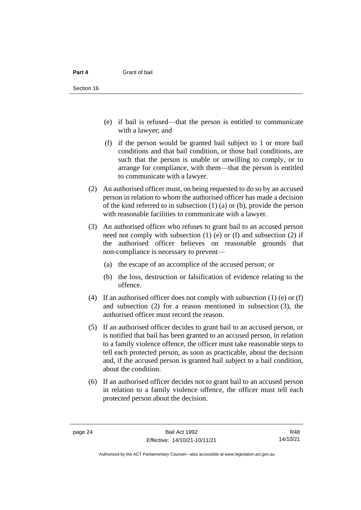- (e) if bail is refused—that the person is entitled to communicate with a lawyer; and
- (f) if the person would be granted bail subject to 1 or more bail conditions and that bail condition, or those bail conditions, are such that the person is unable or unwilling to comply, or to arrange for compliance, with them—that the person is entitled to communicate with a lawyer.
- (2) An authorised officer must, on being requested to do so by an accused person in relation to whom the authorised officer has made a decision of the kind referred to in subsection (1) (a) or (b), provide the person with reasonable facilities to communicate with a lawyer.
- (3) An authorised officer who refuses to grant bail to an accused person need not comply with subsection (1) (e) or (f) and subsection (2) if the authorised officer believes on reasonable grounds that non-compliance is necessary to prevent—
	- (a) the escape of an accomplice of the accused person; or
	- (b) the loss, destruction or falsification of evidence relating to the offence.
- (4) If an authorised officer does not comply with subsection (1) (e) or (f) and subsection (2) for a reason mentioned in subsection (3), the authorised officer must record the reason.
- (5) If an authorised officer decides to grant bail to an accused person, or is notified that bail has been granted to an accused person, in relation to a family violence offence, the officer must take reasonable steps to tell each protected person, as soon as practicable, about the decision and, if the accused person is granted bail subject to a bail condition, about the condition.
- (6) If an authorised officer decides not to grant bail to an accused person in relation to a family violence offence, the officer must tell each protected person about the decision.

R48 14/10/21

Authorised by the ACT Parliamentary Counsel—also accessible at www.legislation.act.gov.au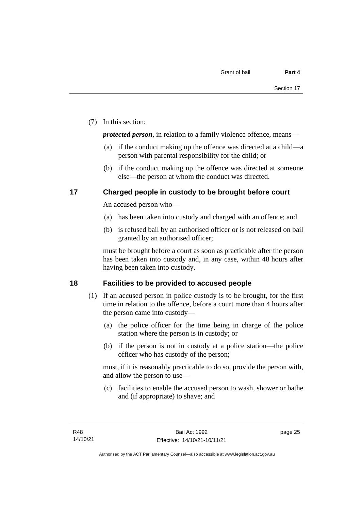(7) In this section:

*protected person*, in relation to a family violence offence, means—

- (a) if the conduct making up the offence was directed at a child—a person with parental responsibility for the child; or
- (b) if the conduct making up the offence was directed at someone else—the person at whom the conduct was directed.

## <span id="page-32-0"></span>**17 Charged people in custody to be brought before court**

An accused person who—

- (a) has been taken into custody and charged with an offence; and
- (b) is refused bail by an authorised officer or is not released on bail granted by an authorised officer;

must be brought before a court as soon as practicable after the person has been taken into custody and, in any case, within 48 hours after having been taken into custody.

## <span id="page-32-1"></span>**18 Facilities to be provided to accused people**

- (1) If an accused person in police custody is to be brought, for the first time in relation to the offence, before a court more than 4 hours after the person came into custody—
	- (a) the police officer for the time being in charge of the police station where the person is in custody; or
	- (b) if the person is not in custody at a police station—the police officer who has custody of the person;

must, if it is reasonably practicable to do so, provide the person with, and allow the person to use—

(c) facilities to enable the accused person to wash, shower or bathe and (if appropriate) to shave; and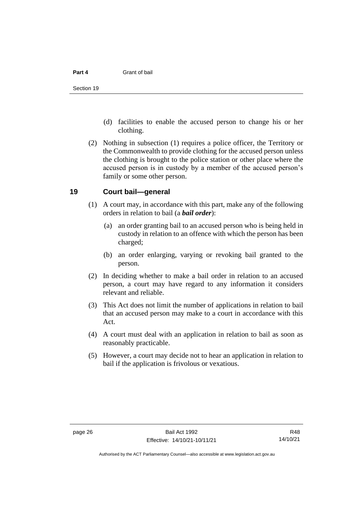#### **Part 4** Grant of bail

- (d) facilities to enable the accused person to change his or her clothing.
- (2) Nothing in subsection (1) requires a police officer, the Territory or the Commonwealth to provide clothing for the accused person unless the clothing is brought to the police station or other place where the accused person is in custody by a member of the accused person's family or some other person.

#### <span id="page-33-0"></span>**19 Court bail—general**

- (1) A court may, in accordance with this part, make any of the following orders in relation to bail (a *bail order*):
	- (a) an order granting bail to an accused person who is being held in custody in relation to an offence with which the person has been charged;
	- (b) an order enlarging, varying or revoking bail granted to the person.
- (2) In deciding whether to make a bail order in relation to an accused person, a court may have regard to any information it considers relevant and reliable.
- (3) This Act does not limit the number of applications in relation to bail that an accused person may make to a court in accordance with this Act.
- (4) A court must deal with an application in relation to bail as soon as reasonably practicable.
- (5) However, a court may decide not to hear an application in relation to bail if the application is frivolous or vexatious.

R48 14/10/21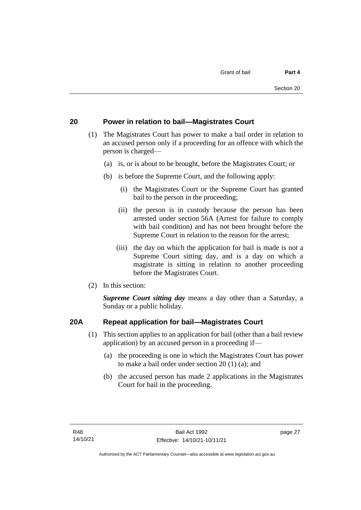## <span id="page-34-0"></span>**20 Power in relation to bail—Magistrates Court**

- (1) The Magistrates Court has power to make a bail order in relation to an accused person only if a proceeding for an offence with which the person is charged—
	- (a) is, or is about to be brought, before the Magistrates Court; or
	- (b) is before the Supreme Court, and the following apply:
		- (i) the Magistrates Court or the Supreme Court has granted bail to the person in the proceeding;
		- (ii) the person is in custody because the person has been arrested under section 56A (Arrest for failure to comply with bail condition) and has not been brought before the Supreme Court in relation to the reason for the arrest;
		- (iii) the day on which the application for bail is made is not a Supreme Court sitting day, and is a day on which a magistrate is sitting in relation to another proceeding before the Magistrates Court.
- (2) In this section:

*Supreme Court sitting day* means a day other than a Saturday, a Sunday or a public holiday.

## <span id="page-34-1"></span>**20A Repeat application for bail—Magistrates Court**

- (1) This section applies to an application for bail (other than a bail review application) by an accused person in a proceeding if—
	- (a) the proceeding is one in which the Magistrates Court has power to make a bail order under section 20 (1) (a); and
	- (b) the accused person has made 2 applications in the Magistrates Court for bail in the proceeding.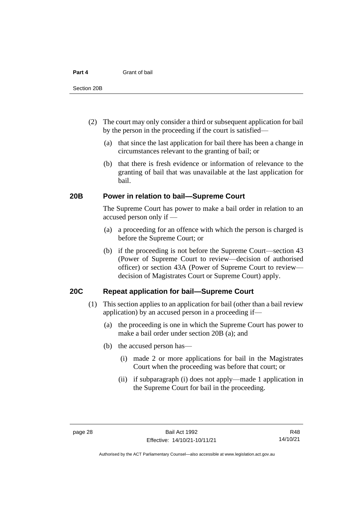#### **Part 4** Grant of bail

- (2) The court may only consider a third or subsequent application for bail by the person in the proceeding if the court is satisfied—
	- (a) that since the last application for bail there has been a change in circumstances relevant to the granting of bail; or
	- (b) that there is fresh evidence or information of relevance to the granting of bail that was unavailable at the last application for bail.

#### <span id="page-35-0"></span>**20B Power in relation to bail—Supreme Court**

The Supreme Court has power to make a bail order in relation to an accused person only if —

- (a) a proceeding for an offence with which the person is charged is before the Supreme Court; or
- (b) if the proceeding is not before the Supreme Court—section 43 (Power of Supreme Court to review—decision of authorised officer) or section 43A (Power of Supreme Court to review decision of Magistrates Court or Supreme Court) apply.

### <span id="page-35-1"></span>**20C Repeat application for bail—Supreme Court**

- (1) This section applies to an application for bail (other than a bail review application) by an accused person in a proceeding if—
	- (a) the proceeding is one in which the Supreme Court has power to make a bail order under section 20B (a); and
	- (b) the accused person has—
		- (i) made 2 or more applications for bail in the Magistrates Court when the proceeding was before that court; or
		- (ii) if subparagraph (i) does not apply—made 1 application in the Supreme Court for bail in the proceeding.

R48 14/10/21

Authorised by the ACT Parliamentary Counsel—also accessible at www.legislation.act.gov.au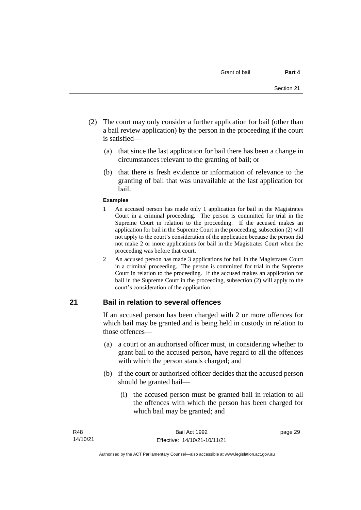- (2) The court may only consider a further application for bail (other than a bail review application) by the person in the proceeding if the court is satisfied—
	- (a) that since the last application for bail there has been a change in circumstances relevant to the granting of bail; or
	- (b) that there is fresh evidence or information of relevance to the granting of bail that was unavailable at the last application for bail.

#### **Examples**

- 1 An accused person has made only 1 application for bail in the Magistrates Court in a criminal proceeding. The person is committed for trial in the Supreme Court in relation to the proceeding. If the accused makes an application for bail in the Supreme Court in the proceeding, subsection (2) will not apply to the court's consideration of the application because the person did not make 2 or more applications for bail in the Magistrates Court when the proceeding was before that court.
- 2 An accused person has made 3 applications for bail in the Magistrates Court in a criminal proceeding. The person is committed for trial in the Supreme Court in relation to the proceeding. If the accused makes an application for bail in the Supreme Court in the proceeding, subsection (2) will apply to the court's consideration of the application.

### **21 Bail in relation to several offences**

If an accused person has been charged with 2 or more offences for which bail may be granted and is being held in custody in relation to those offences—

- (a) a court or an authorised officer must, in considering whether to grant bail to the accused person, have regard to all the offences with which the person stands charged; and
- (b) if the court or authorised officer decides that the accused person should be granted bail—
	- (i) the accused person must be granted bail in relation to all the offences with which the person has been charged for which bail may be granted; and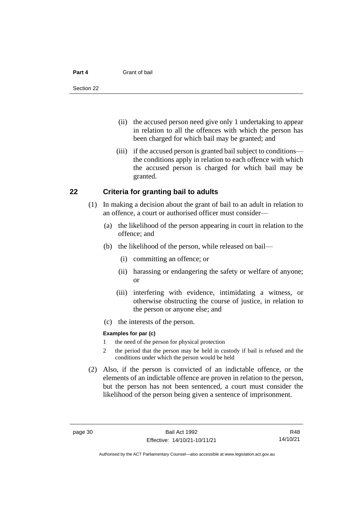#### **Part 4** Grant of bail

- (ii) the accused person need give only 1 undertaking to appear in relation to all the offences with which the person has been charged for which bail may be granted; and
- (iii) if the accused person is granted bail subject to conditions the conditions apply in relation to each offence with which the accused person is charged for which bail may be granted.

### **22 Criteria for granting bail to adults**

- (1) In making a decision about the grant of bail to an adult in relation to an offence, a court or authorised officer must consider—
	- (a) the likelihood of the person appearing in court in relation to the offence; and
	- (b) the likelihood of the person, while released on bail—
		- (i) committing an offence; or
		- (ii) harassing or endangering the safety or welfare of anyone; or
		- (iii) interfering with evidence, intimidating a witness, or otherwise obstructing the course of justice, in relation to the person or anyone else; and
	- (c) the interests of the person.

### **Examples for par (c)**

- 1 the need of the person for physical protection
- 2 the period that the person may be held in custody if bail is refused and the conditions under which the person would be held
- (2) Also, if the person is convicted of an indictable offence, or the elements of an indictable offence are proven in relation to the person, but the person has not been sentenced, a court must consider the likelihood of the person being given a sentence of imprisonment.

R48 14/10/21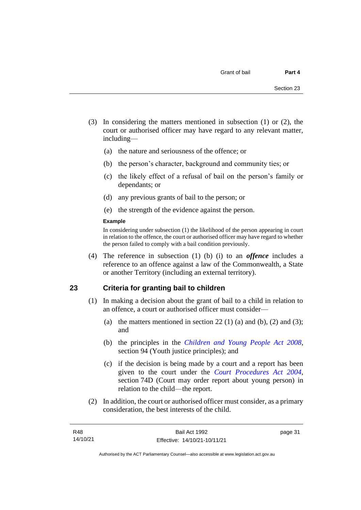- (3) In considering the matters mentioned in subsection (1) or (2), the court or authorised officer may have regard to any relevant matter, including—
	- (a) the nature and seriousness of the offence; or
	- (b) the person's character, background and community ties; or
	- (c) the likely effect of a refusal of bail on the person's family or dependants; or
	- (d) any previous grants of bail to the person; or
	- (e) the strength of the evidence against the person.

### **Example**

In considering under subsection (1) the likelihood of the person appearing in court in relation to the offence, the court or authorised officer may have regard to whether the person failed to comply with a bail condition previously.

(4) The reference in subsection (1) (b) (i) to an *offence* includes a reference to an offence against a law of the Commonwealth, a State or another Territory (including an external territory).

### **23 Criteria for granting bail to children**

- (1) In making a decision about the grant of bail to a child in relation to an offence, a court or authorised officer must consider—
	- (a) the matters mentioned in section 22 (1) (a) and (b), (2) and (3); and
	- (b) the principles in the *[Children and Young People Act 2008](http://www.legislation.act.gov.au/a/2008-19)*, section 94 (Youth justice principles); and
	- (c) if the decision is being made by a court and a report has been given to the court under the *[Court Procedures Act 2004](http://www.legislation.act.gov.au/a/2004-59)*, section 74D (Court may order report about young person) in relation to the child—the report.
- (2) In addition, the court or authorised officer must consider, as a primary consideration, the best interests of the child.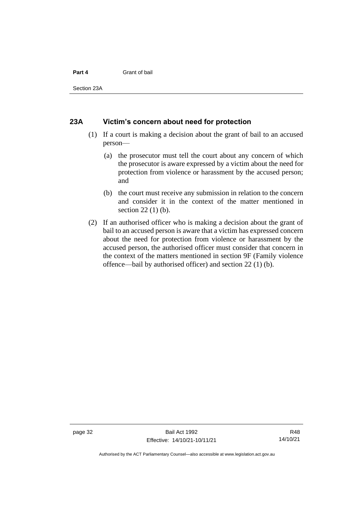### **Part 4** Grant of bail

Section 23A

### **23A Victim's concern about need for protection**

- (1) If a court is making a decision about the grant of bail to an accused person—
	- (a) the prosecutor must tell the court about any concern of which the prosecutor is aware expressed by a victim about the need for protection from violence or harassment by the accused person; and
	- (b) the court must receive any submission in relation to the concern and consider it in the context of the matter mentioned in section 22 (1) (b).
- (2) If an authorised officer who is making a decision about the grant of bail to an accused person is aware that a victim has expressed concern about the need for protection from violence or harassment by the accused person, the authorised officer must consider that concern in the context of the matters mentioned in section 9F (Family violence offence—bail by authorised officer) and section 22 (1) (b).

page 32 Bail Act 1992 Effective: 14/10/21-10/11/21

R48 14/10/21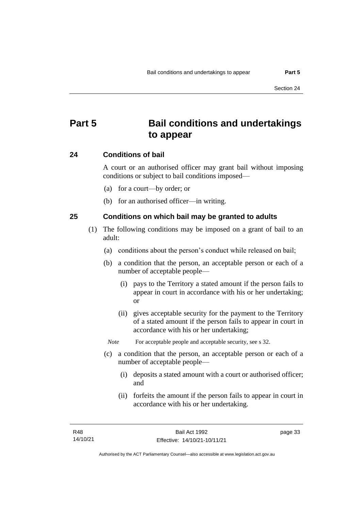# **Part 5 Bail conditions and undertakings to appear**

### **24 Conditions of bail**

A court or an authorised officer may grant bail without imposing conditions or subject to bail conditions imposed—

- (a) for a court—by order; or
- (b) for an authorised officer—in writing.

### **25 Conditions on which bail may be granted to adults**

- (1) The following conditions may be imposed on a grant of bail to an adult:
	- (a) conditions about the person's conduct while released on bail;
	- (b) a condition that the person, an acceptable person or each of a number of acceptable people—
		- (i) pays to the Territory a stated amount if the person fails to appear in court in accordance with his or her undertaking; or
		- (ii) gives acceptable security for the payment to the Territory of a stated amount if the person fails to appear in court in accordance with his or her undertaking;

*Note* For acceptable people and acceptable security, see s 32.

- (c) a condition that the person, an acceptable person or each of a number of acceptable people—
	- (i) deposits a stated amount with a court or authorised officer; and
	- (ii) forfeits the amount if the person fails to appear in court in accordance with his or her undertaking.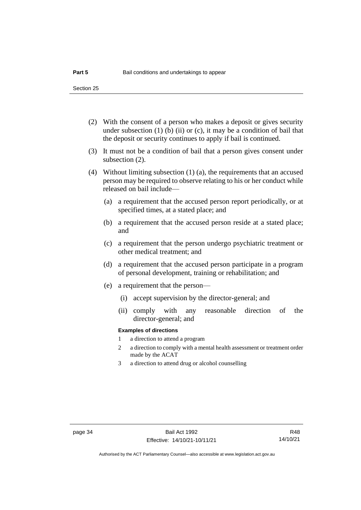- (2) With the consent of a person who makes a deposit or gives security under subsection  $(1)$  (b)  $(ii)$  or  $(c)$ , it may be a condition of bail that the deposit or security continues to apply if bail is continued.
- (3) It must not be a condition of bail that a person gives consent under subsection (2).
- (4) Without limiting subsection (1) (a), the requirements that an accused person may be required to observe relating to his or her conduct while released on bail include—
	- (a) a requirement that the accused person report periodically, or at specified times, at a stated place; and
	- (b) a requirement that the accused person reside at a stated place; and
	- (c) a requirement that the person undergo psychiatric treatment or other medical treatment; and
	- (d) a requirement that the accused person participate in a program of personal development, training or rehabilitation; and
	- (e) a requirement that the person—
		- (i) accept supervision by the director-general; and
		- (ii) comply with any reasonable direction of the director-general; and

### **Examples of directions**

- 1 a direction to attend a program
- 2 a direction to comply with a mental health assessment or treatment order made by the ACAT
- 3 a direction to attend drug or alcohol counselling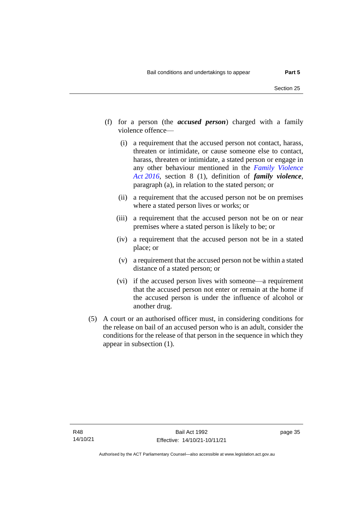- (f) for a person (the *accused person*) charged with a family violence offence—
	- (i) a requirement that the accused person not contact, harass, threaten or intimidate, or cause someone else to contact, harass, threaten or intimidate, a stated person or engage in any other behaviour mentioned in the *[Family Violence](http://www.legislation.act.gov.au/a/2016-42)  Act [2016](http://www.legislation.act.gov.au/a/2016-42)*, section 8 (1), definition of *family violence*, paragraph (a), in relation to the stated person; or
	- (ii) a requirement that the accused person not be on premises where a stated person lives or works; or
	- (iii) a requirement that the accused person not be on or near premises where a stated person is likely to be; or
	- (iv) a requirement that the accused person not be in a stated place; or
	- (v) a requirement that the accused person not be within a stated distance of a stated person; or
	- (vi) if the accused person lives with someone—a requirement that the accused person not enter or remain at the home if the accused person is under the influence of alcohol or another drug.
- (5) A court or an authorised officer must, in considering conditions for the release on bail of an accused person who is an adult, consider the conditions for the release of that person in the sequence in which they appear in subsection (1).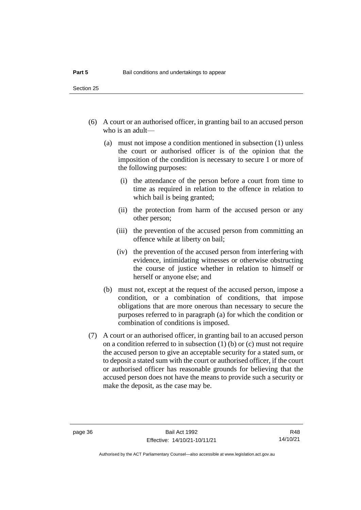- (6) A court or an authorised officer, in granting bail to an accused person who is an adult—
	- (a) must not impose a condition mentioned in subsection (1) unless the court or authorised officer is of the opinion that the imposition of the condition is necessary to secure 1 or more of the following purposes:
		- (i) the attendance of the person before a court from time to time as required in relation to the offence in relation to which bail is being granted;
		- (ii) the protection from harm of the accused person or any other person;
		- (iii) the prevention of the accused person from committing an offence while at liberty on bail;
		- (iv) the prevention of the accused person from interfering with evidence, intimidating witnesses or otherwise obstructing the course of justice whether in relation to himself or herself or anyone else; and
	- (b) must not, except at the request of the accused person, impose a condition, or a combination of conditions, that impose obligations that are more onerous than necessary to secure the purposes referred to in paragraph (a) for which the condition or combination of conditions is imposed.
- (7) A court or an authorised officer, in granting bail to an accused person on a condition referred to in subsection (1) (b) or (c) must not require the accused person to give an acceptable security for a stated sum, or to deposit a stated sum with the court or authorised officer, if the court or authorised officer has reasonable grounds for believing that the accused person does not have the means to provide such a security or make the deposit, as the case may be.

R48 14/10/21

Authorised by the ACT Parliamentary Counsel—also accessible at www.legislation.act.gov.au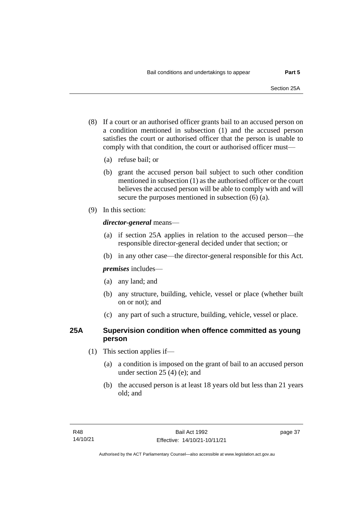- (8) If a court or an authorised officer grants bail to an accused person on a condition mentioned in subsection (1) and the accused person satisfies the court or authorised officer that the person is unable to comply with that condition, the court or authorised officer must—
	- (a) refuse bail; or
	- (b) grant the accused person bail subject to such other condition mentioned in subsection (1) as the authorised officer or the court believes the accused person will be able to comply with and will secure the purposes mentioned in subsection (6) (a).
- (9) In this section:

### *director-general* means—

- (a) if section 25A applies in relation to the accused person—the responsible director-general decided under that section; or
- (b) in any other case—the director-general responsible for this Act.

*premises* includes—

- (a) any land; and
- (b) any structure, building, vehicle, vessel or place (whether built on or not); and
- (c) any part of such a structure, building, vehicle, vessel or place.

### **25A Supervision condition when offence committed as young person**

- (1) This section applies if—
	- (a) a condition is imposed on the grant of bail to an accused person under section 25 (4) (e); and
	- (b) the accused person is at least 18 years old but less than 21 years old; and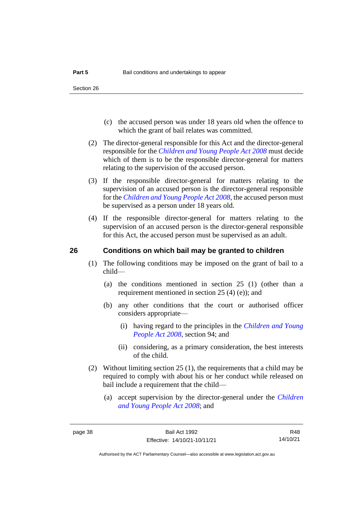- (c) the accused person was under 18 years old when the offence to which the grant of bail relates was committed.
- (2) The director-general responsible for this Act and the director-general responsible for the *[Children and Young People Act 2008](http://www.legislation.act.gov.au/a/2008-19)* must decide which of them is to be the responsible director-general for matters relating to the supervision of the accused person.
- (3) If the responsible director-general for matters relating to the supervision of an accused person is the director-general responsible for the *[Children and Young People Act 2008](http://www.legislation.act.gov.au/a/2008-19)*, the accused person must be supervised as a person under 18 years old.
- (4) If the responsible director-general for matters relating to the supervision of an accused person is the director-general responsible for this Act, the accused person must be supervised as an adult.

### **26 Conditions on which bail may be granted to children**

- (1) The following conditions may be imposed on the grant of bail to a child—
	- (a) the conditions mentioned in section 25 (1) (other than a requirement mentioned in section 25 (4) (e)); and
	- (b) any other conditions that the court or authorised officer considers appropriate—
		- (i) having regard to the principles in the *[Children and Young](http://www.legislation.act.gov.au/a/2008-19)  [People Act 2008](http://www.legislation.act.gov.au/a/2008-19)*, section 94; and
		- (ii) considering, as a primary consideration, the best interests of the child.
- (2) Without limiting section 25 (1), the requirements that a child may be required to comply with about his or her conduct while released on bail include a requirement that the child—
	- (a) accept supervision by the director-general under the *[Children](http://www.legislation.act.gov.au/a/2008-19)  [and Young People Act 2008](http://www.legislation.act.gov.au/a/2008-19)*; and

R48 14/10/21

Authorised by the ACT Parliamentary Counsel—also accessible at www.legislation.act.gov.au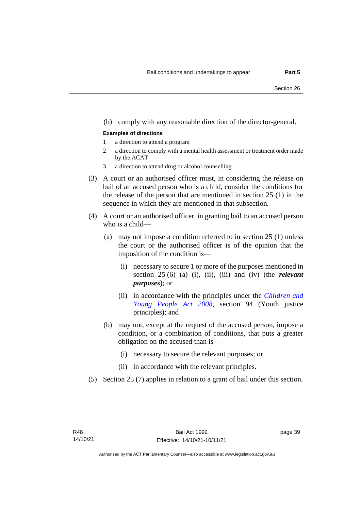### (b) comply with any reasonable direction of the director-general.

#### **Examples of directions**

- 1 a direction to attend a program
- 2 a direction to comply with a mental health assessment or treatment order made by the ACAT
- 3 a direction to attend drug or alcohol counselling.
- (3) A court or an authorised officer must, in considering the release on bail of an accused person who is a child, consider the conditions for the release of the person that are mentioned in section 25 (1) in the sequence in which they are mentioned in that subsection.
- (4) A court or an authorised officer, in granting bail to an accused person who is a child—
	- (a) may not impose a condition referred to in section 25 (1) unless the court or the authorised officer is of the opinion that the imposition of the condition is—
		- (i) necessary to secure 1 or more of the purposes mentioned in section 25 (6) (a) (i), (ii), (iii) and (iv) (the *relevant purposes*); or
		- (ii) in accordance with the principles under the *[Children and](http://www.legislation.act.gov.au/a/2008-19)  [Young People Act 2008](http://www.legislation.act.gov.au/a/2008-19)*, section 94 (Youth justice principles); and
	- (b) may not, except at the request of the accused person, impose a condition, or a combination of conditions, that puts a greater obligation on the accused than is—
		- (i) necessary to secure the relevant purposes; or
		- (ii) in accordance with the relevant principles.
- (5) Section 25 (7) applies in relation to a grant of bail under this section.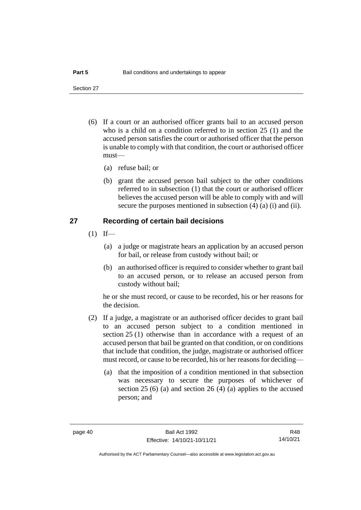Section 27

- (6) If a court or an authorised officer grants bail to an accused person who is a child on a condition referred to in section 25 (1) and the accused person satisfies the court or authorised officer that the person is unable to comply with that condition, the court or authorised officer must—
	- (a) refuse bail; or
	- (b) grant the accused person bail subject to the other conditions referred to in subsection (1) that the court or authorised officer believes the accused person will be able to comply with and will secure the purposes mentioned in subsection (4) (a) (i) and (ii).

### **27 Recording of certain bail decisions**

- $(1)$  If—
	- (a) a judge or magistrate hears an application by an accused person for bail, or release from custody without bail; or
	- (b) an authorised officer is required to consider whether to grant bail to an accused person, or to release an accused person from custody without bail;

he or she must record, or cause to be recorded, his or her reasons for the decision.

- (2) If a judge, a magistrate or an authorised officer decides to grant bail to an accused person subject to a condition mentioned in section 25 (1) otherwise than in accordance with a request of an accused person that bail be granted on that condition, or on conditions that include that condition, the judge, magistrate or authorised officer must record, or cause to be recorded, his or her reasons for deciding—
	- (a) that the imposition of a condition mentioned in that subsection was necessary to secure the purposes of whichever of section 25 (6) (a) and section 26 (4) (a) applies to the accused person; and

R48 14/10/21

Authorised by the ACT Parliamentary Counsel—also accessible at www.legislation.act.gov.au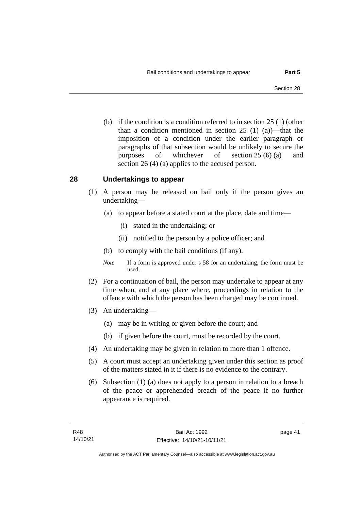(b) if the condition is a condition referred to in section 25 (1) (other than a condition mentioned in section 25 (1) (a))—that the imposition of a condition under the earlier paragraph or paragraphs of that subsection would be unlikely to secure the purposes of whichever of section 25 (6) (a) and section 26 (4) (a) applies to the accused person.

### **28 Undertakings to appear**

- (1) A person may be released on bail only if the person gives an undertaking—
	- (a) to appear before a stated court at the place, date and time—
		- (i) stated in the undertaking; or
		- (ii) notified to the person by a police officer; and
	- (b) to comply with the bail conditions (if any).
	- *Note* If a form is approved under s 58 for an undertaking, the form must be used.
- (2) For a continuation of bail, the person may undertake to appear at any time when, and at any place where, proceedings in relation to the offence with which the person has been charged may be continued.
- (3) An undertaking—
	- (a) may be in writing or given before the court; and
	- (b) if given before the court, must be recorded by the court.
- (4) An undertaking may be given in relation to more than 1 offence.
- (5) A court must accept an undertaking given under this section as proof of the matters stated in it if there is no evidence to the contrary.
- (6) Subsection (1) (a) does not apply to a person in relation to a breach of the peace or apprehended breach of the peace if no further appearance is required.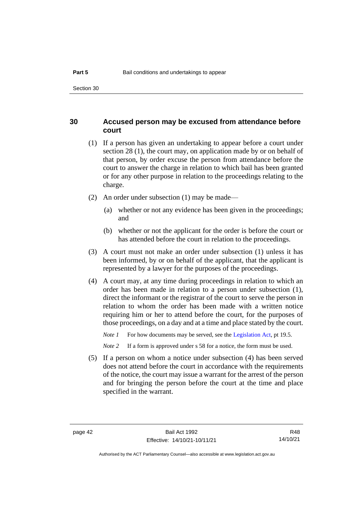### **30 Accused person may be excused from attendance before court**

- (1) If a person has given an undertaking to appear before a court under section 28 (1), the court may, on application made by or on behalf of that person, by order excuse the person from attendance before the court to answer the charge in relation to which bail has been granted or for any other purpose in relation to the proceedings relating to the charge.
- (2) An order under subsection (1) may be made—
	- (a) whether or not any evidence has been given in the proceedings; and
	- (b) whether or not the applicant for the order is before the court or has attended before the court in relation to the proceedings.
- (3) A court must not make an order under subsection (1) unless it has been informed, by or on behalf of the applicant, that the applicant is represented by a lawyer for the purposes of the proceedings.
- (4) A court may, at any time during proceedings in relation to which an order has been made in relation to a person under subsection (1), direct the informant or the registrar of the court to serve the person in relation to whom the order has been made with a written notice requiring him or her to attend before the court, for the purposes of those proceedings, on a day and at a time and place stated by the court.

*Note 1* For how documents may be served, see th[e Legislation Act,](http://www.legislation.act.gov.au/a/2001-14) pt 19.5.

*Note 2* If a form is approved under s 58 for a notice, the form must be used.

(5) If a person on whom a notice under subsection (4) has been served does not attend before the court in accordance with the requirements of the notice, the court may issue a warrant for the arrest of the person and for bringing the person before the court at the time and place specified in the warrant.

R48 14/10/21

Authorised by the ACT Parliamentary Counsel—also accessible at www.legislation.act.gov.au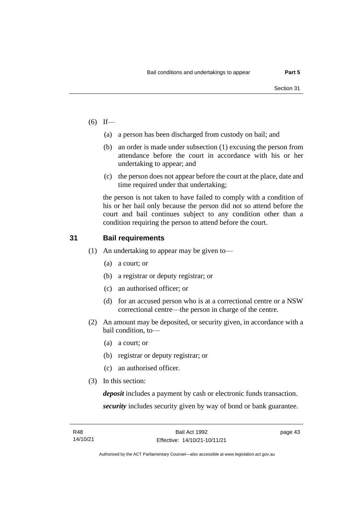- $(6)$  If—
	- (a) a person has been discharged from custody on bail; and
	- (b) an order is made under subsection (1) excusing the person from attendance before the court in accordance with his or her undertaking to appear; and
	- (c) the person does not appear before the court at the place, date and time required under that undertaking;

the person is not taken to have failed to comply with a condition of his or her bail only because the person did not so attend before the court and bail continues subject to any condition other than a condition requiring the person to attend before the court.

### **31 Bail requirements**

- (1) An undertaking to appear may be given to—
	- (a) a court; or
	- (b) a registrar or deputy registrar; or
	- (c) an authorised officer; or
	- (d) for an accused person who is at a correctional centre or a NSW correctional centre—the person in charge of the centre.
- (2) An amount may be deposited, or security given, in accordance with a bail condition, to—
	- (a) a court; or
	- (b) registrar or deputy registrar; or
	- (c) an authorised officer.
- (3) In this section:

*deposit* includes a payment by cash or electronic funds transaction. *security* includes security given by way of bond or bank guarantee.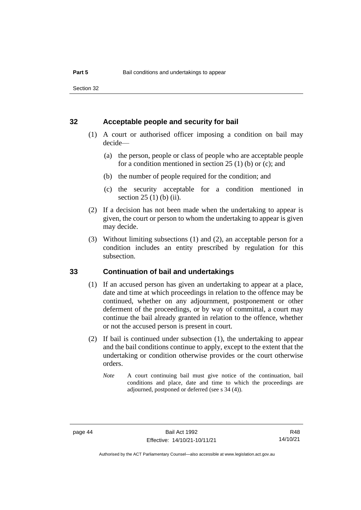Section 32

### **32 Acceptable people and security for bail**

- (1) A court or authorised officer imposing a condition on bail may decide—
	- (a) the person, people or class of people who are acceptable people for a condition mentioned in section 25 (1) (b) or (c); and
	- (b) the number of people required for the condition; and
	- (c) the security acceptable for a condition mentioned in section 25 (1) (b) (ii).
- (2) If a decision has not been made when the undertaking to appear is given, the court or person to whom the undertaking to appear is given may decide.
- (3) Without limiting subsections (1) and (2), an acceptable person for a condition includes an entity prescribed by regulation for this subsection.

### **33 Continuation of bail and undertakings**

- (1) If an accused person has given an undertaking to appear at a place, date and time at which proceedings in relation to the offence may be continued, whether on any adjournment, postponement or other deferment of the proceedings, or by way of committal, a court may continue the bail already granted in relation to the offence, whether or not the accused person is present in court.
- (2) If bail is continued under subsection (1), the undertaking to appear and the bail conditions continue to apply, except to the extent that the undertaking or condition otherwise provides or the court otherwise orders.
	- *Note* A court continuing bail must give notice of the continuation, bail conditions and place, date and time to which the proceedings are adjourned, postponed or deferred (see s 34 (4)).

page 44 Bail Act 1992 Effective: 14/10/21-10/11/21

R48 14/10/21

Authorised by the ACT Parliamentary Counsel—also accessible at www.legislation.act.gov.au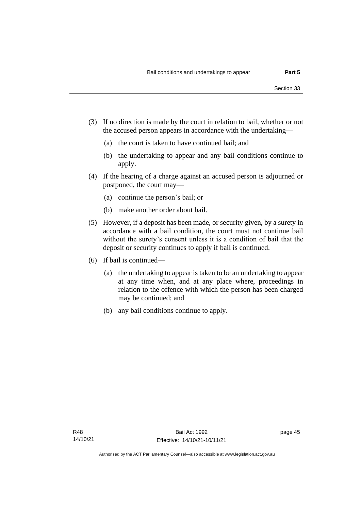- (3) If no direction is made by the court in relation to bail, whether or not the accused person appears in accordance with the undertaking—
	- (a) the court is taken to have continued bail; and
	- (b) the undertaking to appear and any bail conditions continue to apply.
- (4) If the hearing of a charge against an accused person is adjourned or postponed, the court may—
	- (a) continue the person's bail; or
	- (b) make another order about bail.
- (5) However, if a deposit has been made, or security given, by a surety in accordance with a bail condition, the court must not continue bail without the surety's consent unless it is a condition of bail that the deposit or security continues to apply if bail is continued.
- (6) If bail is continued—
	- (a) the undertaking to appear is taken to be an undertaking to appear at any time when, and at any place where, proceedings in relation to the offence with which the person has been charged may be continued; and
	- (b) any bail conditions continue to apply.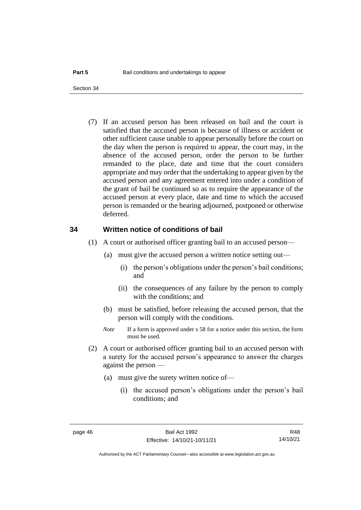(7) If an accused person has been released on bail and the court is satisfied that the accused person is because of illness or accident or other sufficient cause unable to appear personally before the court on the day when the person is required to appear, the court may, in the absence of the accused person, order the person to be further remanded to the place, date and time that the court considers appropriate and may order that the undertaking to appear given by the accused person and any agreement entered into under a condition of the grant of bail be continued so as to require the appearance of the accused person at every place, date and time to which the accused person is remanded or the hearing adjourned, postponed or otherwise deferred.

### **34 Written notice of conditions of bail**

- (1) A court or authorised officer granting bail to an accused person—
	- (a) must give the accused person a written notice setting out—
		- (i) the person's obligations under the person's bail conditions; and
		- (ii) the consequences of any failure by the person to comply with the conditions; and
	- (b) must be satisfied, before releasing the accused person, that the person will comply with the conditions.
	- *Note* If a form is approved under s 58 for a notice under this section, the form must be used.
- (2) A court or authorised officer granting bail to an accused person with a surety for the accused person's appearance to answer the charges against the person —
	- (a) must give the surety written notice of—
		- (i) the accused person's obligations under the person's bail conditions; and

R48 14/10/21

Authorised by the ACT Parliamentary Counsel—also accessible at www.legislation.act.gov.au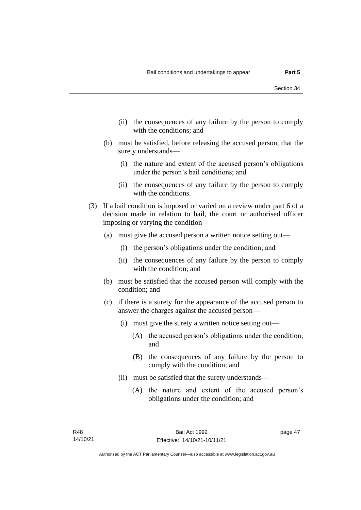- (ii) the consequences of any failure by the person to comply with the conditions; and
- (b) must be satisfied, before releasing the accused person, that the surety understands—
	- (i) the nature and extent of the accused person's obligations under the person's bail conditions; and
	- (ii) the consequences of any failure by the person to comply with the conditions.
- (3) If a bail condition is imposed or varied on a review under part 6 of a decision made in relation to bail, the court or authorised officer imposing or varying the condition—
	- (a) must give the accused person a written notice setting out—
		- (i) the person's obligations under the condition; and
		- (ii) the consequences of any failure by the person to comply with the condition; and
	- (b) must be satisfied that the accused person will comply with the condition; and
	- (c) if there is a surety for the appearance of the accused person to answer the charges against the accused person—
		- (i) must give the surety a written notice setting out—
			- (A) the accused person's obligations under the condition; and
			- (B) the consequences of any failure by the person to comply with the condition; and
		- (ii) must be satisfied that the surety understands—
			- (A) the nature and extent of the accused person's obligations under the condition; and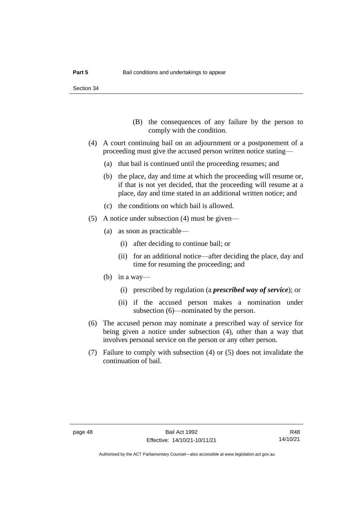- (B) the consequences of any failure by the person to comply with the condition.
- (4) A court continuing bail on an adjournment or a postponement of a proceeding must give the accused person written notice stating—
	- (a) that bail is continued until the proceeding resumes; and
	- (b) the place, day and time at which the proceeding will resume or, if that is not yet decided, that the proceeding will resume at a place, day and time stated in an additional written notice; and
	- (c) the conditions on which bail is allowed.
- (5) A notice under subsection (4) must be given—
	- (a) as soon as practicable—
		- (i) after deciding to continue bail; or
		- (ii) for an additional notice—after deciding the place, day and time for resuming the proceeding; and
	- (b) in a way—
		- (i) prescribed by regulation (a *prescribed way of service*); or
		- (ii) if the accused person makes a nomination under subsection (6)—nominated by the person.
- (6) The accused person may nominate a prescribed way of service for being given a notice under subsection (4), other than a way that involves personal service on the person or any other person.
- (7) Failure to comply with subsection (4) or (5) does not invalidate the continuation of bail.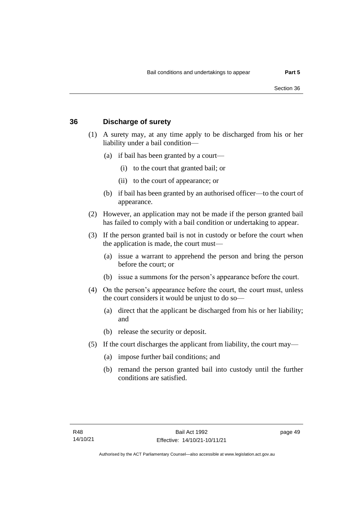### **36 Discharge of surety**

- (1) A surety may, at any time apply to be discharged from his or her liability under a bail condition—
	- (a) if bail has been granted by a court—
		- (i) to the court that granted bail; or
		- (ii) to the court of appearance; or
	- (b) if bail has been granted by an authorised officer—to the court of appearance.
- (2) However, an application may not be made if the person granted bail has failed to comply with a bail condition or undertaking to appear.
- (3) If the person granted bail is not in custody or before the court when the application is made, the court must—
	- (a) issue a warrant to apprehend the person and bring the person before the court; or
	- (b) issue a summons for the person's appearance before the court.
- (4) On the person's appearance before the court, the court must, unless the court considers it would be unjust to do so—
	- (a) direct that the applicant be discharged from his or her liability; and
	- (b) release the security or deposit.
- (5) If the court discharges the applicant from liability, the court may—
	- (a) impose further bail conditions; and
	- (b) remand the person granted bail into custody until the further conditions are satisfied.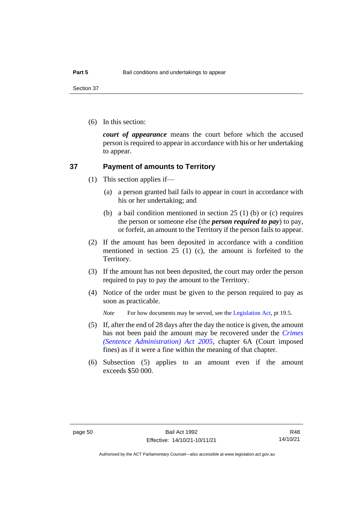Section 37

(6) In this section:

*court of appearance* means the court before which the accused person is required to appear in accordance with his or her undertaking to appear.

### **37 Payment of amounts to Territory**

- (1) This section applies if—
	- (a) a person granted bail fails to appear in court in accordance with his or her undertaking; and
	- (b) a bail condition mentioned in section 25 (1) (b) or (c) requires the person or someone else (the *person required to pay*) to pay, or forfeit, an amount to the Territory if the person fails to appear.
- (2) If the amount has been deposited in accordance with a condition mentioned in section 25 (1) (c), the amount is forfeited to the Territory.
- (3) If the amount has not been deposited, the court may order the person required to pay to pay the amount to the Territory.
- (4) Notice of the order must be given to the person required to pay as soon as practicable.

*Note* For how documents may be served, see th[e Legislation Act,](http://www.legislation.act.gov.au/a/2001-14) pt 19.5.

- (5) If, after the end of 28 days after the day the notice is given, the amount has not been paid the amount may be recovered under the *[Crimes](http://www.legislation.act.gov.au/a/2005-59)  [\(Sentence Administration\) Act 2005](http://www.legislation.act.gov.au/a/2005-59)*, chapter 6A (Court imposed fines) as if it were a fine within the meaning of that chapter.
- (6) Subsection (5) applies to an amount even if the amount exceeds \$50 000.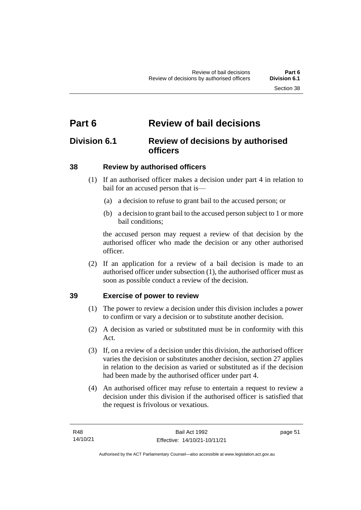# **Part 6 Review of bail decisions**

## **Division 6.1 Review of decisions by authorised officers**

## **38 Review by authorised officers**

- (1) If an authorised officer makes a decision under part 4 in relation to bail for an accused person that is—
	- (a) a decision to refuse to grant bail to the accused person; or
	- (b) a decision to grant bail to the accused person subject to 1 or more bail conditions;

the accused person may request a review of that decision by the authorised officer who made the decision or any other authorised officer.

(2) If an application for a review of a bail decision is made to an authorised officer under subsection (1), the authorised officer must as soon as possible conduct a review of the decision.

## **39 Exercise of power to review**

- (1) The power to review a decision under this division includes a power to confirm or vary a decision or to substitute another decision.
- (2) A decision as varied or substituted must be in conformity with this Act.
- (3) If, on a review of a decision under this division, the authorised officer varies the decision or substitutes another decision, section 27 applies in relation to the decision as varied or substituted as if the decision had been made by the authorised officer under part 4.
- (4) An authorised officer may refuse to entertain a request to review a decision under this division if the authorised officer is satisfied that the request is frivolous or vexatious.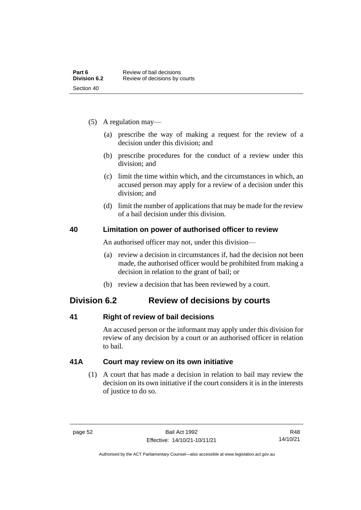- (5) A regulation may—
	- (a) prescribe the way of making a request for the review of a decision under this division; and
	- (b) prescribe procedures for the conduct of a review under this division; and
	- (c) limit the time within which, and the circumstances in which, an accused person may apply for a review of a decision under this division; and
	- (d) limit the number of applications that may be made for the review of a bail decision under this division.

### **40 Limitation on power of authorised officer to review**

An authorised officer may not, under this division—

- (a) review a decision in circumstances if, had the decision not been made, the authorised officer would be prohibited from making a decision in relation to the grant of bail; or
- (b) review a decision that has been reviewed by a court.

## **Division 6.2 Review of decisions by courts**

## **41 Right of review of bail decisions**

An accused person or the informant may apply under this division for review of any decision by a court or an authorised officer in relation to bail.

## **41A Court may review on its own initiative**

(1) A court that has made a decision in relation to bail may review the decision on its own initiative if the court considers it is in the interests of justice to do so.

R48 14/10/21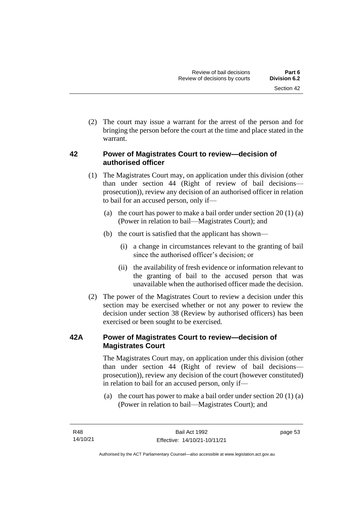(2) The court may issue a warrant for the arrest of the person and for bringing the person before the court at the time and place stated in the warrant.

## **42 Power of Magistrates Court to review—decision of authorised officer**

- (1) The Magistrates Court may, on application under this division (other than under section 44 (Right of review of bail decisions prosecution)), review any decision of an authorised officer in relation to bail for an accused person, only if—
	- (a) the court has power to make a bail order under section  $20(1)(a)$ (Power in relation to bail—Magistrates Court); and
	- (b) the court is satisfied that the applicant has shown—
		- (i) a change in circumstances relevant to the granting of bail since the authorised officer's decision; or
		- (ii) the availability of fresh evidence or information relevant to the granting of bail to the accused person that was unavailable when the authorised officer made the decision.
- (2) The power of the Magistrates Court to review a decision under this section may be exercised whether or not any power to review the decision under section 38 (Review by authorised officers) has been exercised or been sought to be exercised.

## **42A Power of Magistrates Court to review—decision of Magistrates Court**

The Magistrates Court may, on application under this division (other than under section 44 (Right of review of bail decisions prosecution)), review any decision of the court (however constituted) in relation to bail for an accused person, only if—

(a) the court has power to make a bail order under section 20 (1) (a) (Power in relation to bail—Magistrates Court); and

Authorised by the ACT Parliamentary Counsel—also accessible at www.legislation.act.gov.au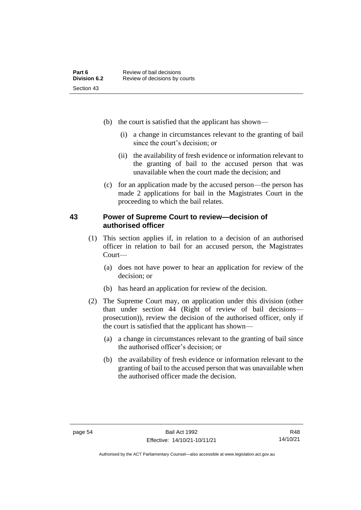- (b) the court is satisfied that the applicant has shown—
	- (i) a change in circumstances relevant to the granting of bail since the court's decision; or
	- (ii) the availability of fresh evidence or information relevant to the granting of bail to the accused person that was unavailable when the court made the decision; and
- (c) for an application made by the accused person—the person has made 2 applications for bail in the Magistrates Court in the proceeding to which the bail relates.

### **43 Power of Supreme Court to review—decision of authorised officer**

- (1) This section applies if, in relation to a decision of an authorised officer in relation to bail for an accused person, the Magistrates Court—
	- (a) does not have power to hear an application for review of the decision; or
	- (b) has heard an application for review of the decision.
- (2) The Supreme Court may, on application under this division (other than under section 44 (Right of review of bail decisions prosecution)), review the decision of the authorised officer, only if the court is satisfied that the applicant has shown—
	- (a) a change in circumstances relevant to the granting of bail since the authorised officer's decision; or
	- (b) the availability of fresh evidence or information relevant to the granting of bail to the accused person that was unavailable when the authorised officer made the decision.

Authorised by the ACT Parliamentary Counsel—also accessible at www.legislation.act.gov.au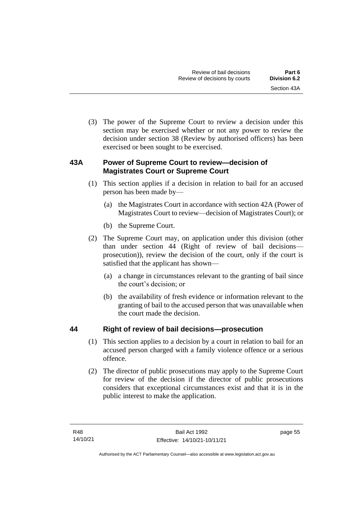(3) The power of the Supreme Court to review a decision under this section may be exercised whether or not any power to review the decision under section 38 (Review by authorised officers) has been exercised or been sought to be exercised.

## **43A Power of Supreme Court to review—decision of Magistrates Court or Supreme Court**

- (1) This section applies if a decision in relation to bail for an accused person has been made by—
	- (a) the Magistrates Court in accordance with section 42A (Power of Magistrates Court to review—decision of Magistrates Court); or
	- (b) the Supreme Court.
- (2) The Supreme Court may, on application under this division (other than under section 44 (Right of review of bail decisions prosecution)), review the decision of the court, only if the court is satisfied that the applicant has shown—
	- (a) a change in circumstances relevant to the granting of bail since the court's decision; or
	- (b) the availability of fresh evidence or information relevant to the granting of bail to the accused person that was unavailable when the court made the decision.

## **44 Right of review of bail decisions—prosecution**

- (1) This section applies to a decision by a court in relation to bail for an accused person charged with a family violence offence or a serious offence.
- (2) The director of public prosecutions may apply to the Supreme Court for review of the decision if the director of public prosecutions considers that exceptional circumstances exist and that it is in the public interest to make the application.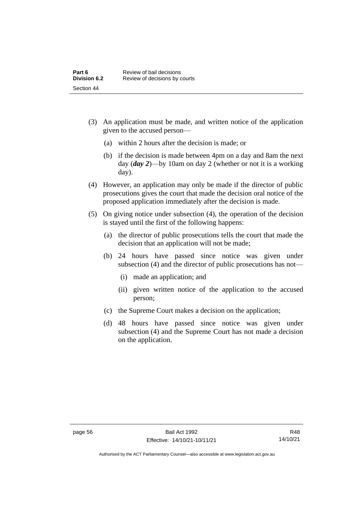- (3) An application must be made, and written notice of the application given to the accused person—
	- (a) within 2 hours after the decision is made; or
	- (b) if the decision is made between 4pm on a day and 8am the next day (*day 2*)—by 10am on day 2 (whether or not it is a working day).
- (4) However, an application may only be made if the director of public prosecutions gives the court that made the decision oral notice of the proposed application immediately after the decision is made.
- (5) On giving notice under subsection (4), the operation of the decision is stayed until the first of the following happens:
	- (a) the director of public prosecutions tells the court that made the decision that an application will not be made;
	- (b) 24 hours have passed since notice was given under subsection (4) and the director of public prosecutions has not—
		- (i) made an application; and
		- (ii) given written notice of the application to the accused person;
	- (c) the Supreme Court makes a decision on the application;
	- (d) 48 hours have passed since notice was given under subsection (4) and the Supreme Court has not made a decision on the application.

Authorised by the ACT Parliamentary Counsel—also accessible at www.legislation.act.gov.au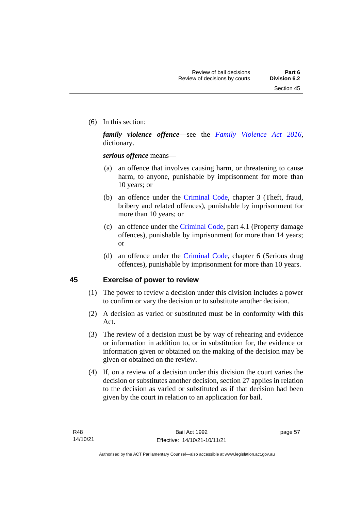(6) In this section:

*family violence offence*—see the *[Family Violence Act 2016](http://www.legislation.act.gov.au/a/2016-42)*, dictionary.

*serious offence* means—

- (a) an offence that involves causing harm, or threatening to cause harm, to anyone, punishable by imprisonment for more than 10 years; or
- (b) an offence under the [Criminal Code,](http://www.legislation.act.gov.au/a/2002-51) chapter 3 (Theft, fraud, bribery and related offences), punishable by imprisonment for more than 10 years; or
- (c) an offence under the [Criminal Code,](http://www.legislation.act.gov.au/a/2002-51) part 4.1 (Property damage offences), punishable by imprisonment for more than 14 years; or
- (d) an offence under the [Criminal Code,](http://www.legislation.act.gov.au/a/2002-51) chapter 6 (Serious drug offences), punishable by imprisonment for more than 10 years.

### **45 Exercise of power to review**

- (1) The power to review a decision under this division includes a power to confirm or vary the decision or to substitute another decision.
- (2) A decision as varied or substituted must be in conformity with this Act.
- (3) The review of a decision must be by way of rehearing and evidence or information in addition to, or in substitution for, the evidence or information given or obtained on the making of the decision may be given or obtained on the review.
- (4) If, on a review of a decision under this division the court varies the decision or substitutes another decision, section 27 applies in relation to the decision as varied or substituted as if that decision had been given by the court in relation to an application for bail.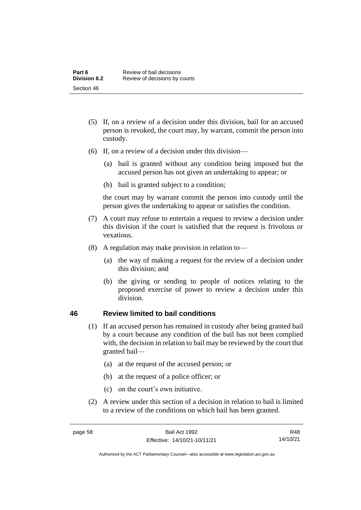- (5) If, on a review of a decision under this division, bail for an accused person is revoked, the court may, by warrant, commit the person into custody.
- (6) If, on a review of a decision under this division—
	- (a) bail is granted without any condition being imposed but the accused person has not given an undertaking to appear; or
	- (b) bail is granted subject to a condition;

the court may by warrant commit the person into custody until the person gives the undertaking to appear or satisfies the condition.

- (7) A court may refuse to entertain a request to review a decision under this division if the court is satisfied that the request is frivolous or vexatious.
- (8) A regulation may make provision in relation to—
	- (a) the way of making a request for the review of a decision under this division; and
	- (b) the giving or sending to people of notices relating to the proposed exercise of power to review a decision under this division.

### **46 Review limited to bail conditions**

- (1) If an accused person has remained in custody after being granted bail by a court because any condition of the bail has not been complied with, the decision in relation to bail may be reviewed by the court that granted bail—
	- (a) at the request of the accused person; or
	- (b) at the request of a police officer; or
	- (c) on the court's own initiative.
- (2) A review under this section of a decision in relation to bail is limited to a review of the conditions on which bail has been granted.

Authorised by the ACT Parliamentary Counsel—also accessible at www.legislation.act.gov.au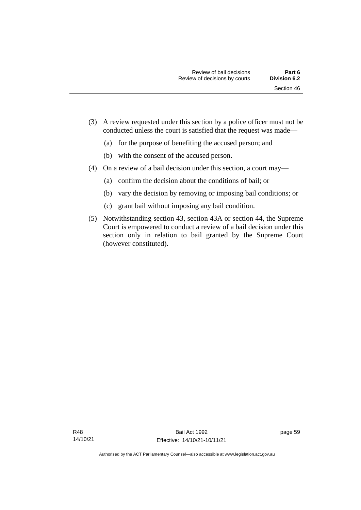- (3) A review requested under this section by a police officer must not be conducted unless the court is satisfied that the request was made—
	- (a) for the purpose of benefiting the accused person; and
	- (b) with the consent of the accused person.
- (4) On a review of a bail decision under this section, a court may—
	- (a) confirm the decision about the conditions of bail; or
	- (b) vary the decision by removing or imposing bail conditions; or
	- (c) grant bail without imposing any bail condition.
- (5) Notwithstanding section 43, section 43A or section 44, the Supreme Court is empowered to conduct a review of a bail decision under this section only in relation to bail granted by the Supreme Court (however constituted).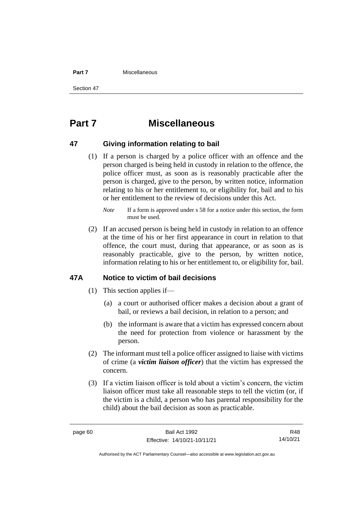#### **Part 7** Miscellaneous

Section 47

# **Part 7 Miscellaneous**

### **47 Giving information relating to bail**

(1) If a person is charged by a police officer with an offence and the person charged is being held in custody in relation to the offence, the police officer must, as soon as is reasonably practicable after the person is charged, give to the person, by written notice, information relating to his or her entitlement to, or eligibility for, bail and to his or her entitlement to the review of decisions under this Act.

(2) If an accused person is being held in custody in relation to an offence at the time of his or her first appearance in court in relation to that offence, the court must, during that appearance, or as soon as is reasonably practicable, give to the person, by written notice, information relating to his or her entitlement to, or eligibility for, bail.

### **47A Notice to victim of bail decisions**

- (1) This section applies if—
	- (a) a court or authorised officer makes a decision about a grant of bail, or reviews a bail decision, in relation to a person; and
	- (b) the informant is aware that a victim has expressed concern about the need for protection from violence or harassment by the person.
- (2) The informant must tell a police officer assigned to liaise with victims of crime (a *victim liaison officer*) that the victim has expressed the concern.
- (3) If a victim liaison officer is told about a victim's concern, the victim liaison officer must take all reasonable steps to tell the victim (or, if the victim is a child, a person who has parental responsibility for the child) about the bail decision as soon as practicable.

R48 14/10/21

Authorised by the ACT Parliamentary Counsel—also accessible at www.legislation.act.gov.au

*Note* If a form is approved under s 58 for a notice under this section, the form must be used.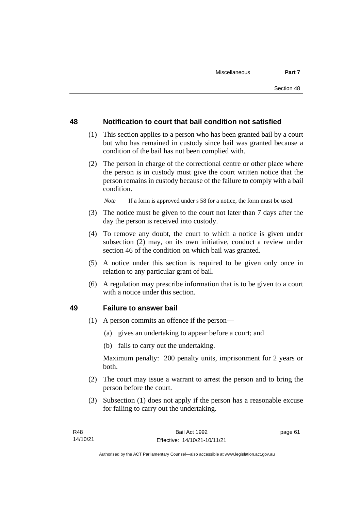### **48 Notification to court that bail condition not satisfied**

- (1) This section applies to a person who has been granted bail by a court but who has remained in custody since bail was granted because a condition of the bail has not been complied with.
- (2) The person in charge of the correctional centre or other place where the person is in custody must give the court written notice that the person remains in custody because of the failure to comply with a bail condition.

*Note* If a form is approved under s 58 for a notice, the form must be used.

- (3) The notice must be given to the court not later than 7 days after the day the person is received into custody.
- (4) To remove any doubt, the court to which a notice is given under subsection (2) may, on its own initiative, conduct a review under section 46 of the condition on which bail was granted.
- (5) A notice under this section is required to be given only once in relation to any particular grant of bail.
- (6) A regulation may prescribe information that is to be given to a court with a notice under this section.

### **49 Failure to answer bail**

- (1) A person commits an offence if the person—
	- (a) gives an undertaking to appear before a court; and
	- (b) fails to carry out the undertaking.

Maximum penalty: 200 penalty units, imprisonment for 2 years or both.

- (2) The court may issue a warrant to arrest the person and to bring the person before the court.
- (3) Subsection (1) does not apply if the person has a reasonable excuse for failing to carry out the undertaking.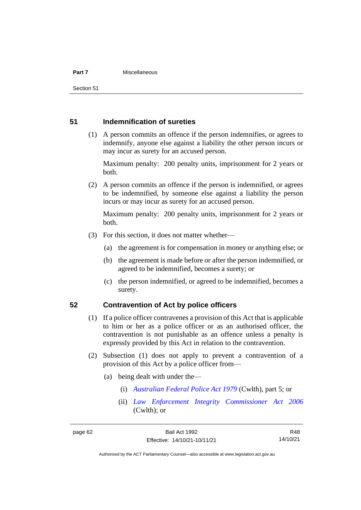#### **Part 7** Miscellaneous

Section 51

### **51 Indemnification of sureties**

(1) A person commits an offence if the person indemnifies, or agrees to indemnify, anyone else against a liability the other person incurs or may incur as surety for an accused person.

Maximum penalty: 200 penalty units, imprisonment for 2 years or both.

(2) A person commits an offence if the person is indemnified, or agrees to be indemnified, by someone else against a liability the person incurs or may incur as surety for an accused person.

Maximum penalty: 200 penalty units, imprisonment for 2 years or both.

- (3) For this section, it does not matter whether—
	- (a) the agreement is for compensation in money or anything else; or
	- (b) the agreement is made before or after the person indemnified, or agreed to be indemnified, becomes a surety; or
	- (c) the person indemnified, or agreed to be indemnified, becomes a surety.

### **52 Contravention of Act by police officers**

- (1) If a police officer contravenes a provision of this Act that is applicable to him or her as a police officer or as an authorised officer, the contravention is not punishable as an offence unless a penalty is expressly provided by this Act in relation to the contravention.
- (2) Subsection (1) does not apply to prevent a contravention of a provision of this Act by a police officer from—
	- (a) being dealt with under the—
		- (i) *[Australian Federal Police Act 1979](http://www.comlaw.gov.au/Series/C2004A02068)* (Cwlth), part 5; or
		- (ii) *[Law Enforcement Integrity Commissioner Act 2006](http://www.comlaw.gov.au/Series/C2006A00085)* (Cwlth); or

R48 14/10/21

Authorised by the ACT Parliamentary Counsel—also accessible at www.legislation.act.gov.au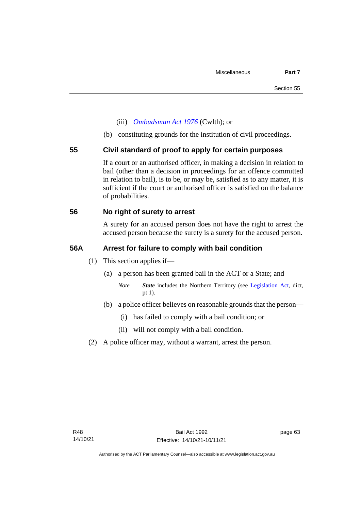- (iii) *[Ombudsman Act 1976](http://www.comlaw.gov.au/Series/C2004A01611)* (Cwlth); or
- (b) constituting grounds for the institution of civil proceedings.

### **55 Civil standard of proof to apply for certain purposes**

If a court or an authorised officer, in making a decision in relation to bail (other than a decision in proceedings for an offence committed in relation to bail), is to be, or may be, satisfied as to any matter, it is sufficient if the court or authorised officer is satisfied on the balance of probabilities.

### **56 No right of surety to arrest**

A surety for an accused person does not have the right to arrest the accused person because the surety is a surety for the accused person.

### **56A Arrest for failure to comply with bail condition**

- (1) This section applies if—
	- (a) a person has been granted bail in the ACT or a State; and
		- *Note State* includes the Northern Territory (see [Legislation Act,](http://www.legislation.act.gov.au/a/2001-14) dict, pt 1).
	- (b) a police officer believes on reasonable grounds that the person—
		- (i) has failed to comply with a bail condition; or
		- (ii) will not comply with a bail condition.
- (2) A police officer may, without a warrant, arrest the person.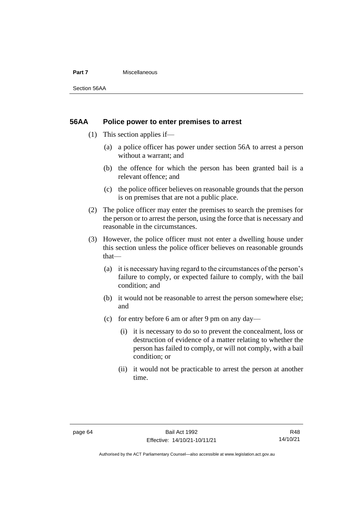#### **Part 7** Miscellaneous

Section 56AA

### **56AA Police power to enter premises to arrest**

- (1) This section applies if—
	- (a) a police officer has power under section 56A to arrest a person without a warrant; and
	- (b) the offence for which the person has been granted bail is a relevant offence; and
	- (c) the police officer believes on reasonable grounds that the person is on premises that are not a public place.
- (2) The police officer may enter the premises to search the premises for the person or to arrest the person, using the force that is necessary and reasonable in the circumstances.
- (3) However, the police officer must not enter a dwelling house under this section unless the police officer believes on reasonable grounds that—
	- (a) it is necessary having regard to the circumstances of the person's failure to comply, or expected failure to comply, with the bail condition; and
	- (b) it would not be reasonable to arrest the person somewhere else; and
	- (c) for entry before 6 am or after 9 pm on any day—
		- (i) it is necessary to do so to prevent the concealment, loss or destruction of evidence of a matter relating to whether the person has failed to comply, or will not comply, with a bail condition; or
		- (ii) it would not be practicable to arrest the person at another time.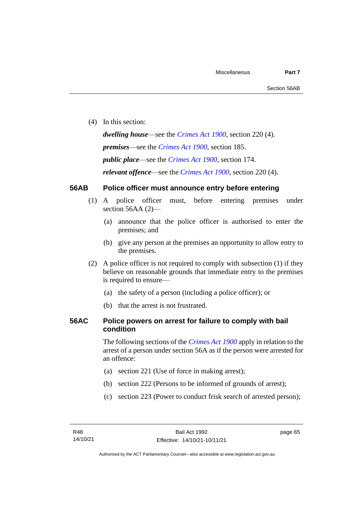(4) In this section:

*dwelling house*—see the *[Crimes Act](http://www.legislation.act.gov.au/a/1900-40) 1900*, section 220 (4). *premises*—see the *[Crimes Act](http://www.legislation.act.gov.au/a/1900-40) 1900*, section 185. *public place*—see the *[Crimes Act](http://www.legislation.act.gov.au/a/1900-40) 1900*, section 174. *relevant offence*—see the *[Crimes Act 1900](http://www.legislation.act.gov.au/a/1900-40)*, section 220 (4).

# **56AB Police officer must announce entry before entering**

- (1) A police officer must, before entering premises under section 56AA (2)-
	- (a) announce that the police officer is authorised to enter the premises; and
	- (b) give any person at the premises an opportunity to allow entry to the premises.
- (2) A police officer is not required to comply with subsection (1) if they believe on reasonable grounds that immediate entry to the premises is required to ensure—
	- (a) the safety of a person (including a police officer); or
	- (b) that the arrest is not frustrated.

# **56AC Police powers on arrest for failure to comply with bail condition**

The following sections of the *[Crimes Act](http://www.legislation.act.gov.au/a/1900-40) 1900* apply in relation to the arrest of a person under section 56A as if the person were arrested for an offence:

- (a) section 221 (Use of force in making arrest);
- (b) section 222 (Persons to be informed of grounds of arrest);
- (c) section 223 (Power to conduct frisk search of arrested person);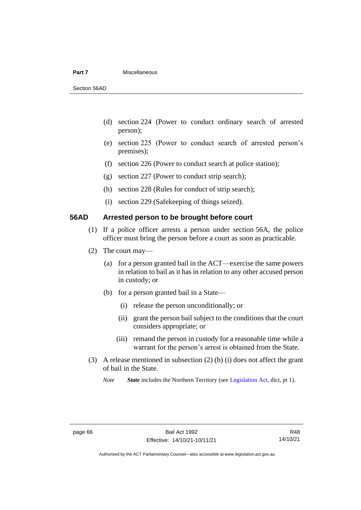#### **Part 7** Miscellaneous

Section 56AD

- (d) section 224 (Power to conduct ordinary search of arrested person);
- (e) section 225 (Power to conduct search of arrested person's premises);
- (f) section 226 (Power to conduct search at police station);
- (g) section 227 (Power to conduct strip search);
- (h) section 228 (Rules for conduct of strip search);
- (i) section 229 (Safekeeping of things seized).

# **56AD Arrested person to be brought before court**

- (1) If a police officer arrests a person under section 56A, the police officer must bring the person before a court as soon as practicable.
- (2) The court may—
	- (a) for a person granted bail in the ACT—exercise the same powers in relation to bail as it has in relation to any other accused person in custody; or
	- (b) for a person granted bail in a State—
		- (i) release the person unconditionally; or
		- (ii) grant the person bail subject to the conditions that the court considers appropriate; or
		- (iii) remand the person in custody for a reasonable time while a warrant for the person's arrest is obtained from the State.
- (3) A release mentioned in subsection (2) (b) (i) does not affect the grant of bail in the State.

*Note State* includes the Northern Territory (see [Legislation Act,](http://www.legislation.act.gov.au/a/2001-14) dict, pt 1).

R48 14/10/21

Authorised by the ACT Parliamentary Counsel—also accessible at www.legislation.act.gov.au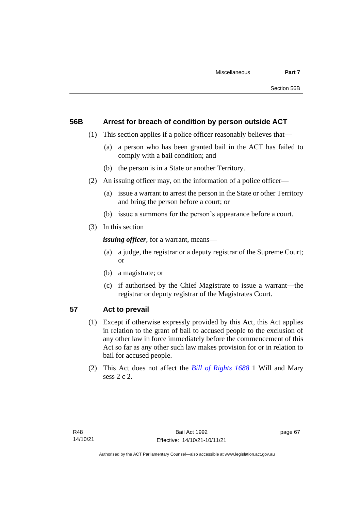# **56B Arrest for breach of condition by person outside ACT**

- (1) This section applies if a police officer reasonably believes that—
	- (a) a person who has been granted bail in the ACT has failed to comply with a bail condition; and
	- (b) the person is in a State or another Territory.
- (2) An issuing officer may, on the information of a police officer—
	- (a) issue a warrant to arrest the person in the State or other Territory and bring the person before a court; or
	- (b) issue a summons for the person's appearance before a court.
- (3) In this section

*issuing officer*, for a warrant, means—

- (a) a judge, the registrar or a deputy registrar of the Supreme Court; or
- (b) a magistrate; or
- (c) if authorised by the Chief Magistrate to issue a warrant—the registrar or deputy registrar of the Magistrates Court.

# **57 Act to prevail**

- (1) Except if otherwise expressly provided by this Act, this Act applies in relation to the grant of bail to accused people to the exclusion of any other law in force immediately before the commencement of this Act so far as any other such law makes provision for or in relation to bail for accused people.
- (2) This Act does not affect the *[Bill of Rights 1688](http://www.legislation.act.gov.au/a/db_1792/default.asp)* 1 Will and Mary sess 2 c 2.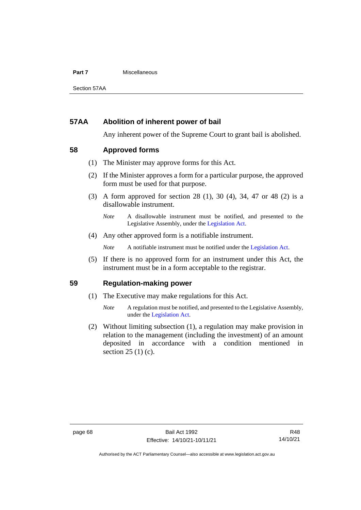## **Part 7** Miscellaneous

Section 57AA

# **57AA Abolition of inherent power of bail**

Any inherent power of the Supreme Court to grant bail is abolished.

# **58 Approved forms**

- (1) The Minister may approve forms for this Act.
- (2) If the Minister approves a form for a particular purpose, the approved form must be used for that purpose.
- (3) A form approved for section 28 (1), 30 (4), 34, 47 or 48 (2) is a disallowable instrument.

(4) Any other approved form is a notifiable instrument.

*Note* A notifiable instrument must be notified under the [Legislation Act.](http://www.legislation.act.gov.au/a/2001-14)

(5) If there is no approved form for an instrument under this Act, the instrument must be in a form acceptable to the registrar.

# **59 Regulation-making power**

- (1) The Executive may make regulations for this Act.
	- *Note* A regulation must be notified, and presented to the Legislative Assembly, under the [Legislation Act.](http://www.legislation.act.gov.au/a/2001-14)
- (2) Without limiting subsection (1), a regulation may make provision in relation to the management (including the investment) of an amount deposited in accordance with a condition mentioned in section 25 (1) (c).

*Note* A disallowable instrument must be notified, and presented to the Legislative Assembly, under the [Legislation Act.](http://www.legislation.act.gov.au/a/2001-14)

Authorised by the ACT Parliamentary Counsel—also accessible at www.legislation.act.gov.au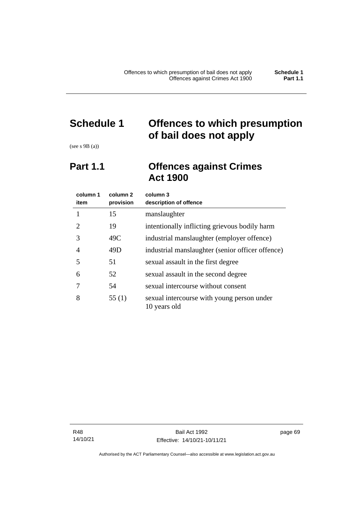# **Schedule 1 Offences to which presumption of bail does not apply**

(see s 9B (a))

# **Part 1.1 Offences against Crimes Act 1900**

| column 1<br>item | column 2<br>provision | column 3<br>description of offence                         |  |
|------------------|-----------------------|------------------------------------------------------------|--|
|                  | 15                    | manslaughter                                               |  |
| 2                | 19                    | intentionally inflicting grievous bodily harm              |  |
| 3                | 49C                   | industrial manslaughter (employer offence)                 |  |
| 4                | 49D                   | industrial manslaughter (senior officer offence)           |  |
| 5                | 51                    | sexual assault in the first degree                         |  |
| 6                | 52                    | sexual assault in the second degree                        |  |
|                  | 54                    | sexual intercourse without consent                         |  |
| 8                | 55(1)                 | sexual intercourse with young person under<br>10 years old |  |

R48 14/10/21 page 69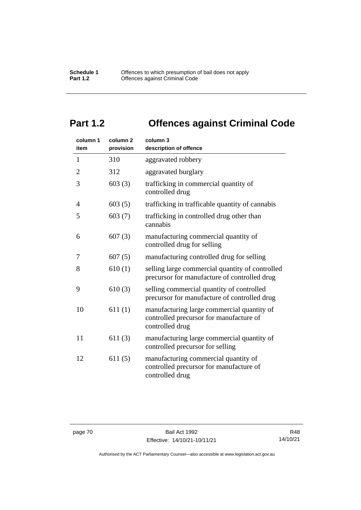# **Part 1.2 Offences against Criminal Code**

| column 1<br>item | column <sub>2</sub><br>provision | column 3<br>description of offence                                                                       |
|------------------|----------------------------------|----------------------------------------------------------------------------------------------------------|
| $\mathbf{1}$     | 310                              | aggravated robbery                                                                                       |
| $\overline{2}$   | 312                              | aggravated burglary                                                                                      |
| 3                | 603(3)                           | trafficking in commercial quantity of<br>controlled drug                                                 |
| 4                | 603(5)                           | trafficking in trafficable quantity of cannabis                                                          |
| 5                | 603(7)                           | trafficking in controlled drug other than<br>cannabis                                                    |
| 6                | 607(3)                           | manufacturing commercial quantity of<br>controlled drug for selling                                      |
| 7                | 607(5)                           | manufacturing controlled drug for selling                                                                |
| 8                | 610(1)                           | selling large commercial quantity of controlled<br>precursor for manufacture of controlled drug          |
| 9                | 610(3)                           | selling commercial quantity of controlled<br>precursor for manufacture of controlled drug                |
| 10               | 611(1)                           | manufacturing large commercial quantity of<br>controlled precursor for manufacture of<br>controlled drug |
| 11               | 611(3)                           | manufacturing large commercial quantity of<br>controlled precursor for selling                           |
| 12               | 611(5)                           | manufacturing commercial quantity of<br>controlled precursor for manufacture of<br>controlled drug       |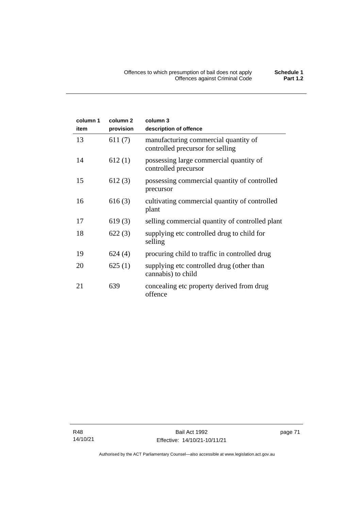| column 1<br>item | column <sub>2</sub><br>provision | column 3<br>description of offence                                       |
|------------------|----------------------------------|--------------------------------------------------------------------------|
| 13               | 611(7)                           | manufacturing commercial quantity of<br>controlled precursor for selling |
| 14               | 612(1)                           | possessing large commercial quantity of<br>controlled precursor          |
| 15               | 612(3)                           | possessing commercial quantity of controlled<br>precursor                |
| 16               | 616(3)                           | cultivating commercial quantity of controlled<br>plant                   |
| 17               | 619(3)                           | selling commercial quantity of controlled plant                          |
| 18               | 622(3)                           | supplying etc controlled drug to child for<br>selling                    |
| 19               | 624(4)                           | procuring child to traffic in controlled drug                            |
| 20               | 625(1)                           | supplying etc controlled drug (other than<br>cannabis) to child          |
| 21               | 639                              | concealing etc property derived from drug<br>offence                     |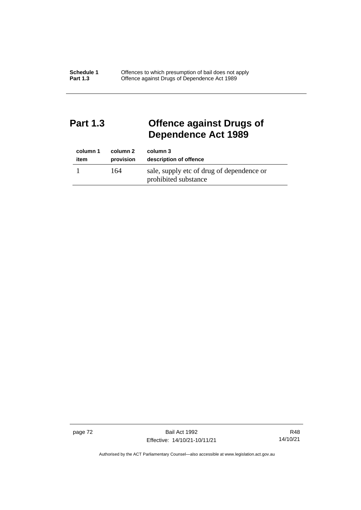# **Part 1.3 Offence against Drugs of Dependence Act 1989**

| column 1 | column 2  | column 3                                                          |
|----------|-----------|-------------------------------------------------------------------|
| item     | provision | description of offence                                            |
|          | 164       | sale, supply etc of drug of dependence or<br>prohibited substance |

page 72 Bail Act 1992 Effective: 14/10/21-10/11/21

R48 14/10/21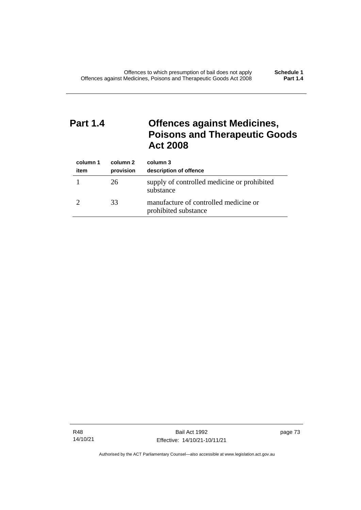# **Part 1.4 Offences against Medicines, Poisons and Therapeutic Goods Act 2008**

| column 1<br>item | column 2<br>provision | column 3<br>description of offence                            |
|------------------|-----------------------|---------------------------------------------------------------|
|                  | 26                    | supply of controlled medicine or prohibited<br>substance      |
|                  | 33                    | manufacture of controlled medicine or<br>prohibited substance |

R48 14/10/21

Bail Act 1992 Effective: 14/10/21-10/11/21 page 73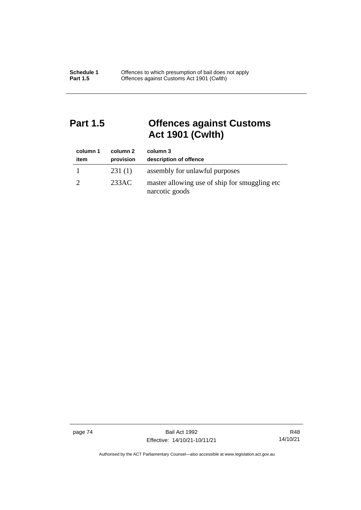# **Part 1.5 Offences against Customs Act 1901 (Cwlth)**

| column 1<br>item | column 2<br>provision | column 3<br>description of offence                               |
|------------------|-----------------------|------------------------------------------------------------------|
|                  | 231(1)                | assembly for unlawful purposes                                   |
|                  | 233AC                 | master allowing use of ship for smuggling etc.<br>narcotic goods |

page 74 Bail Act 1992 Effective: 14/10/21-10/11/21

R48 14/10/21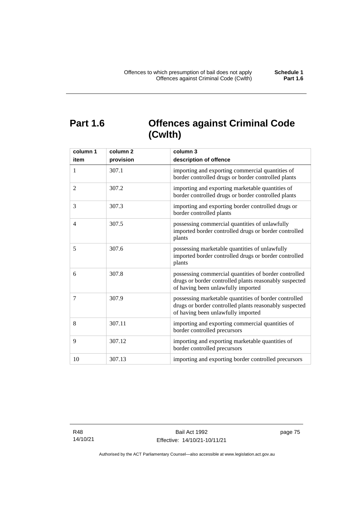# **Part 1.6 Offences against Criminal Code (Cwlth)**

| column 1<br>item | column <sub>2</sub><br>provision | column 3<br>description of offence                                                                                                                    |
|------------------|----------------------------------|-------------------------------------------------------------------------------------------------------------------------------------------------------|
| $\mathbf{1}$     | 307.1                            | importing and exporting commercial quantities of<br>border controlled drugs or border controlled plants                                               |
| 2                | 307.2                            | importing and exporting marketable quantities of<br>border controlled drugs or border controlled plants                                               |
| 3                | 307.3                            | importing and exporting border controlled drugs or<br>border controlled plants                                                                        |
| $\overline{4}$   | 307.5                            | possessing commercial quantities of unlawfully<br>imported border controlled drugs or border controlled<br>plants                                     |
| 5                | 307.6                            | possessing marketable quantities of unlawfully<br>imported border controlled drugs or border controlled<br>plants                                     |
| 6                | 307.8                            | possessing commercial quantities of border controlled<br>drugs or border controlled plants reasonably suspected<br>of having been unlawfully imported |
| 7                | 307.9                            | possessing marketable quantities of border controlled<br>drugs or border controlled plants reasonably suspected<br>of having been unlawfully imported |
| 8                | 307.11                           | importing and exporting commercial quantities of<br>border controlled precursors                                                                      |
| 9                | 307.12                           | importing and exporting marketable quantities of<br>border controlled precursors                                                                      |
| 10               | 307.13                           | importing and exporting border controlled precursors                                                                                                  |

R48 14/10/21 page 75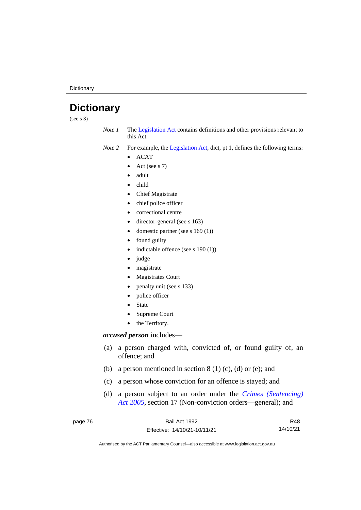**Dictionary** 

# **Dictionary**

(see s 3)

*Note 1* The [Legislation Act](http://www.legislation.act.gov.au/a/2001-14) contains definitions and other provisions relevant to this Act.

*Note 2* For example, the [Legislation Act,](http://www.legislation.act.gov.au/a/2001-14) dict, pt 1, defines the following terms:

- ACAT
- Act (see s 7)
- adult
- child
- Chief Magistrate
- chief police officer
- correctional centre
- director-general (see s 163)
- domestic partner (see s 169 (1))
- found guilty
- indictable offence (see s 190 (1))
- judge
- magistrate
- Magistrates Court
- penalty unit (see s 133)
- police officer
- **State**
- Supreme Court
- the Territory.

## *accused person* includes—

- (a) a person charged with, convicted of, or found guilty of, an offence; and
- (b) a person mentioned in section  $8(1)(c)$ , (d) or (e); and
- (c) a person whose conviction for an offence is stayed; and
- (d) a person subject to an order under the *[Crimes \(Sentencing\)](http://www.legislation.act.gov.au/a/2005-58)  Act [2005](http://www.legislation.act.gov.au/a/2005-58)*, section 17 (Non-conviction orders—general); and

| page 76 | Bail Act 1992                | R48      |
|---------|------------------------------|----------|
|         | Effective: 14/10/21-10/11/21 | 14/10/21 |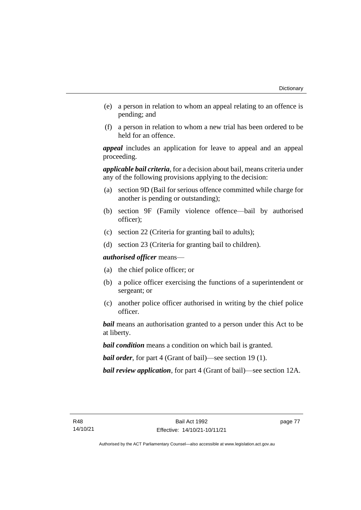- (e) a person in relation to whom an appeal relating to an offence is pending; and
- (f) a person in relation to whom a new trial has been ordered to be held for an offence.

*appeal* includes an application for leave to appeal and an appeal proceeding.

*applicable bail criteria*, for a decision about bail, means criteria under any of the following provisions applying to the decision:

- (a) section 9D (Bail for serious offence committed while charge for another is pending or outstanding);
- (b) section 9F (Family violence offence—bail by authorised officer);
- (c) section 22 (Criteria for granting bail to adults);
- (d) section 23 (Criteria for granting bail to children).

*authorised officer* means—

- (a) the chief police officer; or
- (b) a police officer exercising the functions of a superintendent or sergeant; or
- (c) another police officer authorised in writing by the chief police officer.

*bail* means an authorisation granted to a person under this Act to be at liberty.

*bail condition* means a condition on which bail is granted.

*bail order*, for part 4 (Grant of bail)—see section 19 (1).

*bail review application*, for part 4 (Grant of bail)—see section 12A.

page 77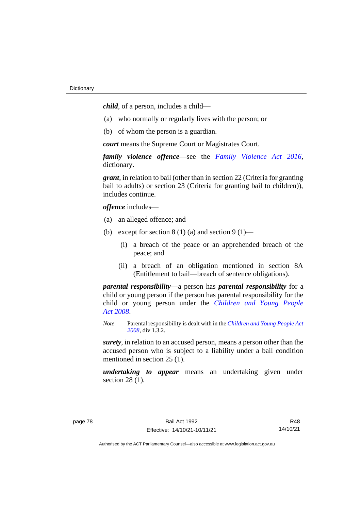*child*, of a person, includes a child—

- (a) who normally or regularly lives with the person; or
- (b) of whom the person is a guardian.

*court* means the Supreme Court or Magistrates Court.

*family violence offence*—see the *[Family Violence Act 2016](http://www.legislation.act.gov.au/a/2016-42)*, dictionary.

*grant*, in relation to bail (other than in section 22 (Criteria for granting bail to adults) or section 23 (Criteria for granting bail to children)), includes continue.

*offence* includes—

- (a) an alleged offence; and
- (b) except for section  $8(1)(a)$  and section  $9(1)$ 
	- (i) a breach of the peace or an apprehended breach of the peace; and
	- (ii) a breach of an obligation mentioned in section 8A (Entitlement to bail—breach of sentence obligations).

*parental responsibility*—a person has *parental responsibility* for a child or young person if the person has parental responsibility for the child or young person under the *[Children and Young People](http://www.legislation.act.gov.au/a/2008-19)  Act [2008](http://www.legislation.act.gov.au/a/2008-19)*.

*Note* Parental responsibility is dealt with in the *[Children and Young People Act](http://www.legislation.act.gov.au/a/2008-19)  [2008](http://www.legislation.act.gov.au/a/2008-19)*, div 1.3.2.

*surety*, in relation to an accused person, means a person other than the accused person who is subject to a liability under a bail condition mentioned in section 25 (1).

*undertaking to appear* means an undertaking given under section 28 (1).

R48 14/10/21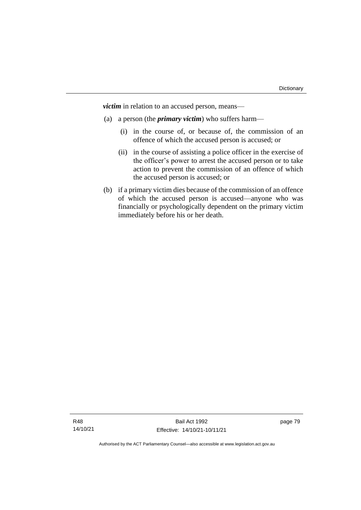*victim* in relation to an accused person, means—

- (a) a person (the *primary victim*) who suffers harm—
	- (i) in the course of, or because of, the commission of an offence of which the accused person is accused; or
	- (ii) in the course of assisting a police officer in the exercise of the officer's power to arrest the accused person or to take action to prevent the commission of an offence of which the accused person is accused; or
- (b) if a primary victim dies because of the commission of an offence of which the accused person is accused—anyone who was financially or psychologically dependent on the primary victim immediately before his or her death.

page 79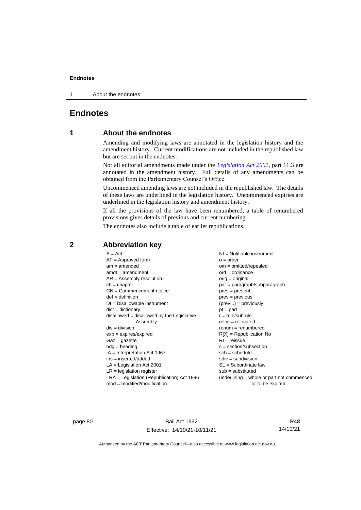1 About the endnotes

# **Endnotes**

# **1 About the endnotes**

Amending and modifying laws are annotated in the legislation history and the amendment history. Current modifications are not included in the republished law but are set out in the endnotes.

Not all editorial amendments made under the *[Legislation Act 2001](http://www.legislation.act.gov.au/a/2001-14)*, part 11.3 are annotated in the amendment history. Full details of any amendments can be obtained from the Parliamentary Counsel's Office.

Uncommenced amending laws are not included in the republished law. The details of these laws are underlined in the legislation history. Uncommenced expiries are underlined in the legislation history and amendment history.

If all the provisions of the law have been renumbered, a table of renumbered provisions gives details of previous and current numbering.

The endnotes also include a table of earlier republications.

| $A = Act$                                    | $NI =$ Notifiable instrument                |
|----------------------------------------------|---------------------------------------------|
|                                              |                                             |
| $AF =$ Approved form                         | $o = order$                                 |
| $am = amended$                               | $om = omitted/repealed$                     |
| $amdt = amendment$                           | $ord = ordinance$                           |
| $AR = Assembly resolution$                   | orig = original                             |
| $ch = chapter$                               | par = paragraph/subparagraph                |
| $CN =$ Commencement notice                   | $pres = present$                            |
| $def = definition$                           | $prev = previous$                           |
| $DI = Disallowable instrument$               | $(\text{prev}) = \text{previously}$         |
| $dict = dictionary$                          | $pt = part$                                 |
| $disallowed = disallowed by the Legislative$ | $r = rule/subrule$                          |
| Assembly                                     | $reloc = relocated$                         |
| $div = division$                             | $renum = renumbered$                        |
| $exp = expires/expired$                      | $R[X]$ = Republication No                   |
| $Gaz = gazette$                              | $RI = reissue$                              |
| $h dq =$ heading                             | $s = section/subsection$                    |
| $IA = Interpretation Act 1967$               | $sch = schedule$                            |
| ins = inserted/added                         | $sdiv = subdivision$                        |
| $LA =$ Legislation Act 2001                  | $SL = Subordinate$ law                      |
| $LR =$ legislation register                  | $sub =$ substituted                         |
| $LRA =$ Legislation (Republication) Act 1996 | $underlining = whole or part not commenced$ |
| $mod = modified/modification$                | or to be expired                            |
|                                              |                                             |

# **2 Abbreviation key**

page 80 Bail Act 1992 Effective: 14/10/21-10/11/21

R48 14/10/21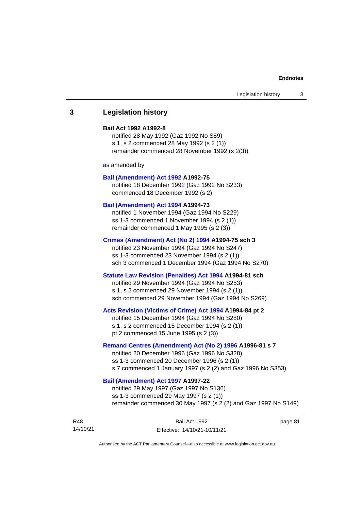# **3 Legislation history**

### **Bail Act 1992 A1992-8**

notified 28 May 1992 (Gaz 1992 No S59) s 1, s 2 commenced 28 May 1992 (s 2 (1)) remainder commenced 28 November 1992 (s 2(3))

as amended by

#### **[Bail \(Amendment\) Act 1992](http://www.legislation.act.gov.au/a/1992-75) A1992-75**

notified 18 December 1992 (Gaz 1992 No S233) commenced 18 December 1992 (s 2)

#### **[Bail \(Amendment\) Act 1994](http://www.legislation.act.gov.au/a/1994-73) A1994-73**

notified 1 November 1994 (Gaz 1994 No S229) ss 1-3 commenced 1 November 1994 (s 2 (1)) remainder commenced 1 May 1995 (s 2 (3))

#### **[Crimes \(Amendment\) Act \(No 2\) 1994](http://www.legislation.act.gov.au/a/1994-75) A1994-75 sch 3**

notified 23 November 1994 (Gaz 1994 No S247) ss 1-3 commenced 23 November 1994 (s 2 (1)) sch 3 commenced 1 December 1994 (Gaz 1994 No S270)

## **[Statute Law Revision \(Penalties\) Act 1994](http://www.legislation.act.gov.au/a/1994-81) A1994-81 sch**

notified 29 November 1994 (Gaz 1994 No S253) s 1, s 2 commenced 29 November 1994 (s 2 (1)) sch commenced 29 November 1994 (Gaz 1994 No S269)

#### **[Acts Revision \(Victims of Crime\) Act 1994](http://www.legislation.act.gov.au/a/1994-84) A1994-84 pt 2**

notified 15 December 1994 (Gaz 1994 No S280) s 1, s 2 commenced 15 December 1994 (s 2 (1)) pt 2 commenced 15 June 1995 (s 2 (3))

## **[Remand Centres \(Amendment\) Act \(No 2\) 1996](http://www.legislation.act.gov.au/a/1996-81) A1996-81 s 7**

notified 20 December 1996 (Gaz 1996 No S328) ss 1-3 commenced 20 December 1996 (s 2 (1)) s 7 commenced 1 January 1997 (s 2 (2) and Gaz 1996 No S353)

# **[Bail \(Amendment\) Act 1997](http://www.legislation.act.gov.au/a/1997-22) A1997-22**

notified 29 May 1997 (Gaz 1997 No S136) ss 1-3 commenced 29 May 1997 (s 2 (1)) remainder commenced 30 May 1997 (s 2 (2) and Gaz 1997 No S149)

| R48      | Bail Act 1992                | page 81 |
|----------|------------------------------|---------|
| 14/10/21 | Effective: 14/10/21-10/11/21 |         |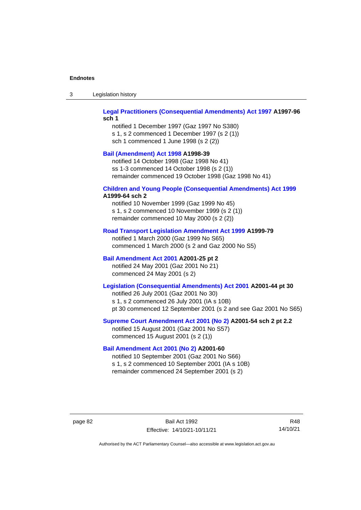| Legislation history<br>-3 |  |
|---------------------------|--|
|---------------------------|--|

## **[Legal Practitioners \(Consequential Amendments\) Act 1997](http://www.legislation.act.gov.au/a/1997-96) A1997-96 sch 1**

notified 1 December 1997 (Gaz 1997 No S380) s 1, s 2 commenced 1 December 1997 (s 2 (1)) sch 1 commenced 1 June 1998 (s 2 (2))

# **[Bail \(Amendment\) Act 1998](http://www.legislation.act.gov.au/a/1998-39) A1998-39**

notified 14 October 1998 (Gaz 1998 No 41) ss 1-3 commenced 14 October 1998 (s 2 (1)) remainder commenced 19 October 1998 (Gaz 1998 No 41)

# **[Children and Young People \(Consequential Amendments\) Act 1999](http://www.legislation.act.gov.au/a/1999-64)**

# **A1999-64 sch 2**

notified 10 November 1999 (Gaz 1999 No 45) s 1, s 2 commenced 10 November 1999 (s 2 (1)) remainder commenced 10 May 2000 (s 2 (2))

### **[Road Transport Legislation Amendment Act 1999](http://www.legislation.act.gov.au/a/1999-79) A1999-79**

notified 1 March 2000 (Gaz 1999 No S65) commenced 1 March 2000 (s 2 and Gaz 2000 No S5)

# **[Bail Amendment Act 2001](http://www.legislation.act.gov.au/a/2001-25) A2001-25 pt 2**

notified 24 May 2001 (Gaz 2001 No 21) commenced 24 May 2001 (s 2)

# **[Legislation \(Consequential Amendments\) Act 2001](http://www.legislation.act.gov.au/a/2001-44) A2001-44 pt 30**

notified 26 July 2001 (Gaz 2001 No 30) s 1, s 2 commenced 26 July 2001 (IA s 10B) pt 30 commenced 12 September 2001 (s 2 and see Gaz 2001 No S65)

## **[Supreme Court Amendment Act 2001 \(No 2\)](http://www.legislation.act.gov.au/a/2001-54) A2001-54 sch 2 pt 2.2**

notified 15 August 2001 (Gaz 2001 No S57) commenced 15 August 2001 (s 2 (1))

## **[Bail Amendment Act 2001 \(No 2\)](http://www.legislation.act.gov.au/a/2001-60) A2001-60**

notified 10 September 2001 (Gaz 2001 No S66) s 1, s 2 commenced 10 September 2001 (IA s 10B) remainder commenced 24 September 2001 (s 2)

page 82 Bail Act 1992 Effective: 14/10/21-10/11/21

R48 14/10/21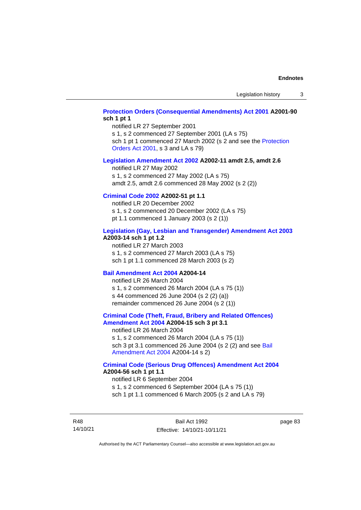# **[Protection Orders \(Consequential Amendments\) Act 2001](http://www.legislation.act.gov.au/a/2001-90) A2001-90 sch 1 pt 1**

notified LR 27 September 2001

s 1, s 2 commenced 27 September 2001 (LA s 75)

sch 1 pt 1 commenced 27 March 2002 (s 2 and see the Protection [Orders Act 2001,](http://www.legislation.act.gov.au/a/2001-89) s 3 and LA s 79)

#### **[Legislation Amendment Act 2002](http://www.legislation.act.gov.au/a/2002-11) A2002-11 amdt 2.5, amdt 2.6**

notified LR 27 May 2002 s 1, s 2 commenced 27 May 2002 (LA s 75) amdt 2.5, amdt 2.6 commenced 28 May 2002 (s 2 (2))

# **[Criminal Code 2002](http://www.legislation.act.gov.au/a/2002-51) A2002-51 pt 1.1**

notified LR 20 December 2002 s 1, s 2 commenced 20 December 2002 (LA s 75) pt 1.1 commenced 1 January 2003 (s 2 (1))

#### **[Legislation \(Gay, Lesbian and Transgender\) Amendment Act 2003](http://www.legislation.act.gov.au/a/2003-14) A2003-14 sch 1 pt 1.2**

notified LR 27 March 2003 s 1, s 2 commenced 27 March 2003 (LA s 75) sch 1 pt 1.1 commenced 28 March 2003 (s 2)

### **[Bail Amendment Act 2004](http://www.legislation.act.gov.au/a/2004-14) A2004-14**

notified LR 26 March 2004 s 1, s 2 commenced 26 March 2004 (LA s 75 (1)) s 44 commenced 26 June 2004 (s 2 (2) (a)) remainder commenced 26 June 2004 (s 2 (1))

#### **[Criminal Code \(Theft, Fraud, Bribery and Related Offences\)](http://www.legislation.act.gov.au/a/2004-15)  [Amendment Act 2004](http://www.legislation.act.gov.au/a/2004-15) A2004-15 sch 3 pt 3.1**

notified LR 26 March 2004 s 1, s 2 commenced 26 March 2004 (LA s 75 (1)) sch 3 pt 3.1 commenced 26 June 2004 (s 2 (2) and see [Bail](http://www.legislation.act.gov.au/a/2004-14)  [Amendment Act 2004](http://www.legislation.act.gov.au/a/2004-14) A2004-14 s 2)

### **[Criminal Code \(Serious Drug Offences\) Amendment Act 2004](http://www.legislation.act.gov.au/a/2004-56) A2004-56 sch 1 pt 1.1**

notified LR 6 September 2004 s 1, s 2 commenced 6 September 2004 (LA s 75 (1)) sch 1 pt 1.1 commenced 6 March 2005 (s 2 and LA s 79)

R48 14/10/21

Bail Act 1992 Effective: 14/10/21-10/11/21 page 83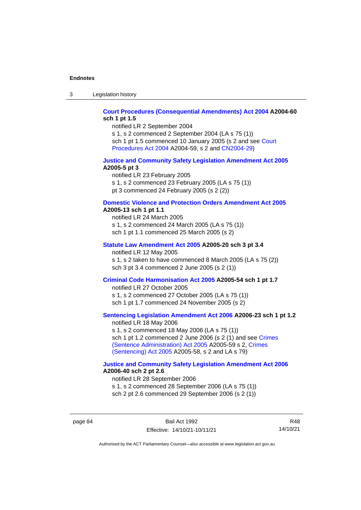3 Legislation history

## **[Court Procedures \(Consequential Amendments\) Act 2004](http://www.legislation.act.gov.au/a/2004-60) A2004-60 sch 1 pt 1.5**

notified LR 2 September 2004

s 1, s 2 commenced 2 September 2004 (LA s 75 (1)) sch 1 pt 1.5 commenced 10 January 2005 (s 2 and see [Court](http://www.legislation.act.gov.au/a/2004-59)  [Procedures Act](http://www.legislation.act.gov.au/a/2004-59) 2004 A2004-59, s 2 and [CN2004-29\)](http://www.legislation.act.gov.au/cn/2004-29/default.asp)

### **[Justice and Community Safety Legislation Amendment Act 2005](http://www.legislation.act.gov.au/a/2005-5) A2005-5 pt 3**

notified LR 23 February 2005 s 1, s 2 commenced 23 February 2005 (LA s 75 (1)) pt 3 commenced 24 February 2005 (s 2 (2))

#### **[Domestic Violence and Protection Orders Amendment Act 2005](http://www.legislation.act.gov.au/a/2005-13) A2005-13 sch 1 pt 1.1**

notified LR 24 March 2005 s 1, s 2 commenced 24 March 2005 (LA s 75 (1)) sch 1 pt 1.1 commenced 25 March 2005 (s 2)

# **[Statute Law Amendment Act 2005](http://www.legislation.act.gov.au/a/2005-20) A2005-20 sch 3 pt 3.4**

notified LR 12 May 2005

s 1, s 2 taken to have commenced 8 March 2005 (LA s 75 (2)) sch 3 pt 3.4 commenced 2 June 2005 (s 2 (1))

### **[Criminal Code Harmonisation Act 2005](http://www.legislation.act.gov.au/a/2005-54) A2005-54 sch 1 pt 1.7**

notified LR 27 October 2005 s 1, s 2 commenced 27 October 2005 (LA s 75 (1)) sch 1 pt 1.7 commenced 24 November 2005 (s 2)

# **[Sentencing Legislation Amendment](http://www.legislation.act.gov.au/a/2006-23) Act 2006 A2006-23 sch 1 pt 1.2**

notified LR 18 May 2006 s 1, s 2 commenced 18 May 2006 (LA s 75 (1)) sch 1 pt 1.2 commenced 2 June 2006 (s 2 (1) and see [Crimes](http://www.legislation.act.gov.au/a/2005-59)  [\(Sentence Administration\) Act 2005](http://www.legislation.act.gov.au/a/2005-59) A2005-59 s 2, [Crimes](http://www.legislation.act.gov.au/a/2005-58)  [\(Sentencing\) Act 2005](http://www.legislation.act.gov.au/a/2005-58) A2005-58, s 2 and LA s 79)

## **[Justice and Community Safety Legislation Amendment Act 2006](http://www.legislation.act.gov.au/a/2006-40) A2006-40 sch 2 pt 2.6**

notified LR 28 September 2006 s 1, s 2 commenced 28 September 2006 (LA s 75 (1)) sch 2 pt 2.6 commenced 29 September 2006 (s 2 (1))

page 84 Bail Act 1992 Effective: 14/10/21-10/11/21

R48 14/10/21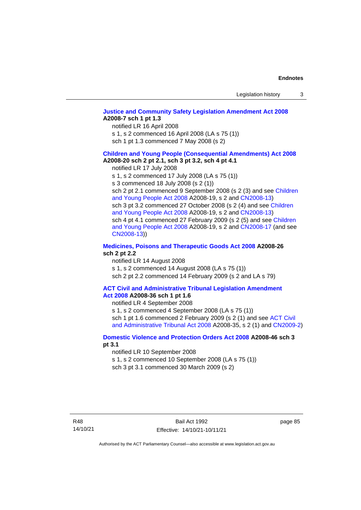# **[Justice and Community Safety Legislation Amendment Act 2008](http://www.legislation.act.gov.au/a/2008-7) A2008-7 sch 1 pt 1.3**

notified LR 16 April 2008

s 1, s 2 commenced 16 April 2008 (LA s 75 (1))

sch 1 pt 1.3 commenced 7 May 2008 (s 2)

#### **[Children and Young People \(Consequential Amendments\) Act 2008](http://www.legislation.act.gov.au/a/2008-20) A2008-20 sch 2 pt 2.1, sch 3 pt 3.2, sch 4 pt 4.1**

notified LR 17 July 2008

s 1, s 2 commenced 17 July 2008 (LA s 75 (1))

s 3 commenced 18 July 2008 (s 2 (1))

sch 2 pt 2.1 commenced 9 September 2008 (s 2 (3) and see Children [and Young People Act 2008](http://www.legislation.act.gov.au/a/2008-19) A2008-19, s 2 and [CN2008-13\)](http://www.legislation.act.gov.au/cn/2008-13/default.asp) sch 3 pt 3.2 commenced 27 October 2008 (s 2 (4) and see Children [and Young People Act 2008](http://www.legislation.act.gov.au/a/2008-19) A2008-19, s 2 and [CN2008-13\)](http://www.legislation.act.gov.au/cn/2008-13/default.asp) sch 4 pt 4.1 commenced 27 February 2009 (s 2 (5) and see [Children](http://www.legislation.act.gov.au/a/2008-19)  [and Young People Act 2008](http://www.legislation.act.gov.au/a/2008-19) A2008-19, s 2 and [CN2008-17 \(](http://www.legislation.act.gov.au/cn/2008-17/default.asp)and see [CN2008-13\)](http://www.legislation.act.gov.au/cn/2008-13/default.asp))

## **[Medicines, Poisons and Therapeutic Goods Act](http://www.legislation.act.gov.au/a/2008-26#history) 2008 A2008-26 sch 2 pt 2.2**

notified LR 14 August 2008 s 1, s 2 commenced 14 August 2008 (LA s 75 (1)) sch 2 pt 2.2 commenced 14 February 2009 (s 2 and LA s 79)

#### **[ACT Civil and Administrative Tribunal Legislation Amendment](http://www.legislation.act.gov.au/a/2008-36)  Act [2008](http://www.legislation.act.gov.au/a/2008-36) A2008-36 sch 1 pt 1.6**

notified LR 4 September 2008

s 1, s 2 commenced 4 September 2008 (LA s 75 (1)) sch 1 pt 1.6 commenced 2 February 2009 (s 2 (1) and see ACT Civil [and Administrative Tribunal Act 2008](http://www.legislation.act.gov.au/a/2008-35) A2008-35, s 2 (1) and [CN2009-2\)](http://www.legislation.act.gov.au/cn/2009-2/default.asp)

## **[Domestic Violence and Protection Orders Act 2008](http://www.legislation.act.gov.au/a/2008-46#history) A2008-46 sch 3 pt 3.1**

notified LR 10 September 2008

s 1, s 2 commenced 10 September 2008 (LA s 75 (1))

sch 3 pt 3.1 commenced 30 March 2009 (s 2)

page 85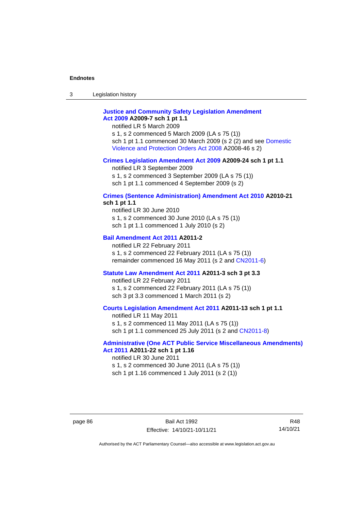3 Legislation history

# **[Justice and Community Safety Legislation Amendment](http://www.legislation.act.gov.au/a/2009-7)  Act [2009](http://www.legislation.act.gov.au/a/2009-7) A2009-7 sch 1 pt 1.1**

notified LR 5 March 2009

s 1, s 2 commenced 5 March 2009 (LA s 75 (1)) sch 1 pt 1.1 commenced 30 March 2009 (s 2 (2) and see [Domestic](http://www.legislation.act.gov.au/a/2008-46)  [Violence and Protection Orders Act 2008](http://www.legislation.act.gov.au/a/2008-46) A2008-46 s 2)

#### **[Crimes Legislation Amendment Act 2009](http://www.legislation.act.gov.au/a/2009-24) A2009-24 sch 1 pt 1.1**

notified LR 3 September 2009

s 1, s 2 commenced 3 September 2009 (LA s 75 (1))

sch 1 pt 1.1 commenced 4 September 2009 (s 2)

# **[Crimes \(Sentence Administration\) Amendment Act 2010](http://www.legislation.act.gov.au/a/2010-21) A2010-21**

**sch 1 pt 1.1**

notified LR 30 June 2010 s 1, s 2 commenced 30 June 2010 (LA s 75 (1)) sch 1 pt 1.1 commenced 1 July 2010 (s 2)

### **[Bail Amendment Act 2011](http://www.legislation.act.gov.au/a/2011-2) A2011-2**

notified LR 22 February 2011 s 1, s 2 commenced 22 February 2011 (LA s 75 (1)) remainder commenced 16 May 2011 (s 2 and [CN2011-6\)](http://www.legislation.act.gov.au/cn/2011-6/default.asp)

#### **[Statute Law Amendment Act 2011](http://www.legislation.act.gov.au/a/2011-3) A2011-3 sch 3 pt 3.3**

notified LR 22 February 2011 s 1, s 2 commenced 22 February 2011 (LA s 75 (1)) sch 3 pt 3.3 commenced 1 March 2011 (s 2)

## **[Courts Legislation Amendment Act 2011](http://www.legislation.act.gov.au/a/2011-13) A2011-13 sch 1 pt 1.1**

notified LR 11 May 2011 s 1, s 2 commenced 11 May 2011 (LA s 75 (1)) sch 1 pt 1.1 commenced 25 July 2011 (s 2 and [CN2011-8\)](http://www.legislation.act.gov.au/cn/2011-8/default.asp)

## **[Administrative \(One ACT Public Service Miscellaneous Amendments\)](http://www.legislation.act.gov.au/a/2011-22)  Act [2011](http://www.legislation.act.gov.au/a/2011-22) A2011-22 sch 1 pt 1.16**

notified LR 30 June 2011 s 1, s 2 commenced 30 June 2011 (LA s 75 (1)) sch 1 pt 1.16 commenced 1 July 2011 (s 2 (1))

R48 14/10/21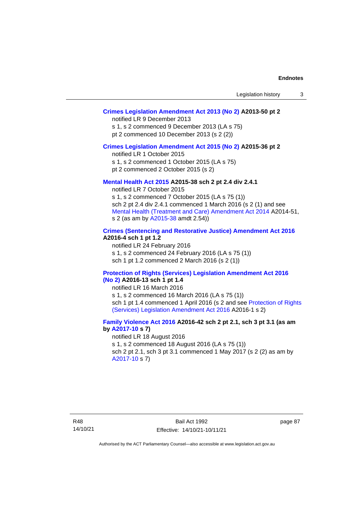# **[Crimes Legislation Amendment Act 2013 \(No 2\)](http://www.legislation.act.gov.au/a/2013-50) A2013-50 pt 2**

notified LR 9 December 2013

s 1, s 2 commenced 9 December 2013 (LA s 75)

pt 2 commenced 10 December 2013 (s 2 (2))

## **[Crimes Legislation Amendment Act 2015 \(No 2\)](http://www.legislation.act.gov.au/a/2015-36) A2015-36 pt 2**

notified LR 1 October 2015

s 1, s 2 commenced 1 October 2015 (LA s 75)

pt 2 commenced 2 October 2015 (s 2)

## **[Mental Health Act 2015](http://www.legislation.act.gov.au/a/2015-38#history) A2015-38 sch 2 pt 2.4 div 2.4.1**

notified LR 7 October 2015 s 1, s 2 commenced 7 October 2015 (LA s 75 (1)) sch 2 pt 2.4 div 2.4.1 commenced 1 March 2016 (s 2 (1) and see [Mental Health \(Treatment and Care\) Amendment Act 2014](http://www.legislation.act.gov.au/a/2014-51/default.asp) A2014-51, s 2 (as am by [A2015-38](http://www.legislation.act.gov.au/a/2015-38) amdt 2.54))

# **[Crimes \(Sentencing and Restorative Justice\) Amendment Act 2016](http://www.legislation.act.gov.au/a/2016-4/default.asp) A2016-4 sch 1 pt 1.2**

notified LR 24 February 2016 s 1, s 2 commenced 24 February 2016 (LA s 75 (1)) sch 1 pt 1.2 commenced 2 March 2016 (s 2 (1))

#### **[Protection of Rights \(Services\) Legislation Amendment Act 2016](http://www.legislation.act.gov.au/a/2016-13)  [\(No](http://www.legislation.act.gov.au/a/2016-13) 2) A2016-13 sch 1 pt 1.4**

notified LR 16 March 2016

s 1, s 2 commenced 16 March 2016 (LA s 75 (1)) sch 1 pt 1.4 commenced 1 April 2016 (s 2 and see [Protection of Rights](http://www.legislation.act.gov.au/a/2016-1/default.asp)  (Services) Legislation [Amendment Act 2016](http://www.legislation.act.gov.au/a/2016-1/default.asp) A2016-1 s 2)

# **[Family Violence Act 2016](http://www.legislation.act.gov.au/a/2016-42#history) A2016-42 sch 2 pt 2.1, sch 3 pt 3.1 (as am by [A2017-10](http://www.legislation.act.gov.au/a/2017-10/default.asp) s 7)**

notified LR 18 August 2016 s 1, s 2 commenced 18 August 2016 (LA s 75 (1)) sch 2 pt 2.1, sch 3 pt 3.1 commenced 1 May 2017 (s 2 (2) as am by [A2017-10](http://www.legislation.act.gov.au/a/2017-10/default.asp) s 7)

page 87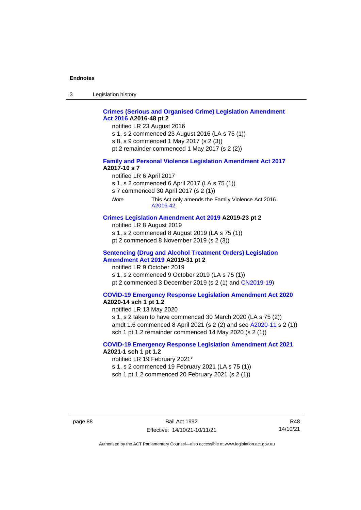3 Legislation history

# **[Crimes \(Serious and Organised Crime\) Legislation Amendment](http://www.legislation.act.gov.au/a/2016-48/default.asp)  Act [2016](http://www.legislation.act.gov.au/a/2016-48/default.asp) A2016-48 pt 2**

notified LR 23 August 2016

- s 1, s 2 commenced 23 August 2016 (LA s 75 (1))
- s 8, s 9 commenced 1 May 2017 (s 2 (3))
- pt 2 remainder commenced 1 May 2017 (s 2 (2))

#### **[Family and Personal Violence Legislation Amendment Act 2017](http://www.legislation.act.gov.au/a/2017-10/default.asp) A2017-10 s 7**

- notified LR 6 April 2017
- s 1, s 2 commenced 6 April 2017 (LA s 75 (1))
- s 7 commenced 30 April 2017 (s 2 (1))
- *Note* This Act only amends the Family Violence Act 2016 [A2016-42.](http://www.legislation.act.gov.au/a/2016-42/default.asp)

## **[Crimes Legislation Amendment Act 2019](http://www.legislation.act.gov.au/a/2019-23) A2019-23 pt 2**

- notified LR 8 August 2019
- s 1, s 2 commenced 8 August 2019 (LA s 75 (1))
- pt 2 commenced 8 November 2019 (s 2 (3))

#### **[Sentencing \(Drug and Alcohol Treatment Orders\) Legislation](http://www.legislation.act.gov.au/a/2019-31)  [Amendment Act 2019](http://www.legislation.act.gov.au/a/2019-31) A2019-31 pt 2**

notified LR 9 October 2019 s 1, s 2 commenced 9 October 2019 (LA s 75 (1)) pt 2 commenced 3 December 2019 (s 2 (1) and [CN2019-19\)](https://www.legislation.act.gov.au/cn/2019-19/)

# **[COVID-19 Emergency Response Legislation Amendment Act 2020](http://www.legislation.act.gov.au/a/2020-14/)**

# **A2020-14 sch 1 pt 1.2**

notified LR 13 May 2020

s 1, s 2 taken to have commenced 30 March 2020 (LA s 75 (2)) amdt 1.6 commenced 8 April 2021 (s 2 (2) and see [A2020-11](https://www.legislation.act.gov.au/a/2020-11/) s 2 (1)) sch 1 pt 1.2 remainder commenced 14 May 2020 (s 2 (1))

## **[COVID-19 Emergency Response Legislation Amendment Act 2021](http://www.legislation.act.gov.au/a/2021-1/) A2021-1 sch 1 pt 1.2**

notified LR 19 February 2021\*

s 1, s 2 commenced 19 February 2021 (LA s 75 (1))

sch 1 pt 1.2 commenced 20 February 2021 (s 2 (1))

R48 14/10/21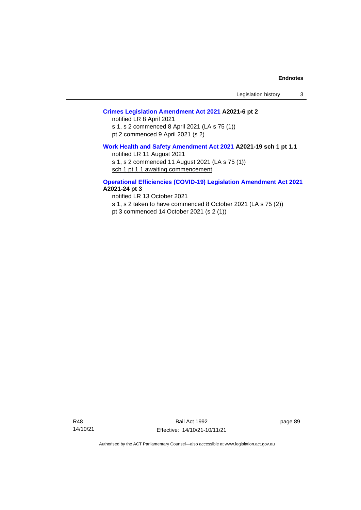# **[Crimes Legislation Amendment Act 2021](http://www.legislation.act.gov.au/a/2021-6/) A2021-6 pt 2**

notified LR 8 April 2021 s 1, s 2 commenced 8 April 2021 (LA s 75 (1)) pt 2 commenced 9 April 2021 (s 2)

### **[Work Health and Safety Amendment Act 2021](http://www.legislation.act.gov.au/a/2021-19/) A2021-19 sch 1 pt 1.1**

notified LR 11 August 2021 s 1, s 2 commenced 11 August 2021 (LA s 75 (1))

sch 1 pt 1.1 awaiting commencement

## **[Operational Efficiencies \(COVID-19\) Legislation Amendment Act 2021](http://www.legislation.act.gov.au/a/2021-24/) A2021-24 pt 3**

notified LR 13 October 2021 s 1, s 2 taken to have commenced 8 October 2021 (LA s 75 (2)) pt 3 commenced 14 October 2021 (s 2 (1))

R48 14/10/21

Bail Act 1992 Effective: 14/10/21-10/11/21 page 89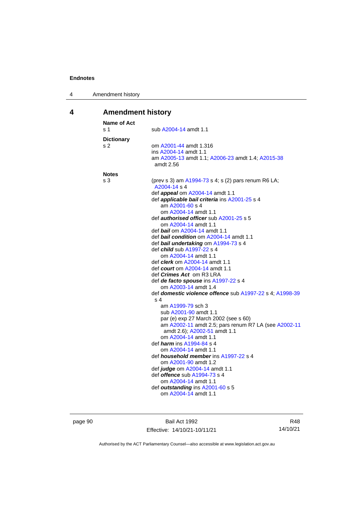| 4 | Amendment history |
|---|-------------------|
|---|-------------------|

# **4 Amendment history**

| Name of Act<br>s 1 | sub A2004-14 amdt 1.1                                               |
|--------------------|---------------------------------------------------------------------|
| <b>Dictionary</b>  |                                                                     |
| s 2                | om A2001-44 amdt 1.316                                              |
|                    | ins A2004-14 amdt 1.1                                               |
|                    | am A2005-13 amdt 1.1; A2006-23 amdt 1.4; A2015-38<br>amdt 2.56      |
| <b>Notes</b>       |                                                                     |
| s 3                | (prev s 3) am A1994-73 s 4; s (2) pars renum R6 LA;<br>A2004-14 s 4 |
|                    | def <b>appeal</b> om A2004-14 amdt 1.1                              |
|                    | def <i>applicable bail criteria</i> ins A2001-25 s 4                |
|                    | am A2001-60 s 4                                                     |
|                    | om A2004-14 amdt 1.1                                                |
|                    | def <i>authorised officer</i> sub A2001-25 s 5                      |
|                    | om A2004-14 amdt 1.1<br>def <i>bail</i> om A2004-14 amdt 1.1        |
|                    | def bail condition om A2004-14 amdt 1.1                             |
|                    | def bail undertaking om A1994-73 s 4                                |
|                    | def <i>child</i> sub A1997-22 s 4                                   |
|                    | om A2004-14 amdt 1.1                                                |
|                    | def <i>clerk</i> om A2004-14 amdt 1.1                               |
|                    | def <i>court</i> om A2004-14 amdt 1.1                               |
|                    | def <i>Crimes Act</i> om R3 LRA                                     |
|                    | def de facto spouse ins A1997-22 s 4                                |
|                    | om A2003-14 amdt 1.4                                                |
|                    | def domestic violence offence sub A1997-22 s 4; A1998-39<br>s 4     |
|                    | am A1999-79 sch 3                                                   |
|                    | sub A2001-90 amdt 1.1                                               |
|                    | par (e) exp 27 March 2002 (see s 60)                                |
|                    | am A2002-11 amdt 2.5; pars renum R7 LA (see A2002-11                |
|                    | amdt 2.6); A2002-51 amdt 1.1                                        |
|                    | om A2004-14 amdt 1.1                                                |
|                    | def <i>harm</i> ins A1994-84 s 4                                    |
|                    | om A2004-14 amdt 1.1                                                |
|                    | def <i>household member</i> ins A1997-22 s 4                        |
|                    | om A2001-90 amdt 1.2<br>def judge om A2004-14 amdt 1.1              |
|                    | def offence sub A1994-73 s 4                                        |
|                    | om A2004-14 amdt 1.1                                                |
|                    | def outstanding ins A2001-60 s 5                                    |
|                    | om A2004-14 amdt 1.1                                                |
|                    |                                                                     |

page 90 Bail Act 1992 Effective: 14/10/21-10/11/21

R48 14/10/21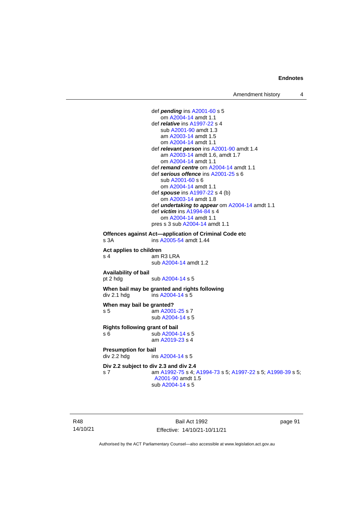def *pending* in[s A2001-60](http://www.legislation.act.gov.au/a/2001-60) s 5 om [A2004-14](http://www.legislation.act.gov.au/a/2004-14) amdt 1.1 def *relative* ins [A1997-22](http://www.legislation.act.gov.au/a/1997-22) s 4 sub [A2001-90](http://www.legislation.act.gov.au/a/2001-90) amdt 1.3 am [A2003-14](http://www.legislation.act.gov.au/a/2003-14) amdt 1.5 om [A2004-14](http://www.legislation.act.gov.au/a/2004-14) amdt 1.1 def *relevant person* in[s A2001-90](http://www.legislation.act.gov.au/a/2001-90) amdt 1.4 am [A2003-14](http://www.legislation.act.gov.au/a/2003-14) amdt 1.6, amdt 1.7 om [A2004-14](http://www.legislation.act.gov.au/a/2004-14) amdt 1.1 def *remand centre* o[m A2004-14](http://www.legislation.act.gov.au/a/2004-14) amdt 1.1 def *serious offence* ins [A2001-25](http://www.legislation.act.gov.au/a/2001-25) s 6 sub [A2001-60](http://www.legislation.act.gov.au/a/2001-60) s 6 om [A2004-14](http://www.legislation.act.gov.au/a/2004-14) amdt 1.1 def *spouse* ins [A1997-22](http://www.legislation.act.gov.au/a/1997-22) s 4 (b) om [A2003-14](http://www.legislation.act.gov.au/a/2003-14) amdt 1.8 def *undertaking to appear* om [A2004-14](http://www.legislation.act.gov.au/a/2004-14) amdt 1.1 def *victim* in[s A1994-84](http://www.legislation.act.gov.au/a/1994-84) s 4 om [A2004-14](http://www.legislation.act.gov.au/a/2004-14) amdt 1.1 pres s 3 su[b A2004-14](http://www.legislation.act.gov.au/a/2004-14) amdt 1.1 **Offences against Act—application of Criminal Code etc** s 3A **ins [A2005-54](http://www.legislation.act.gov.au/a/2005-54)** amdt 1.44 **Act applies to children** s 4 am R3 LRA sub [A2004-14](http://www.legislation.act.gov.au/a/2004-14) amdt 1.2 **Availability of bail** sub [A2004-14](http://www.legislation.act.gov.au/a/2004-14) s 5 **When bail may be granted and rights following** div 2.1 hdg ins  $A2004-14 s 5$ **When may bail be granted?** s 5 am [A2001-25](http://www.legislation.act.gov.au/a/2001-25) s 7 sub [A2004-14](http://www.legislation.act.gov.au/a/2004-14) s 5 **Rights following grant of bail** s 6 sub [A2004-14](http://www.legislation.act.gov.au/a/2004-14) s 5 am [A2019-23](http://www.legislation.act.gov.au/a/2019-23/default.asp) s 4 **Presumption for bail**<br>div 2.2 hdg ins ins [A2004-14](http://www.legislation.act.gov.au/a/2004-14) s 5 **Div 2.2 subject to div 2.3 and div 2.4** s 7 am [A1992-75](http://www.legislation.act.gov.au/a/1992-75) s 4[; A1994-73](http://www.legislation.act.gov.au/a/1994-73) s 5; [A1997-22](http://www.legislation.act.gov.au/a/1997-22) s 5[; A1998-39](http://www.legislation.act.gov.au/a/1998-39) s 5; [A2001-90](http://www.legislation.act.gov.au/a/2001-90) amdt 1.5 sub [A2004-14](http://www.legislation.act.gov.au/a/2004-14) s 5

R48 14/10/21

Bail Act 1992 Effective: 14/10/21-10/11/21 page 91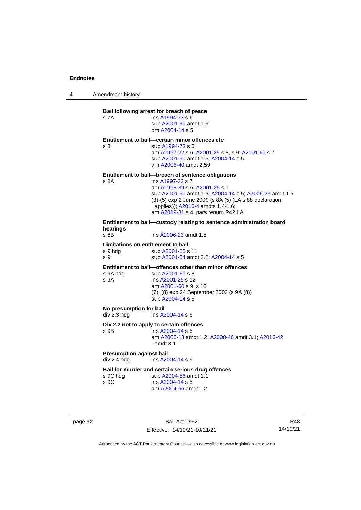4 Amendment history

# **Bail following arrest for breach of peace** s 7A ins [A1994-73](http://www.legislation.act.gov.au/a/1994-73) s 6 sub [A2001-90](http://www.legislation.act.gov.au/a/2001-90) amdt 1.6 om [A2004-14](http://www.legislation.act.gov.au/a/2004-14) s 5 **Entitlement to bail—certain minor offences etc** s 8 sub [A1994-73](http://www.legislation.act.gov.au/a/1994-73) s 6 am [A1997-22](http://www.legislation.act.gov.au/a/1997-22) s 6[; A2001-25](http://www.legislation.act.gov.au/a/2001-25) s 8, s 9; [A2001-60](http://www.legislation.act.gov.au/a/2001-60) s 7 sub [A2001-90](http://www.legislation.act.gov.au/a/2001-90) amdt 1.6[; A2004-14](http://www.legislation.act.gov.au/a/2004-14) s 5 am [A2006-40](http://www.legislation.act.gov.au/a/2006-40) amdt 2.59 **Entitlement to bail—breach of sentence obligations** s 8A ins [A1997-22](http://www.legislation.act.gov.au/a/1997-22) s 7 am [A1998-39](http://www.legislation.act.gov.au/a/1998-39) s 6[; A2001-25](http://www.legislation.act.gov.au/a/2001-25) s 1 sub [A2001-90](http://www.legislation.act.gov.au/a/2001-90) amdt 1.6[; A2004-14](http://www.legislation.act.gov.au/a/2004-14) s 5; [A2006-23](http://www.legislation.act.gov.au/a/2006-23) amdt 1.5 (3)-(5) exp 2 June 2009 (s 8A (5) (LA s 88 declaration applies)); [A2016-4](http://www.legislation.act.gov.au/a/2016-4/default.asp) amdts 1.4-1.6; am [A2019-31](http://www.legislation.act.gov.au/a/2019-31/) s 4; pars renum R42 LA **Entitlement to bail—custody relating to sentence administration board hearings** ins [A2006-23](http://www.legislation.act.gov.au/a/2006-23) amdt 1.5 **Limitations on entitlement to bail** s 9 hdg sub [A2001-25](http://www.legislation.act.gov.au/a/2001-25) s 11 s 9 sub [A2001-54](http://www.legislation.act.gov.au/a/2001-54) amdt 2.2[; A2004-14](http://www.legislation.act.gov.au/a/2004-14) s 5 **Entitlement to bail—offences other than minor offences** s 9A hdg sub [A2001-60](http://www.legislation.act.gov.au/a/2001-60) s 8<br>s 9A ins A2001-25 s 12 ins [A2001-25](http://www.legislation.act.gov.au/a/2001-25) s 12 am [A2001-60](http://www.legislation.act.gov.au/a/2001-60) s 9, s 10 (7), (8) exp 24 September 2003 (s 9A (8)) sub [A2004-14](http://www.legislation.act.gov.au/a/2004-14) s 5 **No presumption for bail**<br>div 2.3 hdg ins A2 ins [A2004-14](http://www.legislation.act.gov.au/a/2004-14) s 5 **Div 2.2 not to apply to certain offences** s 9B ins [A2004-14](http://www.legislation.act.gov.au/a/2004-14) s 5 am [A2005-13](http://www.legislation.act.gov.au/a/2005-13) amdt 1.2[; A2008-46](http://www.legislation.act.gov.au/a/2008-46) amdt 3.1; [A2016-42](http://www.legislation.act.gov.au/a/2016-42/default.asp) amdt 3.1 **Presumption against bail** div 2.4 hdg ins [A2004-14](http://www.legislation.act.gov.au/a/2004-14) s 5 **Bail for murder and certain serious drug offences**<br>s 9C hdq sub A2004-56 amdt 1.1 sub [A2004-56](http://www.legislation.act.gov.au/a/2004-56) amdt 1.1 s 9C ins [A2004-14](http://www.legislation.act.gov.au/a/2004-14) s 5 am [A2004-56](http://www.legislation.act.gov.au/a/2004-56) amdt 1.2

page 92 Bail Act 1992 Effective: 14/10/21-10/11/21

R48 14/10/21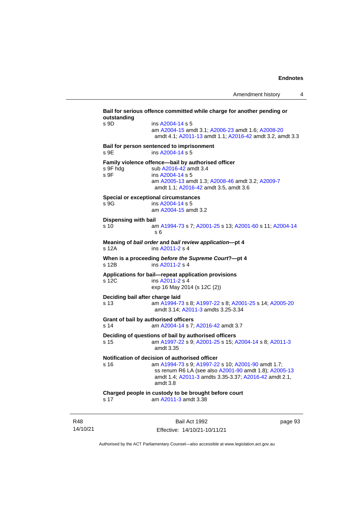**Bail for serious offence committed while charge for another pending or outstanding** s 9D ins [A2004-14](http://www.legislation.act.gov.au/a/2004-14) s 5 am [A2004-15](http://www.legislation.act.gov.au/a/2004-15) amdt 3.1[; A2006-23](http://www.legislation.act.gov.au/a/2006-23) amdt 1.6; [A2008-20](http://www.legislation.act.gov.au/a/2008-20) amdt 4.1; [A2011-13](http://www.legislation.act.gov.au/a/2011-13) amdt 1.1[; A2016-42](http://www.legislation.act.gov.au/a/2016-42/default.asp) amdt 3.2, amdt 3.3 **Bail for person sentenced to imprisonment** s 9E ins [A2004-14](http://www.legislation.act.gov.au/a/2004-14) s 5 **Family violence offence—bail by authorised officer**<br>s 9F hdg sub A2016-42 amdt 3.4 sub [A2016-42](http://www.legislation.act.gov.au/a/2016-42/default.asp) amdt 3.4 s 9F ins [A2004-14](http://www.legislation.act.gov.au/a/2004-14) s 5 am [A2005-13](http://www.legislation.act.gov.au/a/2005-13) amdt 1.3[; A2008-46](http://www.legislation.act.gov.au/a/2008-46) amdt 3.2; [A2009-7](http://www.legislation.act.gov.au/a/2009-7) amdt 1.1; [A2016-42](http://www.legislation.act.gov.au/a/2016-42/default.asp) amdt 3.5, amdt 3.6 **Special or exceptional circumstances** s 9G ins [A2004-14](http://www.legislation.act.gov.au/a/2004-14) s 5 am [A2004-15](http://www.legislation.act.gov.au/a/2004-15) amdt 3.2 **Dispensing with bail** s 10 am [A1994-73](http://www.legislation.act.gov.au/a/1994-73) s 7[; A2001-25](http://www.legislation.act.gov.au/a/2001-25) s 13; [A2001-60](http://www.legislation.act.gov.au/a/2001-60) s 11[; A2004-14](http://www.legislation.act.gov.au/a/2004-14) s 6 **Meaning of** *bail order* **and** *bail review application***—pt 4** ins [A2011-2](http://www.legislation.act.gov.au/a/2011-2) s 4 **When is a proceeding** *before the Supreme Court***?—pt 4** s 12B ins [A2011-2](http://www.legislation.act.gov.au/a/2011-2) s 4 **Applications for bail—repeat application provisions** ins [A2011-2](http://www.legislation.act.gov.au/a/2011-2) s 4 exp 16 May 2014 (s 12C (2)) **Deciding bail after charge laid** s 13 am [A1994-73](http://www.legislation.act.gov.au/a/1994-73) s 8[; A1997-22](http://www.legislation.act.gov.au/a/1997-22) s 8; [A2001-25](http://www.legislation.act.gov.au/a/2001-25) s 14[; A2005-20](http://www.legislation.act.gov.au/a/2005-20) amdt 3.14; [A2011-3](http://www.legislation.act.gov.au/a/2011-3) amdts 3.25-3.34 **Grant of bail by authorised officers** s 14 am [A2004-14](http://www.legislation.act.gov.au/a/2004-14) s 7[; A2016-42](http://www.legislation.act.gov.au/a/2016-42/default.asp) amdt 3.7 **Deciding of questions of bail by authorised officers** s 15 am [A1997-22](http://www.legislation.act.gov.au/a/1997-22) s 9[; A2001-25](http://www.legislation.act.gov.au/a/2001-25) s 15; [A2004-14](http://www.legislation.act.gov.au/a/2004-14) s 8[; A2011-3](http://www.legislation.act.gov.au/a/2011-3) amdt 3.35 **Notification of decision of authorised officer**<br>s 16 am A1994-73 s 9: A1997-22 am [A1994-73](http://www.legislation.act.gov.au/a/1994-73) s 9[; A1997-22](http://www.legislation.act.gov.au/a/1997-22) s 10; [A2001-90](http://www.legislation.act.gov.au/a/2001-90) amdt 1.7; ss renum R6 LA (see also [A2001-90](http://www.legislation.act.gov.au/a/2001-90) amdt 1.8)[; A2005-13](http://www.legislation.act.gov.au/a/2005-13) amdt 1.4; [A2011-3](http://www.legislation.act.gov.au/a/2011-3) amdts 3.35-3.37[; A2016-42](http://www.legislation.act.gov.au/a/2016-42/default.asp) amdt 2.1, amdt 3.8 **Charged people in custody to be brought before court** s 17 am [A2011-3](http://www.legislation.act.gov.au/a/2011-3) amdt 3.38

R48 14/10/21

Bail Act 1992 Effective: 14/10/21-10/11/21 page 93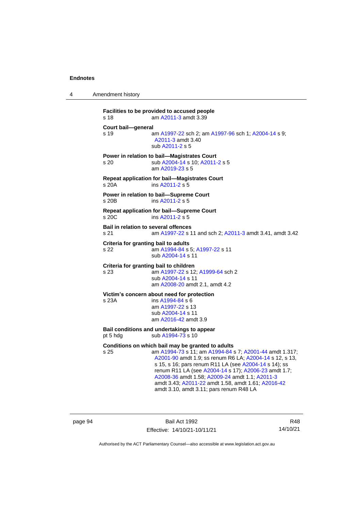4 Amendment history

```
Facilities to be provided to accused people
s 18 am A2011-3 amdt 3.39
Court bail—general
s 19 am A1997-22 sch 2; am A1997-96 sch 1; A2004-14 s 9; 
                 A2011-3 amdt 3.40
                sub A2011-2 s 5
Power in relation to bail—Magistrates Court
s 20 sub A2004-14 s 10; A2011-2 s 5
                am A2019-23 s 5
Repeat application for bail—Magistrates Court
s 20A ins A2011-2 s 5
Power in relation to bail—Supreme Court
s 20B ins A2011-2 s 5
Repeat application for bail—Supreme Court
s 20C ins A2011-2 s 5
Bail in relation to several offences
s 21 am A1997-22 s 11 and sch 2; A2011-3 amdt 3.41, amdt 3.42
Criteria for granting bail to adults
s 22 am A1994-84 s 5; A1997-22 s 11
                sub A2004-14 s 11
Criteria for granting bail to children
s 23 am A1997-22 s 12; A1999-64 sch 2
                sub A2004-14 s 11
                am A2008-20 amdt 2.1, amdt 4.2
Victim's concern about need for protection
s 23A ins A1994-84 s 6
                am A1997-22 s 13
                sub A2004-14 s 11
                am A2016-42 amdt 3.9
Bail conditions and undertakings to appear
pt 5 hdg sub A1994-73 s 10
Conditions on which bail may be granted to adults
s 25 am A1994-73 s 11; am A1994-84 s 7; A2001-44 amdt 1.317; 
                 A2001-90 amdt 1.9; ss renum R6 LA; A2004-14 s 12, s 13, 
                 s 15, s 16; pars renum R11 LA (see A2004-14 s 14); ss
                 renum R11 LA (see A2004-14 s 17); A2006-23 amdt 1.7; 
                 A2008-36 amdt 1.58; A2009-24 amdt 1.1; A2011-3
                 amdt 3.43; A2011-22 amdt 1.58, amdt 1.61; A2016-42
                 amdt 3.10, amdt 3.11; pars renum R48 LA
```
page 94 Bail Act 1992 Effective: 14/10/21-10/11/21

R48 14/10/21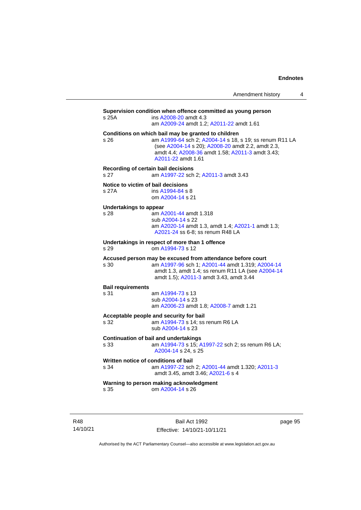| Amendment history |  |
|-------------------|--|
|-------------------|--|

| s 25A                                        | Supervision condition when offence committed as young person<br>ins A2008-20 amdt 4.3<br>am A2009-24 amdt 1.2; A2011-22 amdt 1.61                                                                                                             |  |
|----------------------------------------------|-----------------------------------------------------------------------------------------------------------------------------------------------------------------------------------------------------------------------------------------------|--|
| s 26                                         | Conditions on which bail may be granted to children<br>am A1999-64 sch 2; A2004-14 s 18, s 19; ss renum R11 LA<br>(see A2004-14 s 20); A2008-20 amdt 2.2, amdt 2.3,<br>amdt 4.4; A2008-36 amdt 1.58; A2011-3 amdt 3.43;<br>A2011-22 amdt 1.61 |  |
| Recording of certain bail decisions<br>s 27  | am A1997-22 sch 2; A2011-3 amdt 3.43                                                                                                                                                                                                          |  |
| Notice to victim of bail decisions<br>s 27A  | ins A1994-84 s 8<br>om A2004-14 s 21                                                                                                                                                                                                          |  |
| Undertakings to appear<br>s 28               | am A2001-44 amdt 1.318<br>sub A2004-14 s 22<br>am A2020-14 amdt 1.3, amdt 1.4; A2021-1 amdt 1.3;<br>A2021-24 ss 6-8; ss renum R48 LA                                                                                                          |  |
| s.29                                         | Undertakings in respect of more than 1 offence<br>om A1994-73 s 12                                                                                                                                                                            |  |
| s 30                                         | Accused person may be excused from attendance before court<br>am A1997-96 sch 1; A2001-44 amdt 1.319; A2004-14<br>amdt 1.3, amdt 1.4; ss renum R11 LA (see A2004-14<br>amdt 1.5); A2011-3 amdt 3.43, amdt 3.44                                |  |
| <b>Bail requirements</b>                     |                                                                                                                                                                                                                                               |  |
| s 31                                         | am A1994-73 s 13<br>sub A2004-14 s 23<br>am A2006-23 amdt 1.8; A2008-7 amdt 1.21                                                                                                                                                              |  |
| s 32                                         | Acceptable people and security for bail<br>am A1994-73 s 14; ss renum R6 LA<br>sub A2004-14 s 23                                                                                                                                              |  |
| s 33                                         | <b>Continuation of bail and undertakings</b><br>am A1994-73 s 15; A1997-22 sch 2; ss renum R6 LA;<br>A2004-14 s 24, s 25                                                                                                                      |  |
| Written notice of conditions of bail<br>s 34 | am A1997-22 sch 2; A2001-44 amdt 1.320; A2011-3<br>amdt 3.45, amdt 3.46; A2021-6 s 4                                                                                                                                                          |  |
| s 35                                         | Warning to person making acknowledgment<br>om A2004-14 s 26                                                                                                                                                                                   |  |
|                                              |                                                                                                                                                                                                                                               |  |

R48 14/10/21

Bail Act 1992 Effective: 14/10/21-10/11/21 page 95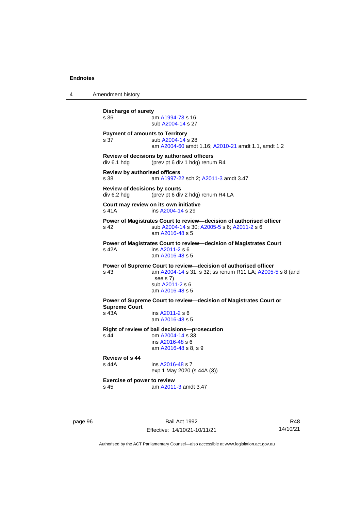4 Amendment history **Discharge of surety** s 36 am [A1994-73](http://www.legislation.act.gov.au/a/1994-73) s 16 sub [A2004-14](http://www.legislation.act.gov.au/a/2004-14) s 27 **Payment of amounts to Territory** s 37 sub [A2004-14](http://www.legislation.act.gov.au/a/2004-14) s 28 am [A2004-60](http://www.legislation.act.gov.au/a/2004-60) amdt 1.16[; A2010-21](http://www.legislation.act.gov.au/a/2010-21) amdt 1.1, amdt 1.2 **Review of decisions by authorised officers** div 6.1 hdg (prev pt 6 div 1 hdg) renum R4 **Review by authorised officers** s 38 am [A1997-22](http://www.legislation.act.gov.au/a/1997-22) sch 2; [A2011-3](http://www.legislation.act.gov.au/a/2011-3) amdt 3.47 **Review of decisions by courts** div 6.2 hdg (prev pt 6 div 2 hdg) renum R4 LA **Court may review on its own initiative** s 41A **ins [A2004-14](http://www.legislation.act.gov.au/a/2004-14) s 29 Power of Magistrates Court to review—decision of authorised officer** s 42 sub [A2004-14](http://www.legislation.act.gov.au/a/2004-14) s 30[; A2005-5](http://www.legislation.act.gov.au/a/2005-5) s 6; [A2011-2](http://www.legislation.act.gov.au/a/2011-2) s 6 am [A2016-48](http://www.legislation.act.gov.au/a/2016-48/default.asp) s 5 **Power of Magistrates Court to review—decision of Magistrates Court** s 42A ins [A2011-2](http://www.legislation.act.gov.au/a/2011-2) s 6 am [A2016-48](http://www.legislation.act.gov.au/a/2016-48/default.asp) s 5 **Power of Supreme Court to review—decision of authorised officer** s 43 am [A2004-14](http://www.legislation.act.gov.au/a/2004-14) s 31, s 32; ss renum R11 LA; [A2005-5](http://www.legislation.act.gov.au/a/2005-5) s 8 (and see s 7) sub [A2011-2](http://www.legislation.act.gov.au/a/2011-2) s 6 am [A2016-48](http://www.legislation.act.gov.au/a/2016-48/default.asp) s 5 **Power of Supreme Court to review—decision of Magistrates Court or Supreme Court** s 43A ins [A2011-2](http://www.legislation.act.gov.au/a/2011-2) s 6 am [A2016-48](http://www.legislation.act.gov.au/a/2016-48/default.asp) s 5 **Right of review of bail decisions—prosecution** om  $A2004 - 14$  s  $33$ ins [A2016-48](http://www.legislation.act.gov.au/a/2016-48/default.asp) s 6 am [A2016-48](http://www.legislation.act.gov.au/a/2016-48/default.asp) s 8, s 9 **Review of s 44** ins [A2016-48](http://www.legislation.act.gov.au/a/2016-48/default.asp) s 7 exp 1 May 2020 (s 44A (3)) **Exercise of power to review** s 45 am [A2011-3](http://www.legislation.act.gov.au/a/2011-3) amdt 3.47

page 96 Bail Act 1992 Effective: 14/10/21-10/11/21

R48 14/10/21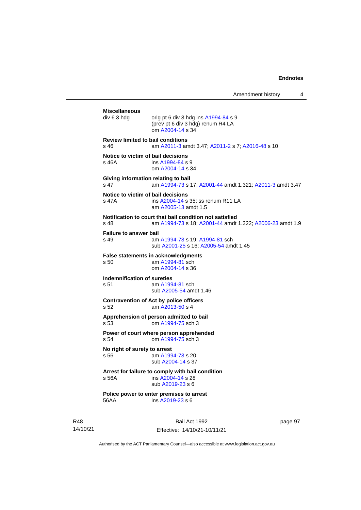Amendment history 4 **Miscellaneous** orig pt 6 div 3 hdg ins  $A1994-84$  s 9 (prev pt 6 div 3 hdg) renum R4 LA om [A2004-14](http://www.legislation.act.gov.au/a/2004-14) s 34 **Review limited to bail conditions** s 46 am [A2011-3](http://www.legislation.act.gov.au/a/2011-3) amdt 3.47[; A2011-2](http://www.legislation.act.gov.au/a/2011-2) s 7; [A2016-48](http://www.legislation.act.gov.au/a/2016-48/default.asp) s 10 **Notice to victim of bail decisions** s 46A **ins [A1994-84](http://www.legislation.act.gov.au/a/1994-84) s 9** om [A2004-14](http://www.legislation.act.gov.au/a/2004-14) s 34 **Giving information relating to bail** s 47 am [A1994-73](http://www.legislation.act.gov.au/a/1994-73) s 17[; A2001-44](http://www.legislation.act.gov.au/a/2001-44) amdt 1.321; [A2011-3](http://www.legislation.act.gov.au/a/2011-3) amdt 3.47 **Notice to victim of bail decisions** s 47A ins [A2004-14](http://www.legislation.act.gov.au/a/2004-14) s 35; ss renum R11 LA am [A2005-13](http://www.legislation.act.gov.au/a/2005-13) amdt 1.5 **Notification to court that bail condition not satisfied** s 48 am [A1994-73](http://www.legislation.act.gov.au/a/1994-73) s 18[; A2001-44](http://www.legislation.act.gov.au/a/2001-44) amdt 1.322; [A2006-23](http://www.legislation.act.gov.au/a/2006-23) amdt 1.9 **Failure to answer bail** s 49 am [A1994-73](http://www.legislation.act.gov.au/a/1994-73) s 19[; A1994-81](http://www.legislation.act.gov.au/a/1994-81) sch sub [A2001-25](http://www.legislation.act.gov.au/a/2001-25) s 16[; A2005-54](http://www.legislation.act.gov.au/a/2005-54) amdt 1.45 **False statements in acknowledgments**<br>s 50 am A1994-81 sch am  $A1994-81$  sch om [A2004-14](http://www.legislation.act.gov.au/a/2004-14) s 36 **Indemnification of sureties** s 51 am [A1994-81](http://www.legislation.act.gov.au/a/1994-81) sch sub [A2005-54](http://www.legislation.act.gov.au/a/2005-54) amdt 1.46 **Contravention of Act by police officers** s 52 am [A2013-50](http://www.legislation.act.gov.au/a/2013-50) s 4 **Apprehension of person admitted to bail** s 53 om [A1994-75](http://www.legislation.act.gov.au/a/1994-75) sch 3 **Power of court where person apprehended** s 54 om [A1994-75](http://www.legislation.act.gov.au/a/1994-75) sch 3 **No right of surety to arrest**<br>s 56 am A199 am [A1994-73](http://www.legislation.act.gov.au/a/1994-73) s 20 sub [A2004-14](http://www.legislation.act.gov.au/a/2004-14) s 37 **Arrest for failure to comply with bail condition** s 56A ins [A2004-14](http://www.legislation.act.gov.au/a/2004-14) s 28 sub [A2019-23](http://www.legislation.act.gov.au/a/2019-23/default.asp) s 6 **Police power to enter premises to arrest** 56AA ins [A2019-23](http://www.legislation.act.gov.au/a/2019-23/default.asp) s 6

R48 14/10/21

Bail Act 1992 Effective: 14/10/21-10/11/21 page 97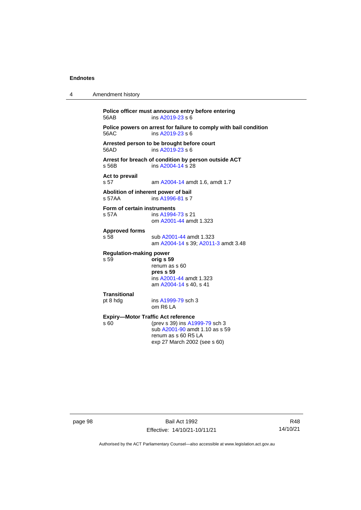| 4 | Amendment history                                                                                                                                                            |
|---|------------------------------------------------------------------------------------------------------------------------------------------------------------------------------|
|   | Police officer must announce entry before entering<br>ins A2019-23 s 6<br>56AB                                                                                               |
|   | Police powers on arrest for failure to comply with bail condition<br>56AC<br>ins A2019-23 s 6                                                                                |
|   | Arrested person to be brought before court<br>56AD<br>ins A2019-23 s 6                                                                                                       |
|   | Arrest for breach of condition by person outside ACT<br>ins A2004-14 s 28<br>s 56B                                                                                           |
|   | Act to prevail<br>s 57<br>am A2004-14 amdt 1.6, amdt 1.7                                                                                                                     |
|   | Abolition of inherent power of bail<br>s 57AA<br>ins A1996-81 s 7                                                                                                            |
|   | Form of certain instruments<br>ins A1994-73 s 21<br>s 57A<br>om A2001-44 amdt 1.323                                                                                          |
|   | <b>Approved forms</b><br>s 58<br>sub A2001-44 amdt 1.323<br>am A2004-14 s 39; A2011-3 amdt 3.48                                                                              |
|   | <b>Regulation-making power</b><br>s 59<br>orig s 59<br>renum as s 60<br>pres s 59<br>ins A2001-44 amdt 1.323<br>am A2004-14 s 40, s 41                                       |
|   | Transitional<br>pt 8 hdg<br>ins A1999-79 sch 3<br>om R6 LA                                                                                                                   |
|   | <b>Expiry-Motor Traffic Act reference</b><br>(prev s 39) ins A1999-79 sch 3<br>s 60<br>sub A2001-90 amdt 1.10 as s 59<br>renum as s 60 R5 LA<br>exp 27 March 2002 (see s 60) |
|   |                                                                                                                                                                              |

page 98 Bail Act 1992 Effective: 14/10/21-10/11/21

R48 14/10/21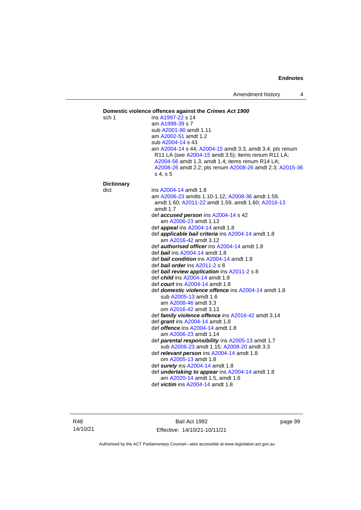#### **Domestic violence offences against the** *Crimes Act 1900* sch 1 ins [A1997-22](http://www.legislation.act.gov.au/a/1997-22) s 14 am [A1998-39](http://www.legislation.act.gov.au/a/1998-39) s 7 sub [A2001-90](http://www.legislation.act.gov.au/a/2001-90) amdt 1.11 am [A2002-51](http://www.legislation.act.gov.au/a/2002-51) amdt 1.2 sub [A2004-14](http://www.legislation.act.gov.au/a/2004-14) s 43 am [A2004-14](http://www.legislation.act.gov.au/a/2004-14) s 44[; A2004-15](http://www.legislation.act.gov.au/a/2004-15) amdt 3.3, amdt 3.4; pts renum R11 LA (see [A2004-15](http://www.legislation.act.gov.au/a/2004-15) amdt 3.5); items renum R11 LA; [A2004-56](http://www.legislation.act.gov.au/a/2004-56) amdt 1.3, amdt 1.4; items renum R14 LA; [A2008-26](http://www.legislation.act.gov.au/a/2008-26) amdt 2.2; pts renum [A2008-26](http://www.legislation.act.gov.au/a/2008-26) amdt 2.3[; A2015-36](http://www.legislation.act.gov.au/a/2015-36) s 4, s 5 **Dictionary** dict ins [A2004-14](http://www.legislation.act.gov.au/a/2004-14) amdt 1.8 am [A2006-23](http://www.legislation.act.gov.au/a/2006-23) amdts 1.10-1.12[; A2008-36](http://www.legislation.act.gov.au/a/2008-36) amdt 1.59, amdt 1.60; [A2011-22](http://www.legislation.act.gov.au/a/2011-22) amdt 1.59, amdt 1.60; [A2016-13](http://www.legislation.act.gov.au/a/2016-13) amdt 1.7 def *accused person* ins [A2004-14](http://www.legislation.act.gov.au/a/2004-14) s 42 am [A2006-23](http://www.legislation.act.gov.au/a/2006-23) amdt 1.13 def *appeal* ins [A2004-14](http://www.legislation.act.gov.au/a/2004-14) amdt 1.8 def *applicable bail criteria* ins [A2004-14](http://www.legislation.act.gov.au/a/2004-14) amdt 1.8 am [A2016-42](http://www.legislation.act.gov.au/a/2016-42/default.asp) amdt 3.12 def *authorised officer* in[s A2004-14](http://www.legislation.act.gov.au/a/2004-14) amdt 1.8 def *bail* ins [A2004-14](http://www.legislation.act.gov.au/a/2004-14) amdt 1.8 def *bail condition* ins [A2004-14](http://www.legislation.act.gov.au/a/2004-14) amdt 1.8 def *bail order* in[s A2011-2](http://www.legislation.act.gov.au/a/2011-2) s 8 def *bail review application* in[s A2011-2](http://www.legislation.act.gov.au/a/2011-2) s 8 def *child* in[s A2004-14](http://www.legislation.act.gov.au/a/2004-14) amdt 1.8 def *court* ins [A2004-14](http://www.legislation.act.gov.au/a/2004-14) amdt 1.8 def *domestic violence offence* ins [A2004-14](http://www.legislation.act.gov.au/a/2004-14) amdt 1.8 sub [A2005-13](http://www.legislation.act.gov.au/a/2005-13) amdt 1.6 am [A2008-46](http://www.legislation.act.gov.au/a/2008-46) amdt 3.3 om [A2016-42](http://www.legislation.act.gov.au/a/2016-42/default.asp) amdt 3.13 def *family violence offence* in[s A2016-42](http://www.legislation.act.gov.au/a/2016-42/default.asp) amdt 3.14 def *grant* ins [A2004-14](http://www.legislation.act.gov.au/a/2004-14) amdt 1.8 def *offence* in[s A2004-14](http://www.legislation.act.gov.au/a/2004-14) amdt 1.8 am [A2006-23](http://www.legislation.act.gov.au/a/2006-23) amdt 1.14 def *parental responsibility* in[s A2005-13](http://www.legislation.act.gov.au/a/2005-13) amdt 1.7 sub [A2006-23](http://www.legislation.act.gov.au/a/2006-23) amdt 1.15[; A2008-20](http://www.legislation.act.gov.au/a/2008-20) amdt 3.3 def *relevant person* in[s A2004-14](http://www.legislation.act.gov.au/a/2004-14) amdt 1.8 om [A2005-13](http://www.legislation.act.gov.au/a/2005-13) amdt 1.8 def *surety* in[s A2004-14](http://www.legislation.act.gov.au/a/2004-14) amdt 1.8 def *undertaking to appear* ins [A2004-14](http://www.legislation.act.gov.au/a/2004-14) amdt 1.8 am [A2020-14](http://www.legislation.act.gov.au/a/2020-14/) amdt 1.5, amdt 1.6 def *victim* in[s A2004-14](http://www.legislation.act.gov.au/a/2004-14) amdt 1.8

Bail Act 1992 Effective: 14/10/21-10/11/21 page 99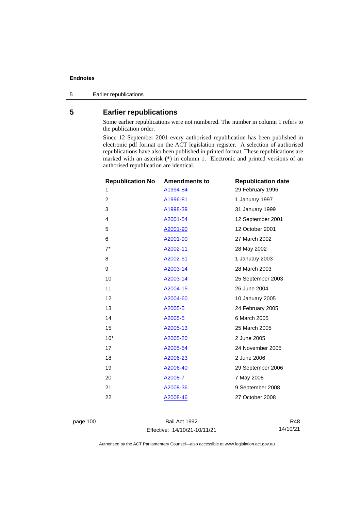5 Earlier republications

# **5 Earlier republications**

Some earlier republications were not numbered. The number in column 1 refers to the publication order.

Since 12 September 2001 every authorised republication has been published in electronic pdf format on the ACT legislation register. A selection of authorised republications have also been published in printed format. These republications are marked with an asterisk (\*) in column 1. Electronic and printed versions of an authorised republication are identical.

| <b>Republication No</b> | <b>Amendments to</b> | <b>Republication date</b> |
|-------------------------|----------------------|---------------------------|
| 1                       | A1994-84             | 29 February 1996          |
| $\overline{c}$          | A1996-81             | 1 January 1997            |
| 3                       | A1998-39             | 31 January 1999           |
| 4                       | A2001-54             | 12 September 2001         |
| 5                       | A2001-90             | 12 October 2001           |
| 6                       | A2001-90             | 27 March 2002             |
| $7^*$                   | A2002-11             | 28 May 2002               |
| 8                       | A2002-51             | 1 January 2003            |
| 9                       | A2003-14             | 28 March 2003             |
| 10                      | A2003-14             | 25 September 2003         |
| 11                      | A2004-15             | 26 June 2004              |
| 12                      | A2004-60             | 10 January 2005           |
| 13                      | A2005-5              | 24 February 2005          |
| 14                      | A2005-5              | 6 March 2005              |
| 15                      | A2005-13             | 25 March 2005             |
| $16*$                   | A2005-20             | 2 June 2005               |
| 17                      | A2005-54             | 24 November 2005          |
| 18                      | A2006-23             | 2 June 2006               |
| 19                      | A2006-40             | 29 September 2006         |
| 20                      | A2008-7              | 7 May 2008                |
| 21                      | A2008-36             | 9 September 2008          |
| 22                      | A2008-46             | 27 October 2008           |
|                         |                      |                           |

page 100 Bail Act 1992 Effective: 14/10/21-10/11/21

R48 14/10/21